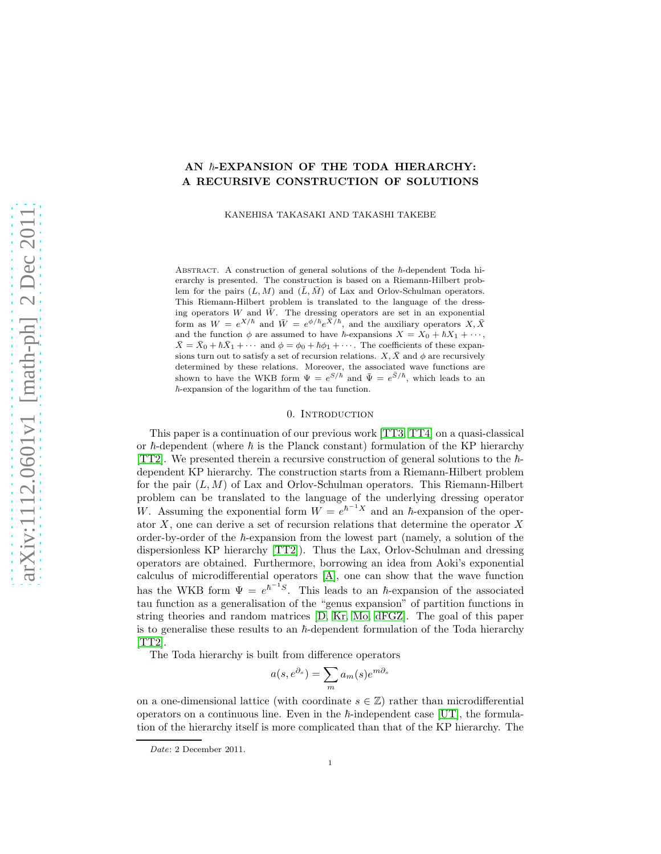# AN  $\hbar$ -EXPANSION OF THE TODA HIERARCHY: A RECURSIVE CONSTRUCTION OF SOLUTIONS

KANEHISA TAKASAKI AND TAKASHI TAKEBE

ABSTRACT. A construction of general solutions of the  $\hbar$ -dependent Toda hierarchy is presented. The construction is based on a Riemann-Hilbert problem for the pairs  $(L, M)$  and  $(\overline{L}, \overline{M})$  of Lax and Orlov-Schulman operators. This Riemann-Hilbert problem is translated to the language of the dressing operators W and  $\bar{W}$ . The dressing operators are set in an exponential form as  $W = e^{X/\hbar}$  and  $\bar{W} = e^{\phi/\hbar} e^{\bar{X}/\hbar}$ , and the auxiliary operators  $X, \bar{X}$ and the function  $\phi$  are assumed to have  $\hbar$ -expansions  $X = X_0 + \hbar X_1 + \cdots$ ,  $\bar{X} = \bar{X}_0 + \hbar \bar{X}_1 + \cdots$  and  $\phi = \phi_0 + \hbar \phi_1 + \cdots$ . The coefficients of these expansions turn out to satisfy a set of recursion relations.  $X, \overline{X}$  and  $\phi$  are recursively determined by these relations. Moreover, the associated wave functions are shown to have the WKB form  $\Psi = e^{S/\hbar}$  and  $\bar{\Psi} = e^{\bar{S}/\hbar}$ , which leads to an  $\hbar$ -expansion of the logarithm of the tau function.

### 0. INTRODUCTION

This paper is a continuation of our previous work [\[TT3,](#page-36-0) [TT4\]](#page-36-1) on a quasi-classical or  $\hbar$ -dependent (where  $\hbar$  is the Planck constant) formulation of the KP hierarchy [\[TT2\]](#page-36-2). We presented therein a recursive construction of general solutions to the  $\hbar$ dependent KP hierarchy. The construction starts from a Riemann-Hilbert problem for the pair  $(L, M)$  of Lax and Orlov-Schulman operators. This Riemann-Hilbert problem can be translated to the language of the underlying dressing operator W. Assuming the exponential form  $W = e^{\hbar^{-1}X}$  and an  $\hbar$ -expansion of the operator X, one can derive a set of recursion relations that determine the operator X order-by-order of the  $\hbar$ -expansion from the lowest part (namely, a solution of the dispersionless KP hierarchy [\[TT2\]](#page-36-2)). Thus the Lax, Orlov-Schulman and dressing operators are obtained. Furthermore, borrowing an idea from Aoki's exponential calculus of microdifferential operators [\[A\]](#page-35-0), one can show that the wave function has the WKB form  $\Psi = e^{\hbar^{-1}S}$ . This leads to an  $\hbar$ -expansion of the associated tau function as a generalisation of the "genus expansion" of partition functions in string theories and random matrices [\[D,](#page-35-1) [Kr,](#page-36-3) [Mo,](#page-36-4) [dFGZ\]](#page-35-2). The goal of this paper is to generalise these results to an  $\hbar$ -dependent formulation of the Toda hierarchy  $[TT2]$ .

The Toda hierarchy is built from difference operators

$$
a(s, e^{\partial_s}) = \sum_{m} a_m(s) e^{m \partial_s}
$$

on a one-dimensional lattice (with coordinate  $s \in \mathbb{Z}$ ) rather than microdifferential operators on a continuous line. Even in the  $\hbar$ -independent case [\[UT\]](#page-36-5), the formulation of the hierarchy itself is more complicated than that of the KP hierarchy. The

Date: 2 December 2011.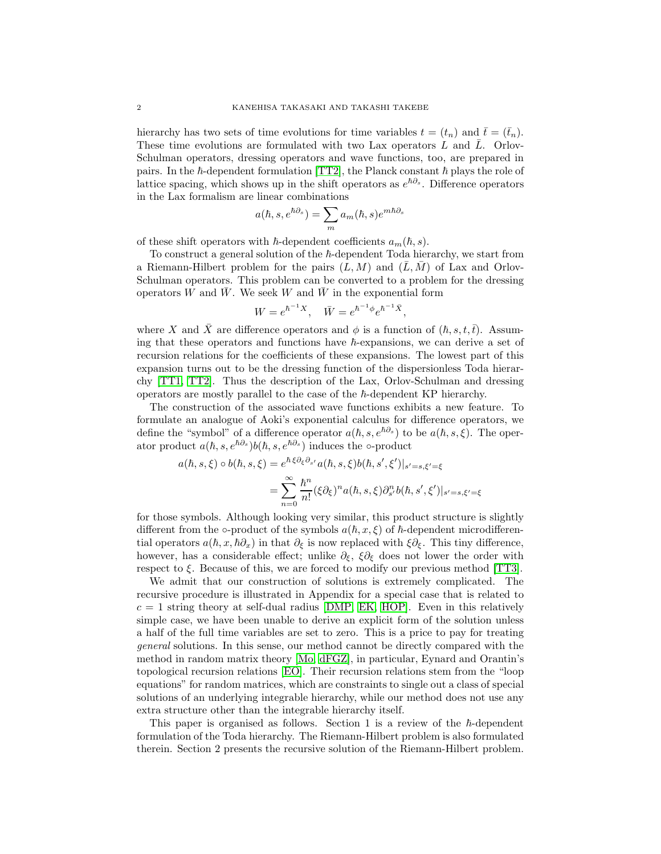hierarchy has two sets of time evolutions for time variables  $t = (t_n)$  and  $\bar{t} = (\bar{t}_n)$ . These time evolutions are formulated with two Lax operators  $L$  and  $\overline{L}$ . Orlov-Schulman operators, dressing operators and wave functions, too, are prepared in pairs. In the  $h$ -dependent formulation [\[TT2\]](#page-36-2), the Planck constant  $h$  plays the role of lattice spacing, which shows up in the shift operators as  $e^{\hbar \partial s}$ . Difference operators in the Lax formalism are linear combinations

$$
a(\hbar, s, e^{\hbar \partial s}) = \sum_{m} a_m(\hbar, s) e^{m \hbar \partial s}
$$

of these shift operators with  $\hbar$ -dependent coefficients  $a_m(\hbar, s)$ .

To construct a general solution of the  $\hbar$ -dependent Toda hierarchy, we start from a Riemann-Hilbert problem for the pairs  $(L, M)$  and  $(L, M)$  of Lax and Orlov-Schulman operators. This problem can be converted to a problem for the dressing operators W and  $\overline{W}$ . We seek W and  $\overline{W}$  in the exponential form

$$
W = e^{\hbar^{-1}X}, \quad \bar{W} = e^{\hbar^{-1}\phi}e^{\hbar^{-1}\bar{X}},
$$

where X and X are difference operators and  $\phi$  is a function of  $(\hbar, s, t, \bar{t})$ . Assuming that these operators and functions have  $\hbar$ -expansions, we can derive a set of recursion relations for the coefficients of these expansions. The lowest part of this expansion turns out to be the dressing function of the dispersionless Toda hierarchy [\[TT1,](#page-36-6) [TT2\]](#page-36-2). Thus the description of the Lax, Orlov-Schulman and dressing operators are mostly parallel to the case of the  $\hbar$ -dependent KP hierarchy.

The construction of the associated wave functions exhibits a new feature. To formulate an analogue of Aoki's exponential calculus for difference operators, we define the "symbol" of a difference operator  $a(\hbar, s, e^{\hbar \partial s})$  to be  $a(\hbar, s, \xi)$ . The operator product  $a(\hbar, s, e^{\hbar\partial_s})b(\hbar, s, e^{\hbar\partial_s})$  induces the ∘-product

$$
a(\hbar, s, \xi) \circ b(\hbar, s, \xi) = e^{\hbar \xi \partial_{\xi} \partial_{s'} a(\hbar, s, \xi) b(\hbar, s', \xi')|_{s'=s, \xi'= \xi}}
$$
  
= 
$$
\sum_{n=0}^{\infty} \frac{\hbar^n}{n!} (\xi \partial_{\xi})^n a(\hbar, s, \xi) \partial_{s'}^n b(\hbar, s', \xi')|_{s'=s, \xi'= \xi}
$$

for those symbols. Although looking very similar, this product structure is slightly different from the  $\circ$ -product of the symbols  $a(\hbar, x, \xi)$  of  $\hbar$ -dependent microdifferential operators  $a(h, x, \hbar \partial_x)$  in that  $\partial_{\xi}$  is now replaced with  $\xi \partial_{\xi}$ . This tiny difference, however, has a considerable effect; unlike  $\partial_{\xi}$ ,  $\xi \partial_{\xi}$  does not lower the order with respect to  $\xi$ . Because of this, we are forced to modify our previous method [\[TT3\]](#page-36-0).

We admit that our construction of solutions is extremely complicated. The recursive procedure is illustrated in Appendix for a special case that is related to  $c = 1$  string theory at self-dual radius [\[DMP,](#page-35-3) [EK,](#page-36-7) [HOP\]](#page-36-8). Even in this relatively simple case, we have been unable to derive an explicit form of the solution unless a half of the full time variables are set to zero. This is a price to pay for treating general solutions. In this sense, our method cannot be directly compared with the method in random matrix theory [\[Mo,](#page-36-4) [dFGZ\]](#page-35-2), in particular, Eynard and Orantin's topological recursion relations [\[EO\]](#page-36-9). Their recursion relations stem from the "loop equations" for random matrices, which are constraints to single out a class of special solutions of an underlying integrable hierarchy, while our method does not use any extra structure other than the integrable hierarchy itself.

This paper is organised as follows. Section 1 is a review of the  $h$ -dependent formulation of the Toda hierarchy. The Riemann-Hilbert problem is also formulated therein. Section 2 presents the recursive solution of the Riemann-Hilbert problem.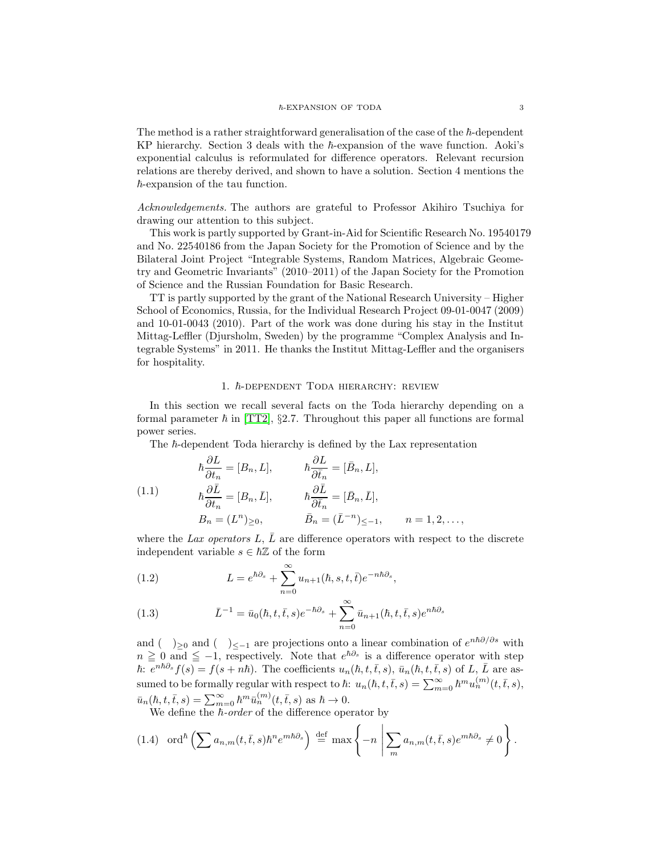The method is a rather straightforward generalisation of the case of the  $\hbar$ -dependent KP hierarchy. Section 3 deals with the  $\hbar$ -expansion of the wave function. Aoki's exponential calculus is reformulated for difference operators. Relevant recursion relations are thereby derived, and shown to have a solution. Section 4 mentions the  $\hbar$ -expansion of the tau function.

Acknowledgements. The authors are grateful to Professor Akihiro Tsuchiya for drawing our attention to this subject.

This work is partly supported by Grant-in-Aid for Scientific Research No. 19540179 and No. 22540186 from the Japan Society for the Promotion of Science and by the Bilateral Joint Project "Integrable Systems, Random Matrices, Algebraic Geometry and Geometric Invariants" (2010–2011) of the Japan Society for the Promotion of Science and the Russian Foundation for Basic Research.

TT is partly supported by the grant of the National Research University – Higher School of Economics, Russia, for the Individual Research Project 09-01-0047 (2009) and 10-01-0043 (2010). Part of the work was done during his stay in the Institut Mittag-Leffler (Djursholm, Sweden) by the programme "Complex Analysis and Integrable Systems" in 2011. He thanks the Institut Mittag-Leffler and the organisers for hospitality.

#### 1.  $\hbar$ -DEPENDENT TODA HIERARCHY: REVIEW

In this section we recall several facts on the Toda hierarchy depending on a formal parameter  $\hbar$  in [\[TT2\]](#page-36-2), §2.7. Throughout this paper all functions are formal power series.

<span id="page-2-1"></span>The  $h$ -dependent Toda hierarchy is defined by the Lax representation

(1.1)  
\n
$$
\hbar \frac{\partial L}{\partial t_n} = [B_n, L], \qquad \hbar \frac{\partial L}{\partial \bar{t}_n} = [\bar{B}_n, L],
$$
\n
$$
\hbar \frac{\partial \bar{L}}{\partial t_n} = [B_n, \bar{L}], \qquad \hbar \frac{\partial \bar{L}}{\partial \bar{t}_n} = [\bar{B}_n, \bar{L}],
$$
\n
$$
B_n = (L^n)_{\geq 0}, \qquad \bar{B}_n = (\bar{L}^{-n})_{\leq -1}, \qquad n = 1, 2, \dots,
$$

where the Lax operators L,  $\overline{L}$  are difference operators with respect to the discrete independent variable  $s \in \hbar \mathbb{Z}$  of the form

<span id="page-2-2"></span>(1.2) 
$$
L = e^{\hbar \partial_s} + \sum_{n=0}^{\infty} u_{n+1}(\hbar, s, t, \bar{t}) e^{-n\hbar \partial_s},
$$

<span id="page-2-3"></span>(1.3) 
$$
\bar{L}^{-1} = \bar{u}_0(\hbar, t, \bar{t}, s)e^{-\hbar\partial_s} + \sum_{n=0}^{\infty} \bar{u}_{n+1}(\hbar, t, \bar{t}, s)e^{n\hbar\partial_s}
$$

and ( )<sub>≥0</sub> and ( )<sub>≤−1</sub> are projections onto a linear combination of  $e^{n\hbar\partial/\partial s}$  with  $n \geq 0$  and  $\leq -1$ , respectively. Note that  $e^{\hbar \partial_s}$  is a difference operator with step  $\hbar: e^{n\hbar\partial_s}f(s) = f(s+n\hbar)$ . The coefficients  $u_n(\hbar, t, \bar{t}, s)$ ,  $\bar{u}_n(\hbar, t, \bar{t}, s)$  of  $L, \bar{L}$  are assumed to be formally regular with respect to  $\hbar$ :  $u_n(\hbar, t, \bar{t}, s) = \sum_{m=0}^{\infty} \hbar^m u_n^{(m)}(t, \bar{t}, s)$ ,  $\bar{u}_n(\hbar, t, \bar{t}, s) = \sum_{m=0}^{\infty} \hbar^m \bar{u}_n^{(m)}(t, \bar{t}, s) \text{ as } \hbar \to 0.$ 

We define the  $\overline{h}$ -order of the difference operator by

<span id="page-2-0"></span>
$$
(1.4) \quad \text{ord}^{\hbar}\left(\sum a_{n,m}(t,\bar{t},s)\hbar^{n}e^{m\hbar\partial_{s}}\right) \stackrel{\text{def}}{=} \max\left\{-n \left|\sum_{m} a_{n,m}(t,\bar{t},s)e^{m\hbar\partial_{s}} \neq 0\right.\right\}.
$$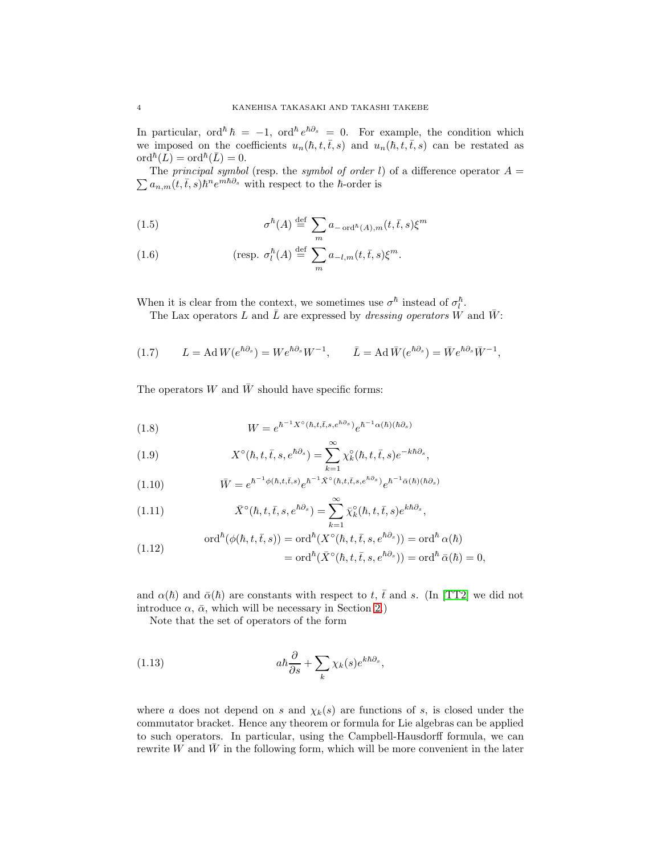In particular, ord<sup> $\hbar$ </sup>  $\hbar = -1$ , ord<sup> $\hbar e^{\hbar \partial s} = 0$ . For example, the condition which</sup> we imposed on the coefficients  $u_n(h, t, \bar{t}, s)$  and  $u_n(h, t, \bar{t}, s)$  can be restated as  $\mathrm{ord}^{\hbar}(\overline{L}) = \mathrm{ord}^{\hbar}(\overline{L}) = 0.$ 

 $\sum a_{n,m}(t,\bar{t},s) \hbar^n e^{m\hbar\partial_s}$  with respect to the  $\hbar$ -order is The principal symbol (resp. the symbol of order l) of a difference operator  $A =$ 

<span id="page-3-1"></span>(1.5) 
$$
\sigma^{\hbar}(A) \stackrel{\text{def}}{=} \sum_{m} a_{-\text{ord}^{\hbar}(A),m}(t,\bar{t},s) \xi^{m}
$$

(1.6) 
$$
\text{(resp. } \sigma_l^{\hbar}(A) \stackrel{\text{def}}{=} \sum_{m} a_{-l,m}(t,\bar{t},s) \xi^m.
$$

When it is clear from the context, we sometimes use  $\sigma^{\hbar}$  instead of  $\sigma_l^{\hbar}$  $\frac{\hbar}{l}$ .

The Lax operators L and  $\overline{L}$  are expressed by *dressing operators* W and  $\overline{W}$ :

<span id="page-3-2"></span>(1.7) 
$$
L = \text{Ad} W(e^{\hbar \partial_s}) = W e^{\hbar \partial_s} W^{-1}, \qquad \bar{L} = \text{Ad} \,\bar{W}(e^{\hbar \partial_s}) = \bar{W} e^{\hbar \partial_s} \bar{W}^{-1},
$$

The operators W and  $\bar{W}$  should have specific forms:

<span id="page-3-3"></span>(1.8) 
$$
W = e^{\hbar^{-1}X^{\circ}(\hbar, t, \bar{t}, s, e^{\hbar \partial s})} e^{\hbar^{-1} \alpha(\hbar)(\hbar \partial s)}
$$

(1.9) 
$$
X^{\circ}(\hbar, t, \bar{t}, s, e^{\hbar \partial_s}) = \sum_{k=1}^{\infty} \chi_k^{\circ}(\hbar, t, \bar{t}, s) e^{-k \hbar \partial_s},
$$

<span id="page-3-4"></span>(1.10) 
$$
\overline{W} = e^{\hbar^{-1}\phi(\hbar, t, \bar{t}, s)} e^{\hbar^{-1}\overline{X}^{\circ}(\hbar, t, \bar{t}, s, e^{\hbar\partial_s})} e^{\hbar^{-1}\overline{\alpha}(\hbar)(\hbar\partial_s)}
$$

(1.11) 
$$
\bar{X}^{\circ}(\hbar, t, \bar{t}, s, e^{\hbar \partial_s}) = \sum_{k=1}^{\infty} \bar{\chi}_k^{\circ}(\hbar, t, \bar{t}, s) e^{k \hbar \partial_s},
$$

(1.12) 
$$
\operatorname{ord}^{\hbar}(\phi(\hbar, t, \bar{t}, s)) = \operatorname{ord}^{\hbar}(X^{\circ}(\hbar, t, \bar{t}, s, e^{\hbar \partial_s})) = \operatorname{ord}^{\hbar} \alpha(\hbar)
$$

$$
= \operatorname{ord}^{\hbar}(\bar{X}^{\circ}(\hbar, t, \bar{t}, s, e^{\hbar \partial_s})) = \operatorname{ord}^{\hbar} \bar{\alpha}(\hbar) = 0,
$$

and  $\alpha(\hbar)$  and  $\bar{\alpha}(\hbar)$  are constants with respect to t,  $\bar{t}$  and s. (In [\[TT2\]](#page-36-2) we did not introduce  $\alpha$ ,  $\bar{\alpha}$ , which will be necessary in Section [2.](#page-7-0))

<span id="page-3-0"></span>Note that the set of operators of the form

(1.13) 
$$
a\hbar \frac{\partial}{\partial s} + \sum_{k} \chi_k(s) e^{k\hbar \partial_s},
$$

where a does not depend on s and  $\chi_k(s)$  are functions of s, is closed under the commutator bracket. Hence any theorem or formula for Lie algebras can be applied to such operators. In particular, using the Campbell-Hausdorff formula, we can rewrite  $W$  and  $W$  in the following form, which will be more convenient in the later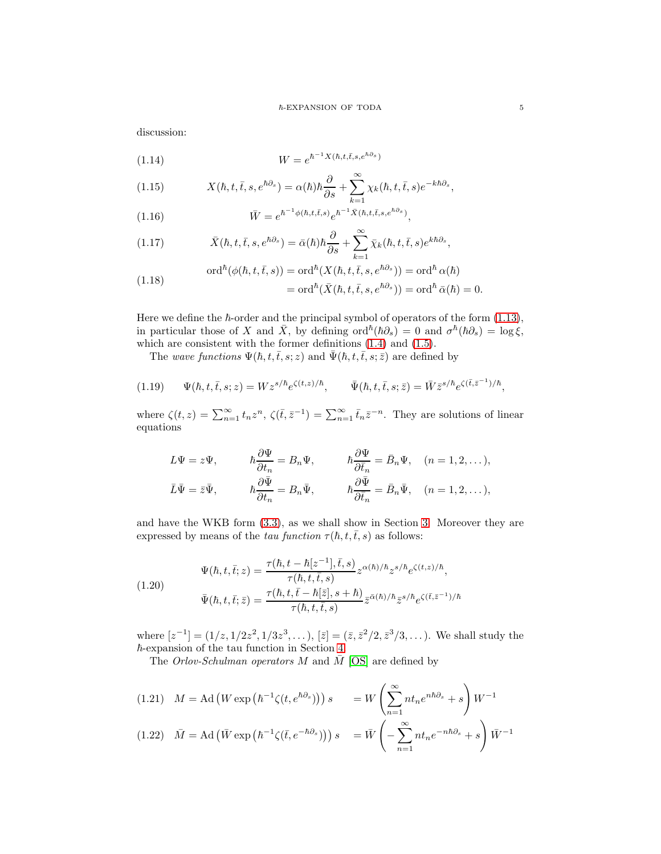discussion:

<span id="page-4-0"></span>
$$
(1.14) \t\t W = e^{\hbar^{-1}X(\hbar, t, \bar{t}, s, e^{\hbar \partial_s})}
$$

<span id="page-4-2"></span>(1.15) 
$$
X(\hbar, t, \bar{t}, s, e^{\hbar \partial_s}) = \alpha(\hbar) \hbar \frac{\partial}{\partial s} + \sum_{k=1}^{\infty} \chi_k(\hbar, t, \bar{t}, s) e^{-k \hbar \partial_s},
$$

<span id="page-4-1"></span>(1.16) 
$$
\bar{W} = e^{\hbar^{-1}\phi(\hbar, t, \bar{t}, s)} e^{\hbar^{-1}\bar{X}(\hbar, t, \bar{t}, s, e^{\hbar \partial_s})},
$$

<span id="page-4-3"></span>(1.17) 
$$
\bar{X}(\hbar, t, \bar{t}, s, e^{\hbar \partial_s}) = \bar{\alpha}(\hbar) \hbar \frac{\partial}{\partial s} + \sum_{k=1}^{\infty} \bar{\chi}_k(\hbar, t, \bar{t}, s) e^{k \hbar \partial_s},
$$

(1.18) 
$$
\operatorname{ord}^{\hbar}(\phi(\hbar, t, \bar{t}, s)) = \operatorname{ord}^{\hbar}(X(\hbar, t, \bar{t}, s, e^{\hbar \partial_s})) = \operatorname{ord}^{\hbar} \alpha(\hbar)
$$

$$
= \operatorname{ord}^{\hbar}(\bar{X}(\hbar, t, \bar{t}, s, e^{\hbar \partial_s})) = \operatorname{ord}^{\hbar} \bar{\alpha}(\hbar) = 0.
$$

Here we define the  $\hbar$ -order and the principal symbol of operators of the form [\(1.13\)](#page-3-0), in particular those of X and  $\bar{X}$ , by defining  $\text{ord}^{\hbar}(\hbar\partial_s) = 0$  and  $\sigma^{\hbar}(\hbar\partial_s) = \log \xi$ , which are consistent with the former definitions [\(1.4\)](#page-2-0) and [\(1.5\)](#page-3-1).

<span id="page-4-5"></span>The wave functions  $\Psi(\hbar, t, \bar{t}, s; z)$  and  $\bar{\Psi}(\hbar, t, \bar{t}, s; \bar{z})$  are defined by

$$
(1.19) \qquad \Psi(\hbar, t, \bar{t}, s; z) = W z^{s/\hbar} e^{\zeta(t, z)/\hbar}, \qquad \bar{\Psi}(\hbar, t, \bar{t}, s; \bar{z}) = \bar{W} \bar{z}^{s/\hbar} e^{\zeta(\bar{t}, \bar{z}^{-1})/\hbar},
$$

where  $\zeta(t,z) = \sum_{n=1}^{\infty} t_n z^n$ ,  $\zeta(\bar{t}, \bar{z}^{-1}) = \sum_{n=1}^{\infty} \bar{t}_n \bar{z}^{-n}$ . They are solutions of linear equations

$$
L\Psi = z\Psi, \t\t \hbar \frac{\partial \Psi}{\partial t_n} = B_n\Psi, \t\t \hbar \frac{\partial \Psi}{\partial \bar{t}_n} = \bar{B}_n\Psi, \t\t (n = 1, 2, ...),
$$
  

$$
\bar{L}\bar{\Psi} = \bar{z}\bar{\Psi}, \t\t \hbar \frac{\partial \bar{\Psi}}{\partial t_n} = B_n\bar{\Psi}, \t\t \hbar \frac{\partial \bar{\Psi}}{\partial \bar{t}_n} = \bar{B}_n\bar{\Psi}, \t\t (n = 1, 2, ...),
$$

and have the WKB form [\(3.3\)](#page-15-0), as we shall show in Section [3.](#page-14-0) Moreover they are expressed by means of the tau function  $\tau(h, t, \bar{t}, s)$  as follows:

<span id="page-4-4"></span>(1.20)  
\n
$$
\Psi(\hbar, t, \bar{t}; z) = \frac{\tau(\hbar, t - \hbar[z^{-1}], \bar{t}, s)}{\tau(\hbar, t, \bar{t}, s)} z^{\alpha(\hbar)/\hbar} z^{s/\hbar} e^{\zeta(t, z)/\hbar},
$$
\n
$$
\bar{\Psi}(\hbar, t, \bar{t}; \bar{z}) = \frac{\tau(\hbar, t, \bar{t} - \hbar[\bar{z}], s + \hbar)}{\tau(\hbar, t, \bar{t}, s)} \bar{z}^{\alpha(\hbar)/\hbar} \bar{z}^{s/\hbar} e^{\zeta(\bar{t}, \bar{z}^{-1})/\hbar}
$$

where  $[z^{-1}] = (1/z, 1/2z^2, 1/3z^3, \dots), [z] = (\bar{z}, \bar{z}^2/2, \bar{z}^3/3, \dots)$ . We shall study the  $\hbar$ -expansion of the tau function in Section [4.](#page-26-0)

The Orlov-Schulman operators M and  $\overline{M}$  [\[OS\]](#page-36-10) are defined by

(1.21) 
$$
M = \text{Ad}(W \exp(\hbar^{-1}\zeta(t, e^{\hbar \partial_s}))) s = W \left(\sum_{n=1}^{\infty} n t_n e^{n \hbar \partial_s} + s\right) W^{-1}
$$
  
(1.22)  $\bar{M} = \text{Ad}(\bar{W} \exp(\hbar^{-1}\zeta(\bar{t}, e^{-\hbar \partial_s}))) s = \bar{W} \left(-\sum_{n=1}^{\infty} n t_n e^{-n \hbar \partial_s} + s\right) \bar{W}^{-1}$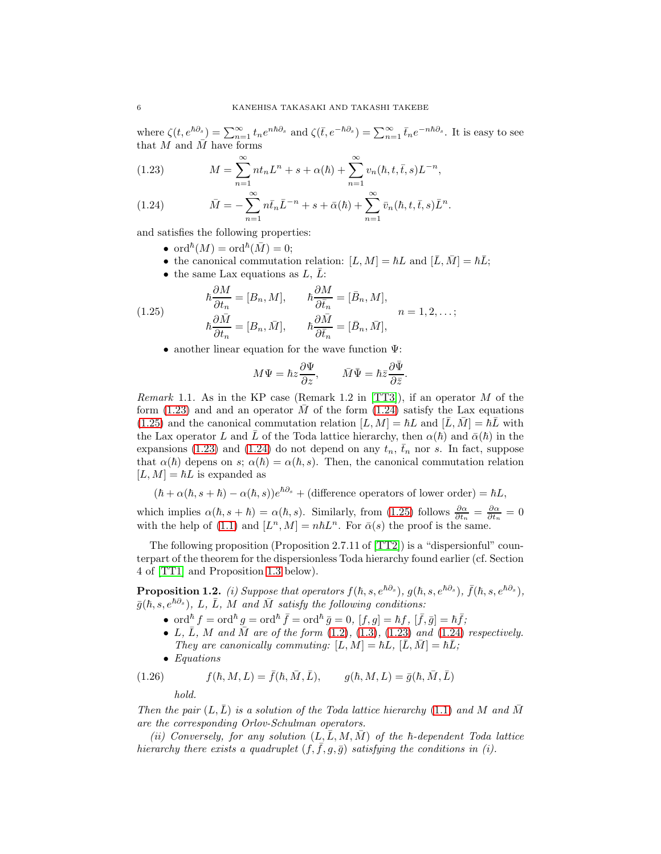where  $\zeta(t, e^{\hbar \partial_s}) = \sum_{n=1}^{\infty} t_n e^{n\hbar \partial_s}$  and  $\zeta(\bar{t}, e^{-\hbar \partial_s}) = \sum_{n=1}^{\infty} \bar{t}_n e^{-n\hbar \partial_s}$ . It is easy to see that  $M$  and  $\overline{M}$  have forms

<span id="page-5-0"></span>(1.23) 
$$
M = \sum_{n=1}^{\infty} nt_n L^n + s + \alpha(\hbar) + \sum_{n=1}^{\infty} v_n(\hbar, t, \bar{t}, s) L^{-n},
$$

<span id="page-5-1"></span>(1.24) 
$$
\bar{M} = -\sum_{n=1}^{\infty} n \bar{t}_n \bar{L}^{-n} + s + \bar{\alpha}(\hbar) + \sum_{n=1}^{\infty} \bar{v}_n(\hbar, t, \bar{t}, s) \bar{L}^n.
$$

and satisfies the following properties:

- ord ${}^{\hbar}(M) = \text{ord}^{\hbar}(\bar{M}) = 0;$
- the canonical commutation relation:  $[L, M] = \hbar L$  and  $[\bar{L}, \bar{M}] = \hbar \bar{L}$ ;
- <span id="page-5-2"></span>• the same Lax equations as  $L, \bar{L}$ :

(1.25) 
$$
\hbar \frac{\partial M}{\partial t_n} = [B_n, M], \qquad \hbar \frac{\partial M}{\partial \bar{t}_n} = [\bar{B}_n, M], \qquad n = 1, 2, \dots;
$$

$$
\hbar \frac{\partial \bar{M}}{\partial t_n} = [B_n, \bar{M}], \qquad \hbar \frac{\partial \bar{M}}{\partial \bar{t}_n} = [\bar{B}_n, \bar{M}],
$$

• another linear equation for the wave function  $\Psi$ :

$$
M\Psi=\hbar z\frac{\partial\Psi}{\partial z},\qquad \bar M\bar\Psi=\hbar\bar z\frac{\partial\bar\Psi}{\partial\bar z}.
$$

*Remark* 1.1. As in the KP case (Remark 1.2 in [\[TT3\]](#page-36-0)), if an operator  $M$  of the form  $(1.23)$  and and an operator M of the form  $(1.24)$  satisfy the Lax equations  $(1.25)$  and the canonical commutation relation  $[L, M] = \hbar L$  and  $[L, M] = \hbar L$  with the Lax operator L and L of the Toda lattice hierarchy, then  $\alpha(\hbar)$  and  $\bar{\alpha}(\hbar)$  in the expansions [\(1.23\)](#page-5-0) and [\(1.24\)](#page-5-1) do not depend on any  $t_n$ ,  $\bar{t}_n$  nor s. In fact, suppose that  $\alpha(\hbar)$  depens on s;  $\alpha(\hbar) = \alpha(\hbar, s)$ . Then, the canonical commutation relation  $[L, M] = \hbar L$  is expanded as

 $(\hbar + \alpha(\hbar, s + \hbar) - \alpha(\hbar, s))e^{\hbar\partial_s} + (\text{difference operators of lower order}) = \hbar L,$ 

which implies  $\alpha(\hbar, s + \hbar) = \alpha(\hbar, s)$ . Similarly, from [\(1.25\)](#page-5-2) follows  $\frac{\partial \alpha}{\partial t_n} = \frac{\partial \alpha}{\partial \bar{t}_n} = 0$ with the help of [\(1.1\)](#page-2-1) and  $[L^n, M] = n\hbar L^n$ . For  $\bar{\alpha}(s)$  the proof is the same.

The following proposition (Proposition 2.7.11 of [\[TT2\]](#page-36-2)) is a "dispersionful" counterpart of the theorem for the dispersionless Toda hierarchy found earlier (cf. Section 4 of [\[TT1\]](#page-36-6) and Proposition [1.3](#page-7-1) below).

<span id="page-5-3"></span>**Proposition 1.2.** (i) Suppose that operators  $f(h, s, e^{\hbar \partial_s})$ ,  $g(\hbar, s, e^{\hbar \partial_s})$ ,  $\bar{f}(\hbar, s, e^{\hbar \partial_s})$ ,  $\bar{g}(\hbar, s, e^{\hbar\partial_s}), L, \bar{L}, M$  and  $\bar{M}$  satisfy the following conditions:

- ord ${}^{\hbar} f = \text{ord}^{\hbar} g = \text{ord}^{\hbar} \bar{f} = \text{ord}^{\hbar} \bar{g} = 0$ ,  $[f, g] = \hbar f$ ,  $[\bar{f}, \bar{g}] = \hbar \bar{f}$ ;
- L, L, M and M are of the form  $(1.2)$ ,  $(1.3)$ ,  $(1.23)$  and  $(1.24)$  respectively. They are canonically commuting:  $[L, M] = \hbar L$ ,  $[L, M] = \hbar L$ ;
- Equations

(1.26) 
$$
f(\hbar, M, L) = \bar{f}(\hbar, \bar{M}, \bar{L}), \qquad g(\hbar, M, L) = \bar{g}(\hbar, \bar{M}, \bar{L})
$$

<span id="page-5-4"></span>hold.

Then the pair  $(L, L)$  is a solution of the Toda lattice hierarchy [\(1.1\)](#page-2-1) and M and M are the corresponding Orlov-Schulman operators.

(ii) Conversely, for any solution  $(L, L, M, M)$  of the  $\hbar$ -dependent Toda lattice hierarchy there exists a quadruplet  $(f, f, g, \overline{g})$  satisfying the conditions in (i).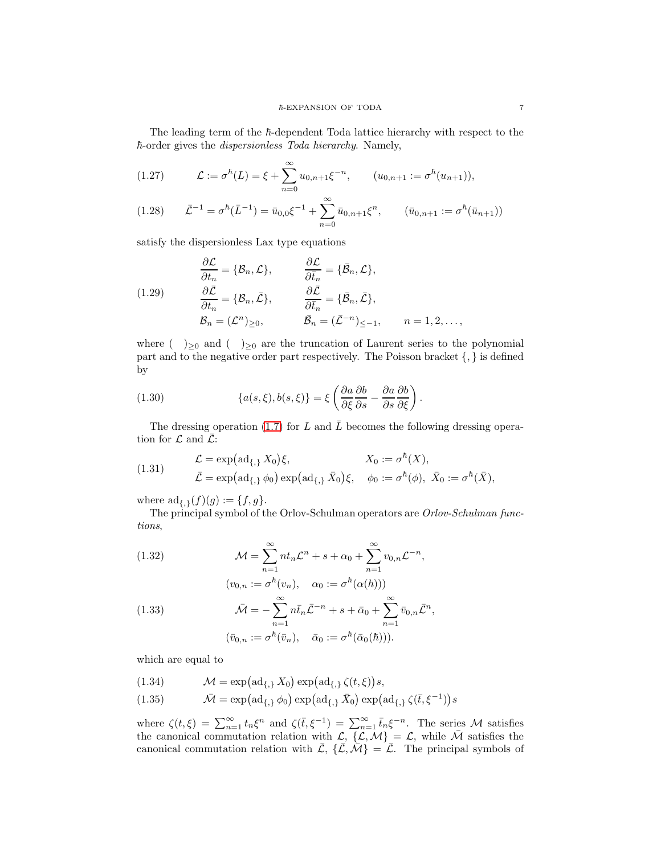The leading term of the  $h$ -dependent Toda lattice hierarchy with respect to the  $\hbar$ -order gives the *dispersionless Toda hierarchy*. Namely,

<span id="page-6-0"></span>(1.27) 
$$
\mathcal{L} := \sigma^{\hbar}(L) = \xi + \sum_{n=0}^{\infty} u_{0,n+1} \xi^{-n}, \qquad (u_{0,n+1} := \sigma^{\hbar}(u_{n+1})),
$$

<span id="page-6-1"></span>
$$
(1.28) \qquad \bar{\mathcal{L}}^{-1} = \sigma^{\hbar}(\bar{L}^{-1}) = \bar{u}_{0,0}\xi^{-1} + \sum_{n=0}^{\infty} \bar{u}_{0,n+1}\xi^{n}, \qquad (\bar{u}_{0,n+1} := \sigma^{\hbar}(\bar{u}_{n+1}))
$$

satisfy the dispersionless Lax type equations

<span id="page-6-4"></span>(1.29)  
\n
$$
\frac{\partial \mathcal{L}}{\partial t_n} = \{B_n, \mathcal{L}\}, \qquad \frac{\partial \mathcal{L}}{\partial \bar{t}_n} = \{\bar{B}_n, \mathcal{L}\},
$$
\n
$$
\frac{\partial \bar{\mathcal{L}}}{\partial t_n} = \{B_n, \bar{\mathcal{L}}\}, \qquad \frac{\partial \bar{\mathcal{L}}}{\partial \bar{t}_n} = \{\bar{B}_n, \bar{\mathcal{L}}\},
$$
\n
$$
\mathcal{B}_n = (\mathcal{L}^n)_{\geq 0}, \qquad \bar{\mathcal{B}}_n = (\bar{\mathcal{L}}^{-n})_{\leq -1}, \qquad n = 1, 2, \dots,
$$

where ( )<sub>≥0</sub> and ( )<sub>≥0</sub> are the truncation of Laurent series to the polynomial part and to the negative order part respectively. The Poisson bracket {, } is defined by

(1.30) 
$$
\{a(s,\xi),b(s,\xi)\} = \xi \left(\frac{\partial a}{\partial \xi}\frac{\partial b}{\partial s} - \frac{\partial a}{\partial s}\frac{\partial b}{\partial \xi}\right).
$$

The dressing operation [\(1.7\)](#page-3-2) for L and  $\overline{L}$  becomes the following dressing operation for  $\mathcal L$  and  $\bar{\mathcal L}$ :

(1.31) 
$$
\mathcal{L} = \exp(\mathrm{ad}_{\{,\}} X_0) \xi, \qquad X_0 := \sigma^{\hbar}(X), \n\bar{\mathcal{L}} = \exp(\mathrm{ad}_{\{,\}} \phi_0) \exp(\mathrm{ad}_{\{,\}} \bar{X}_0) \xi, \quad \phi_0 := \sigma^{\hbar}(\phi), \ \bar{X}_0 := \sigma^{\hbar}(\bar{X}),
$$

where  $ad_{\{,\}}(f)(g) := \{f, g\}.$ 

The principal symbol of the Orlov-Schulman operators are Orlov-Schulman functions,

<span id="page-6-2"></span>(1.32) 
$$
\mathcal{M} = \sum_{n=1}^{\infty} nt_n \mathcal{L}^n + s + \alpha_0 + \sum_{n=1}^{\infty} v_{0,n} \mathcal{L}^{-n},
$$

<span id="page-6-3"></span>(1.33)  
\n
$$
\overline{\mathcal{M}} = -\sum_{n=1}^{\infty} n \overline{t}_n \overline{\mathcal{L}}^{-n} + s + \overline{\alpha}_0 + \sum_{n=1}^{\infty} \overline{v}_{0,n} \overline{\mathcal{L}}^n,
$$
\n
$$
(\overline{v}_{0,n} := \sigma^{\hbar}(\overline{v}_n), \quad \overline{\alpha}_0 := \sigma^{\hbar}(\overline{\alpha}_0(\hbar))).
$$

which are equal to

(1.34) 
$$
\mathcal{M} = \exp(\operatorname{ad}_{\{\,\}} X_0) \exp(\operatorname{ad}_{\{\,\}} \zeta(t,\xi)) s,
$$

(1.35) 
$$
\bar{\mathcal{M}} = \exp\left(\operatorname{ad}_{\{\,\}}{\phi_0}\right) \exp\left(\operatorname{ad}_{\{\,\}}{\bar{X}_0}\right) \exp\left(\operatorname{ad}_{\{\,\}}{\zeta(\bar{t},\xi^{-1})}\right) s
$$

where  $\zeta(t,\xi) = \sum_{n=1}^{\infty} t_n \xi^n$  and  $\zeta(\bar{t},\xi^{-1}) = \sum_{n=1}^{\infty} \bar{t}_n \xi^{-n}$ . The series M satisfies the canonical commutation relation with  $\mathcal{L}, \overline{\{\mathcal{L},\mathcal{M}\}} = \mathcal{L}$ , while  $\bar{\mathcal{M}}$  satisfies the canonical commutation relation with  $\bar{\mathcal{L}}, \{\bar{\mathcal{L}}, \bar{\mathcal{M}}\} = \bar{\mathcal{L}}$ . The principal symbols of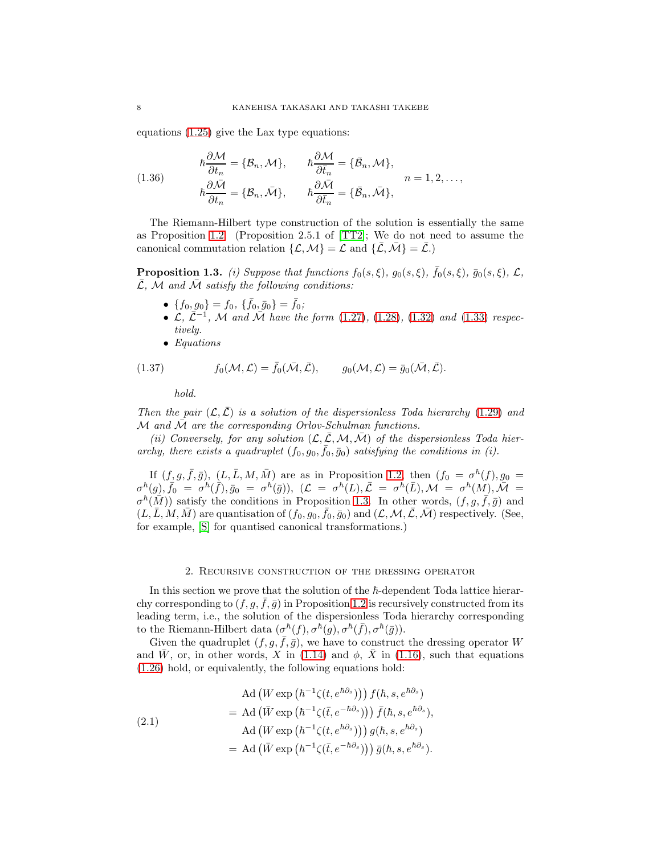equations [\(1.25\)](#page-5-2) give the Lax type equations:

(1.36)  
\n
$$
\hbar \frac{\partial \mathcal{M}}{\partial t_n} = \{B_n, \mathcal{M}\}, \qquad \hbar \frac{\partial \mathcal{M}}{\partial \bar{t}_n} = \{\bar{B}_n, \mathcal{M}\},
$$
\n
$$
\hbar \frac{\partial \bar{\mathcal{M}}}{\partial t_n} = \{B_n, \bar{\mathcal{M}}\}, \qquad \hbar \frac{\partial \bar{\mathcal{M}}}{\partial \bar{t}_n} = \{\bar{B}_n, \bar{\mathcal{M}}\},
$$
\n
$$
n = 1, 2, \dots,
$$

The Riemann-Hilbert type construction of the solution is essentially the same as Proposition [1.2.](#page-5-3) (Proposition 2.5.1 of [\[TT2\]](#page-36-2); We do not need to assume the canonical commutation relation  $\{\mathcal{L}, \mathcal{M}\} = \mathcal{L}$  and  $\{\bar{\mathcal{L}}, \bar{\mathcal{M}}\} = \bar{\mathcal{L}}.$ 

<span id="page-7-1"></span>**Proposition 1.3.** (i) Suppose that functions  $f_0(s,\xi)$ ,  $g_0(s,\xi)$ ,  $\bar{f}_0(s,\xi)$ ,  $\bar{g}_0(s,\xi)$ ,  $\mathcal{L}$ ,  $\overline{\mathcal{L}}, \mathcal{M}$  and  $\overline{\mathcal{M}}$  satisfy the following conditions:

- $\{f_0, g_0\} = f_0, \, \{\bar{f}_0, \bar{g}_0\} = \bar{f}_0;$
- $\tilde{\mathcal{L}}, \tilde{\mathcal{L}}^{-1}, \tilde{\mathcal{M}}$  and  $\tilde{\mathcal{M}}$  have the form [\(1.27\)](#page-6-0), [\(1.28\)](#page-6-1), [\(1.32\)](#page-6-2) and [\(1.33\)](#page-6-3) respectively.
- Equations

(1.37) 
$$
f_0(\mathcal{M}, \mathcal{L}) = \bar{f}_0(\bar{\mathcal{M}}, \bar{\mathcal{L}}), \qquad g_0(\mathcal{M}, \mathcal{L}) = \bar{g}_0(\bar{\mathcal{M}}, \bar{\mathcal{L}}).
$$

<span id="page-7-3"></span>hold.

Then the pair  $(\mathcal{L}, \mathcal{L})$  is a solution of the dispersionless Toda hierarchy [\(1.29\)](#page-6-4) and M and  $\overline{\mathcal{M}}$  are the corresponding Orlov-Schulman functions.

(ii) Conversely, for any solution  $(\mathcal{L}, \bar{\mathcal{L}}, \mathcal{M}, \bar{\mathcal{M}})$  of the dispersionless Toda hierarchy, there exists a quadruplet  $(f_0, g_0, \bar{f}_0, \bar{g}_0)$  satisfying the conditions in (i).

If  $(f, g, \bar{f}, \bar{g})$ ,  $(L, \bar{L}, M, \bar{M})$  are as in Proposition [1.2,](#page-5-3) then  $(f_0 = \sigma^{\hbar}(f), g_0 =$  $\sigma^\hbar(g), \tilde{\bar f_0} = \sigma^\hbar(\tilde f), \bar g_0 \ = \ \sigma^\hbar(\bar g)), \,\, (\mathcal L \ = \ \sigma^\hbar(L), \bar{\mathcal L} \ = \ \sigma^\hbar(\bar L), \mathcal M \ = \ \sigma^\hbar(M), \widetilde{\mathcal M} \ =$  $\sigma^h(\overline{M}))$  satisfy the conditions in Proposition [1.3.](#page-7-1) In other words,  $(f, g, \overline{f}, \overline{g})$  and  $(L, \overline{L}, M, \overline{M})$  are quantisation of  $(f_0, g_0, \overline{f_0}, \overline{g_0})$  and  $(L, M, \overline{L}, M)$  respectively. (See, for example, [\[S\]](#page-36-11) for quantised canonical transformations.)

#### 2. Recursive construction of the dressing operator

<span id="page-7-0"></span>In this section we prove that the solution of the  $\hbar$ -dependent Toda lattice hierarchy corresponding to  $(f, g, f, \overline{g})$  in Proposition [1.2](#page-5-3) is recursively constructed from its leading term, i.e., the solution of the dispersionless Toda hierarchy corresponding to the Riemann-Hilbert data  $(\sigma^{\hbar}(f), \sigma^{\hbar}(g), \sigma^{\hbar}(\bar{f}), \sigma^{\hbar}(\bar{g}))$ .

Given the quadruplet  $(f, g, \bar{f}, \bar{g})$ , we have to construct the dressing operator W and  $\bar{W}$ , or, in other words, X in [\(1.14\)](#page-4-0) and  $\phi$ ,  $\bar{X}$  in [\(1.16\)](#page-4-1), such that equations [\(1.26\)](#page-5-4) hold, or equivalently, the following equations hold:

<span id="page-7-2"></span>(2.1)  
\n
$$
\operatorname{Ad}(W \exp(\hbar^{-1}\zeta(t, e^{\hbar \partial s})) f(\hbar, s, e^{\hbar \partial s})
$$
\n
$$
= \operatorname{Ad}(\bar{W} \exp(\hbar^{-1}\zeta(\bar{t}, e^{-\hbar \partial s}))) \bar{f}(\hbar, s, e^{\hbar \partial s}),
$$
\n
$$
\operatorname{Ad}(W \exp(\hbar^{-1}\zeta(t, e^{\hbar \partial s}))) g(\hbar, s, e^{\hbar \partial s})
$$
\n
$$
= \operatorname{Ad}(\bar{W} \exp(\hbar^{-1}\zeta(\bar{t}, e^{-\hbar \partial s}))) \bar{g}(\hbar, s, e^{\hbar \partial s}).
$$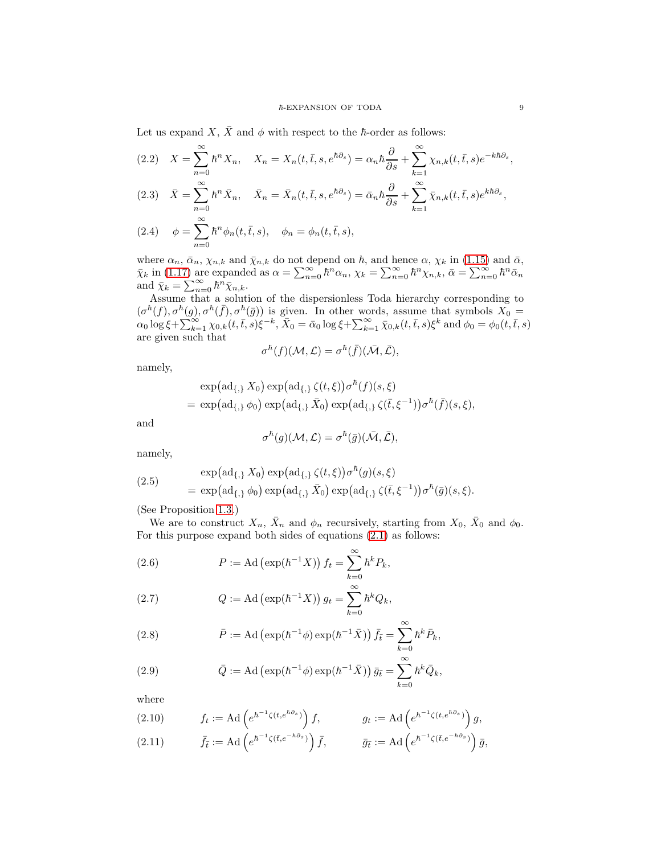Let us expand X,  $\bar{X}$  and  $\phi$  with respect to the  $\hbar$ -order as follows:

<span id="page-8-2"></span><span id="page-8-1"></span>(2.2) 
$$
X = \sum_{n=0}^{\infty} \hbar^n X_n, \quad X_n = X_n(t, \bar{t}, s, e^{\hbar \partial_s}) = \alpha_n \hbar \frac{\partial}{\partial s} + \sum_{k=1}^{\infty} \chi_{n,k}(t, \bar{t}, s) e^{-k \hbar \partial_s},
$$
  
(2.3) 
$$
\bar{X} = \sum_{n=0}^{\infty} \hbar^n \bar{X}_n, \quad \bar{X}_n = \bar{X}_n(t, \bar{t}, s, e^{\hbar \partial_s}) = \bar{\alpha}_n \hbar \frac{\partial}{\partial s} + \sum_{k=1}^{\infty} \bar{\chi}_{n,k}(t, \bar{t}, s) e^{k \hbar \partial_s},
$$
  
(2.4) 
$$
\phi = \sum_{n=0}^{\infty} \hbar^n \phi_n(t, \bar{t}, s), \quad \phi_n = \phi_n(t, \bar{t}, s),
$$

<span id="page-8-3"></span>where  $\alpha_n$ ,  $\bar{\alpha}_n$ ,  $\chi_{n,k}$  and  $\bar{\chi}_{n,k}$  do not depend on  $\hbar$ , and hence  $\alpha$ ,  $\chi_k$  in [\(1.15\)](#page-4-2) and  $\bar{\alpha}$ ,  $\bar{\chi}_k$  in [\(1.17\)](#page-4-3) are expanded as  $\alpha = \sum_{n=0}^{\infty} \hbar^n \alpha_n$ ,  $\chi_k = \sum_{n=0}^{\infty} \hbar^n \chi_{n,k}$ ,  $\bar{\alpha} = \sum_{n=0}^{\infty} \hbar^n \bar{\alpha}_n$ and  $\bar{\chi}_k = \sum_{n=0}^{\infty} \hbar^n \bar{\chi}_{n,k}$ .

Assume that a solution of the dispersionless Toda hierarchy corresponding to  $(\sigma^{\hbar}(f), \sigma^{\hbar}(g), \sigma^{\hbar}(\bar{f}), \sigma^{\hbar}(\bar{g}))$  is given. In other words, assume that symbols  $X_0 =$  $\alpha_0 \log \xi + \sum_{k=1}^{\infty} \chi_{0,k}(t,\bar{t},s) \xi^{-k}, \bar{X}_0 = \bar{\alpha}_0 \log \xi + \sum_{k=1}^{\infty} \bar{\chi}_{0,k}(t,\bar{t},s) \xi^k$  and  $\phi_0 = \phi_0(t,\bar{t},s)$ are given such that

$$
\sigma^{\hbar}(f)(\mathcal{M},\mathcal{L})=\sigma^{\hbar}(\bar{f})(\bar{\mathcal{M}},\bar{\mathcal{L}}),
$$

namely,

$$
\exp(\operatorname{ad}_{\{\,\}} X_0) \exp(\operatorname{ad}_{\{\,\}} \zeta(t,\xi)) \sigma^{\hbar}(f)(s,\xi)
$$
  
= 
$$
\exp(\operatorname{ad}_{\{\,\}} \phi_0) \exp(\operatorname{ad}_{\{\,\}} \bar{X}_0) \exp(\operatorname{ad}_{\{\,\}} \zeta(\bar{t},\xi^{-1})) \sigma^{\hbar}(\bar{f})(s,\xi),
$$

and

$$
\sigma^{\hbar}(g)(\mathcal{M}, \mathcal{L}) = \sigma^{\hbar}(\bar{g})(\bar{\mathcal{M}}, \bar{\mathcal{L}}),
$$

namely,

<span id="page-8-0"></span>(2.5) 
$$
\exp(\mathrm{ad}_{\{\,,\}} X_0) \exp(\mathrm{ad}_{\{\,,\}} \zeta(t,\xi)) \sigma^{\hbar}(g)(s,\xi)
$$

$$
= \exp(\mathrm{ad}_{\{\,,\}} \phi_0) \exp(\mathrm{ad}_{\{\,,\}} \bar{X}_0) \exp(\mathrm{ad}_{\{\,,\}} \zeta(\bar{t},\xi^{-1})) \sigma^{\hbar}(\bar{g})(s,\xi).
$$

(See Proposition [1.3.](#page-7-1))

We are to construct  $X_n$ ,  $\bar{X}_n$  and  $\phi_n$  recursively, starting from  $X_0$ ,  $\bar{X}_0$  and  $\phi_0$ . For this purpose expand both sides of equations [\(2.1\)](#page-7-2) as follows:

<span id="page-8-4"></span>(2.6) 
$$
P := \text{Ad}\left(\exp(\hbar^{-1}X)\right)f_t = \sum_{k=0}^{\infty} \hbar^k P_k,
$$

(2.7) 
$$
Q := \text{Ad} \left( \exp(\hbar^{-1} X) \right) g_t = \sum_{k=0}^{\infty} \hbar^k Q_k,
$$

(2.8) 
$$
\bar{P} := \text{Ad} \left( \exp(\hbar^{-1} \phi) \exp(\hbar^{-1} \bar{X}) \right) \bar{f}_{\bar{t}} = \sum_{k=0}^{\infty} \hbar^k \bar{P}_k,
$$

(2.9) 
$$
\bar{Q} := \mathrm{Ad} \left( \exp(\hbar^{-1} \phi) \exp(\hbar^{-1} \bar{X}) \right) \bar{g}_{\bar{t}} = \sum_{k=0}^{\infty} \hbar^k \bar{Q}_k,
$$

where

<span id="page-8-5"></span>(2.10) 
$$
f_t := \mathrm{Ad} \left( e^{\hbar^{-1} \zeta (t, e^{\hbar \partial_s})} \right) f, \qquad g_t := \mathrm{Ad} \left( e^{\hbar^{-1} \zeta (t, e^{\hbar \partial_s})} \right) g,
$$

(2.11) 
$$
\bar{f}_{\bar{t}} := \mathrm{Ad} \left( e^{\hbar^{-1} \zeta (\bar{t}, e^{-\hbar \partial s})} \right) \bar{f}, \qquad \bar{g}_{\bar{t}} := \mathrm{Ad} \left( e^{\hbar^{-1} \zeta (\bar{t}, e^{-\hbar \partial s})} \right) \bar{g},
$$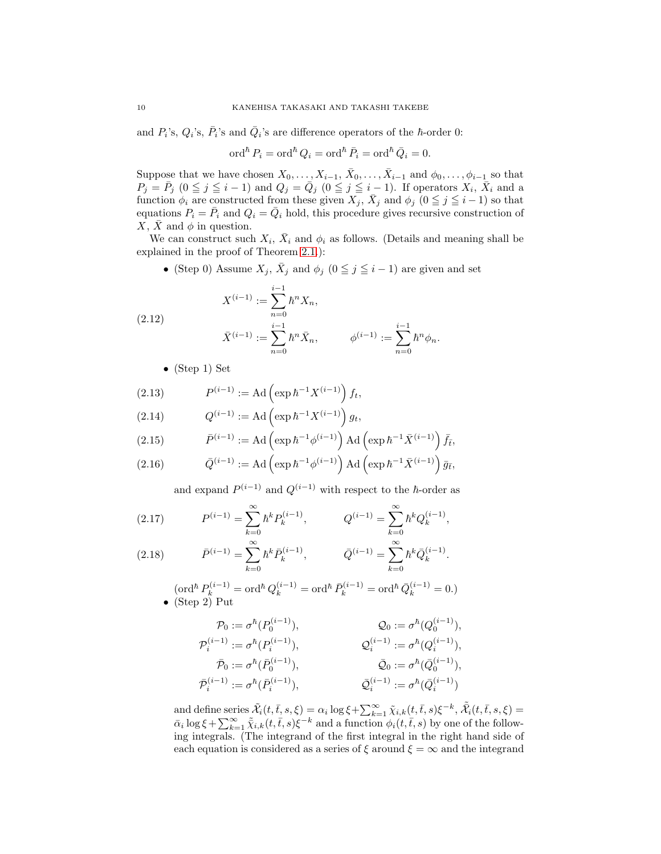and  $P_i$ 's,  $Q_i$ 's,  $\overline{P}_i$ 's and  $\overline{Q}_i$ 's are difference operators of the  $\hbar$ -order 0:

$$
\operatorname{ord}^\hbar P_i = \operatorname{ord}^\hbar Q_i = \operatorname{ord}^\hbar \bar P_i = \operatorname{ord}^\hbar \bar Q_i = 0.
$$

Suppose that we have chosen  $X_0, \ldots, X_{i-1}, \bar{X}_0, \ldots, \bar{X}_{i-1}$  and  $\phi_0, \ldots, \phi_{i-1}$  so that  $P_j = \bar{P}_j$   $(0 \leq j \leq i-1)$  and  $Q_j = \bar{Q}_j$   $(0 \leq j \leq i-1)$ . If operators  $X_i$ ,  $\bar{X}_i$  and a function  $\phi_i$  are constructed from these given  $X_j$ ,  $\bar{X}_j$  and  $\phi_j$  ( $0 \leq j \leq i-1$ ) so that equations  $P_i = \overline{P}_i$  and  $Q_i = \overline{Q}_i$  hold, this procedure gives recursive construction of  $X, \overline{X}$  and  $\phi$  in question.

We can construct such  $X_i$ ,  $\bar{X}_i$  and  $\phi_i$  as follows. (Details and meaning shall be explained in the proof of Theorem [2.1.](#page-10-0)):

• (Step 0) Assume  $X_j$ ,  $\bar{X}_j$  and  $\phi_j$  ( $0 \leq j \leq i-1$ ) are given and set

(2.12) 
$$
X^{(i-1)} := \sum_{n=0}^{i-1} \hbar^n X_n,
$$

$$
\bar{X}^{(i-1)} := \sum_{n=0}^{i-1} \hbar^n \bar{X}_n, \qquad \phi^{(i-1)} := \sum_{n=0}^{i-1} \hbar^n \phi_n.
$$

<span id="page-9-0"></span>• (Step 1) Set

<span id="page-9-1"></span>(2.13) 
$$
P^{(i-1)} := \mathrm{Ad} \left( \exp \hbar^{-1} X^{(i-1)} \right) f_t,
$$

<span id="page-9-2"></span>(2.14) 
$$
Q^{(i-1)} := \mathrm{Ad} \left( \exp \hbar^{-1} X^{(i-1)} \right) g_t,
$$

<span id="page-9-5"></span>(2.15) 
$$
\bar{P}^{(i-1)} := \mathrm{Ad}\left(\exp \hbar^{-1} \phi^{(i-1)}\right) \mathrm{Ad}\left(\exp \hbar^{-1} \bar{X}^{(i-1)}\right) \bar{f}_{\bar{t}},
$$

(2.16) 
$$
\bar{Q}^{(i-1)} := \mathrm{Ad}\left(\exp \hbar^{-1} \phi^{(i-1)}\right) \mathrm{Ad}\left(\exp \hbar^{-1} \bar{X}^{(i-1)}\right) \bar{g}_{\bar{t}},
$$

and expand  $P^{(i-1)}$  and  $Q^{(i-1)}$  with respect to the  $\hbar$ -order as

<span id="page-9-3"></span>(2.17) 
$$
P^{(i-1)} = \sum_{k=0}^{\infty} \hbar^k P_k^{(i-1)}, \qquad Q^{(i-1)} = \sum_{k=0}^{\infty} \hbar^k Q_k^{(i-1)},
$$

<span id="page-9-4"></span>(2.18) 
$$
\bar{P}^{(i-1)} = \sum_{k=0}^{\infty} \hbar^k \bar{P}_k^{(i-1)}, \qquad \bar{Q}^{(i-1)} = \sum_{k=0}^{\infty} \hbar^k \bar{Q}_k^{(i-1)}.
$$

$$
(\text{ord}^{\hbar} P_k^{(i-1)} = \text{ord}^{\hbar} Q_k^{(i-1)} = \text{ord}^{\hbar} \bar{P}_k^{(i-1)} = \text{ord}^{\hbar} \bar{Q}_k^{(i-1)} = 0.)
$$
  
• (Step 2) Put

$$
\begin{aligned} \mathcal{P}_0&:=\sigma^{\hbar}(P_0^{(i-1)}), &\mathcal{Q}_0&:=\sigma^{\hbar}(Q_0^{(i-1)}),\\ \mathcal{P}_i^{(i-1)}&:=\sigma^{\hbar}(P_i^{(i-1)}), &\mathcal{Q}_i^{(i-1)}&:=\sigma^{\hbar}(Q_i^{(i-1)}),\\ \bar{\mathcal{P}}_0&:=\sigma^{\hbar}(\bar{P}_0^{(i-1)}), &\bar{\mathcal{Q}}_0&:=\sigma^{\hbar}(\bar{Q}_0^{(i-1)}),\\ \bar{\mathcal{P}}_i^{(i-1)}&:=\sigma^{\hbar}(\bar{P}_i^{(i-1)}), &\bar{\mathcal{Q}}_i^{(i-1)}&:=\sigma^{\hbar}(\bar{Q}_i^{(i-1)}) \end{aligned}
$$

and define series  $\tilde{\mathcal{X}}_i(t,\bar{t},s,\xi) = \alpha_i \log \xi + \sum_{k=1}^{\infty} \tilde{\chi}_{i,k}(t,\bar{t},s) \xi^{-k}, \tilde{\bar{\mathcal{X}}}_i(t,\bar{t},s,\xi) =$  $\bar{\alpha}_i \log \xi + \sum_{k=1}^{\infty} \tilde{\chi}_{i,k}(t,\bar{t},s) \xi^{-k}$  and a function  $\phi_i(t,\bar{t},s)$  by one of the following integrals. (The integrand of the first integral in the right hand side of each equation is considered as a series of  $\xi$  around  $\xi = \infty$  and the integrand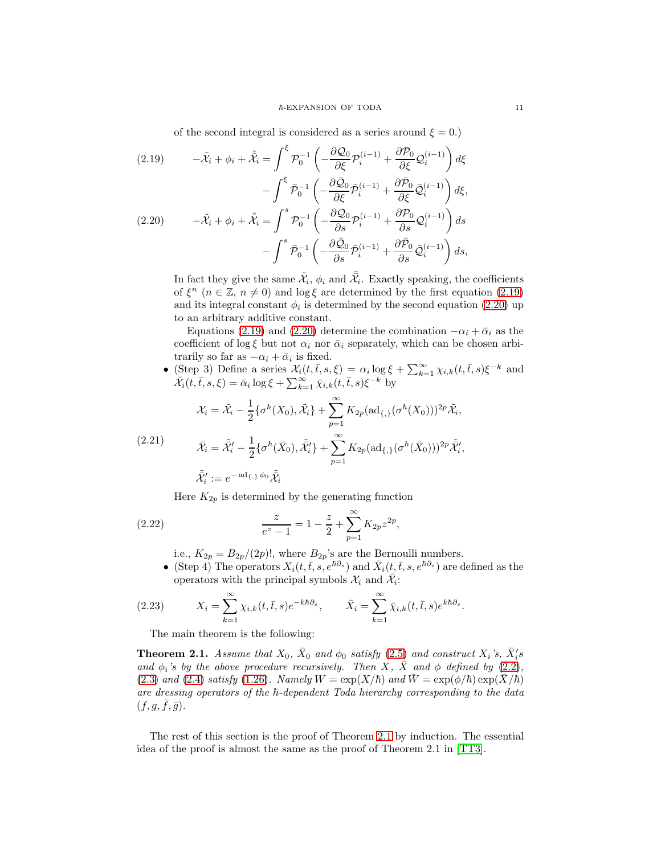of the second integral is considered as a series around  $\xi = 0$ .)

<span id="page-10-2"></span><span id="page-10-1"></span>(2.19) 
$$
-\tilde{\mathcal{X}}_i + \phi_i + \tilde{\bar{\mathcal{X}}}_i = \int^{\xi} \mathcal{P}_0^{-1} \left( -\frac{\partial \mathcal{Q}_0}{\partial \xi} \mathcal{P}_i^{(i-1)} + \frac{\partial \mathcal{P}_0}{\partial \xi} \mathcal{Q}_i^{(i-1)} \right) d\xi - \int^{\xi} \bar{\mathcal{P}}_0^{-1} \left( -\frac{\partial \bar{\mathcal{Q}}_0}{\partial \xi} \bar{\mathcal{P}}_i^{(i-1)} + \frac{\partial \bar{\mathcal{P}}_0}{\partial \xi} \bar{\mathcal{Q}}_i^{(i-1)} \right) d\xi,
$$
  
(2.20) 
$$
-\tilde{\mathcal{X}}_i + \phi_i + \tilde{\bar{\mathcal{X}}}_i = \int^s \mathcal{P}_0^{-1} \left( -\frac{\partial \mathcal{Q}_0}{\partial s} \mathcal{P}_i^{(i-1)} + \frac{\partial \mathcal{P}_0}{\partial s} \mathcal{Q}_i^{(i-1)} \right) ds - \int^s \bar{\mathcal{P}}_0^{-1} \left( -\frac{\partial \bar{\mathcal{Q}}_0}{\partial s} \bar{\mathcal{P}}_i^{(i-1)} + \frac{\partial \bar{\mathcal{P}}_0}{\partial s} \bar{\mathcal{Q}}_i^{(i-1)} \right) ds,
$$

In fact they give the same  $\tilde{\mathcal{X}}_i$ ,  $\phi_i$  and  $\tilde{\mathcal{X}}_i$ . Exactly speaking, the coefficients of  $\xi^{n}$   $(n \in \mathbb{Z}, n \neq 0)$  and  $\log \xi$  are determined by the first equation [\(2.19\)](#page-10-1) and its integral constant  $\phi_i$  is determined by the second equation [\(2.20\)](#page-10-2) up to an arbitrary additive constant.

Equations [\(2.19\)](#page-10-1) and [\(2.20\)](#page-10-2) determine the combination  $-\alpha_i + \bar{\alpha}_i$  as the coefficient of log  $\xi$  but not  $\alpha_i$  nor  $\bar{\alpha}_i$  separately, which can be chosen arbitrarily so far as  $-\alpha_i + \bar{\alpha}_i$  is fixed.

• (Step 3) Define a series  $\mathcal{X}_i(t,\bar{t},s,\xi) = \alpha_i \log \xi + \sum_{k=1}^{\infty} \chi_{i,k}(t,\bar{t},s)\xi^{-k}$  and  $\bar{\mathcal{X}}_i(t,\bar{t},s,\xi) = \bar{\alpha}_i \log \xi + \sum_{k=1}^{\infty} \bar{\chi}_{i,k}(t,\bar{t},s) \xi^{-k}$  by

$$
\mathcal{X}_i = \tilde{\mathcal{X}}_i - \frac{1}{2} \{ \sigma^{\hbar}(X_0), \tilde{\mathcal{X}}_i \} + \sum_{p=1}^{\infty} K_{2p} ( \mathrm{ad}_{\{, \}} (\sigma^{\hbar}(X_0)))^{2p} \tilde{\mathcal{X}}_i,
$$

<span id="page-10-4"></span>(2.21) 
$$
\bar{\mathcal{X}}_i = \tilde{\mathcal{X}}'_i - \frac{1}{2} \{ \sigma^{\hbar}(\bar{X}_0), \tilde{\mathcal{X}}'_i \} + \sum_{p=1}^{\infty} K_{2p} (ad_{\{,\}} (\sigma^{\hbar}(\bar{X}_0)))^{2p} \tilde{\mathcal{X}}'_i,
$$

$$
\tilde{\mathcal{X}}'_i := e^{-ad_{\{,\}} \phi_0} \tilde{\mathcal{X}}_i
$$

<span id="page-10-3"></span>Here  $K_{2p}$  is determined by the generating function

(2.22) 
$$
\frac{z}{e^z - 1} = 1 - \frac{z}{2} + \sum_{p=1}^{\infty} K_{2p} z^{2p},
$$

i.e.,  $K_{2p} = B_{2p}/(2p)!$ , where  $B_{2p}$ 's are the Bernoulli numbers.

• (Step 4) The operators  $X_i(t, \bar{t}, s, e^{\hbar \partial_s})$  and  $\bar{X}_i(t, \bar{t}, s, e^{\hbar \partial_s})$  are defined as the operators with the principal symbols  $\mathcal{X}_i$  and  $\overline{\mathcal{X}}_i$ :

(2.23) 
$$
X_i = \sum_{k=1}^{\infty} \chi_{i,k}(t,\bar{t},s)e^{-k\hbar\partial_s}, \qquad \bar{X}_i = \sum_{k=1}^{\infty} \bar{\chi}_{i,k}(t,\bar{t},s)e^{k\hbar\partial_s}.
$$

The main theorem is the following:

<span id="page-10-0"></span>**Theorem 2.1.** Assume that  $X_0$ ,  $\bar{X}_0$  and  $\phi_0$  satisfy  $(2.5)$  and construct  $X_i$ 's,  $\bar{X}_i$ 's and  $\phi_i$ 's by the above procedure recursively. Then X,  $\bar{X}$  and  $\phi$  defined by [\(2.2\)](#page-8-1), [\(2.3\)](#page-8-2) and [\(2.4\)](#page-8-3) satisfy [\(1.26\)](#page-5-4). Namely  $W = \exp(X/\hbar)$  and  $\bar{W} = \exp(\phi/\hbar) \exp(\bar{X}/\hbar)$ are dressing operators of the  $h$ -dependent Toda hierarchy corresponding to the data  $(f, g, \overline{f}, \overline{g}).$ 

The rest of this section is the proof of Theorem [2.1](#page-10-0) by induction. The essential idea of the proof is almost the same as the proof of Theorem 2.1 in [\[TT3\]](#page-36-0).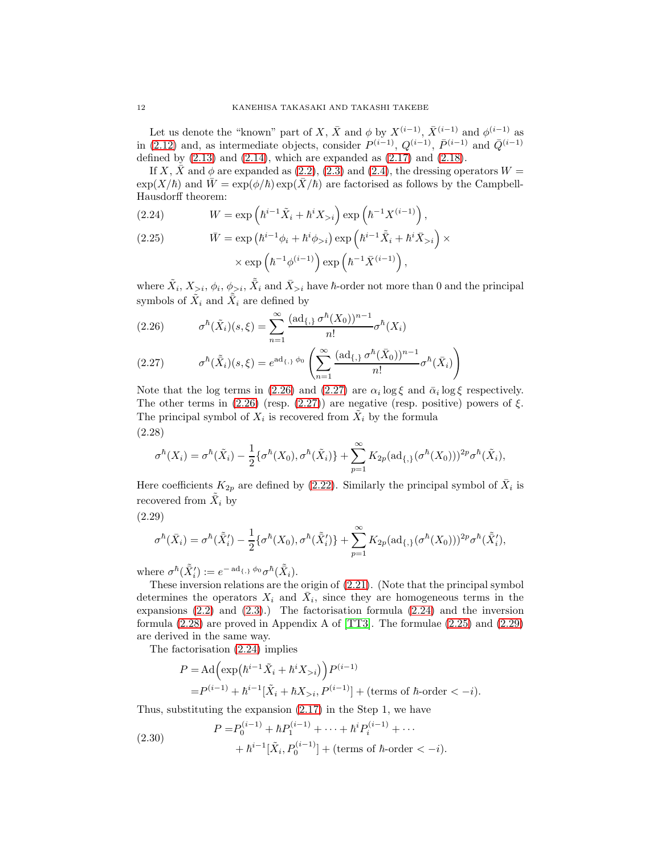Let us denote the "known" part of X,  $\bar{X}$  and  $\phi$  by  $X^{(i-1)}$ ,  $\bar{X}^{(i-1)}$  and  $\phi^{(i-1)}$  as in [\(2.12\)](#page-9-0) and, as intermediate objects, consider  $P^{(i-1)}$ ,  $Q^{(i-1)}$ ,  $\bar{P}^{(i-1)}$  and  $\bar{Q}^{(i-1)}$ defined by  $(2.13)$  and  $(2.14)$ , which are expanded as  $(2.17)$  and  $(2.18)$ .

If X,  $\bar{X}$  and  $\phi$  are expanded as [\(2.2\)](#page-8-1), [\(2.3\)](#page-8-2) and [\(2.4\)](#page-8-3), the dressing operators  $W =$  $\exp(X/\hbar)$  and  $W = \exp(\phi/\hbar) \exp(X/\hbar)$  are factorised as follows by the Campbell-Hausdorff theorem:

<span id="page-11-2"></span>(2.24) 
$$
W = \exp\left(\hbar^{i-1}\tilde{X}_i + \hbar^i X_{>i}\right) \exp\left(\hbar^{-1}X^{(i-1)}\right),
$$

<span id="page-11-4"></span>(2.25) 
$$
\bar{W} = \exp\left(\hbar^{i-1}\phi_i + \hbar^i\phi_{>i}\right) \exp\left(\hbar^{i-1}\tilde{X}_i + \hbar^i\bar{X}_{>i}\right) \times \\ \times \exp\left(\hbar^{-1}\phi^{(i-1)}\right) \exp\left(\hbar^{-1}\bar{X}^{(i-1)}\right),
$$

where  $\tilde{X}_i, X_{>i}, \phi_i, \phi_{>i}, \tilde{\bar{X}}_i$  and  $\bar{X}_{>i}$  have  $\hbar$ -order not more than 0 and the principal symbols of  $\tilde{X}_i$  and  $\tilde{\bar{X}}_i$  are defined by

<span id="page-11-0"></span>(2.26) 
$$
\sigma^{\hbar}(\tilde{X}_i)(s,\xi) = \sum_{n=1}^{\infty} \frac{(\text{ad}_{\{,\}} \sigma^{\hbar}(X_0))^{n-1}}{n!} \sigma^{\hbar}(X_i)
$$

<span id="page-11-1"></span>(2.27) 
$$
\sigma^{\hbar}(\tilde{X}_i)(s,\xi) = e^{ad_{\{\,\}}\phi_0} \left( \sum_{n=1}^{\infty} \frac{(ad_{\{\,\}}\sigma^{\hbar}(\bar{X}_0))^{n-1}}{n!} \sigma^{\hbar}(\bar{X}_i) \right)
$$

Note that the log terms in [\(2.26\)](#page-11-0) and [\(2.27\)](#page-11-1) are  $\alpha_i \log \xi$  and  $\bar{\alpha}_i \log \xi$  respectively. The other terms in  $(2.26)$  (resp.  $(2.27)$ ) are negative (resp. positive) powers of  $\xi$ . The principal symbol of  $X_i$  is recovered from  $\tilde{X}_i$  by the formula (2.28)

<span id="page-11-3"></span>
$$
\sigma^{\hbar}(X_i) = \sigma^{\hbar}(\tilde{X}_i) - \frac{1}{2} \{ \sigma^{\hbar}(X_0), \sigma^{\hbar}(\tilde{X}_i) \} + \sum_{p=1}^{\infty} K_{2p} (ad_{\{,\}}(\sigma^{\hbar}(X_0)))^{2p} \sigma^{\hbar}(\tilde{X}_i),
$$

Here coefficients  $K_{2p}$  are defined by [\(2.22\)](#page-10-3). Similarly the principal symbol of  $\bar{X}_i$  is recovered from  $\tilde{X}_i$  by

$$
(2.29)
$$

<span id="page-11-5"></span>
$$
\sigma^{\hbar}(\bar{X}_i) = \sigma^{\hbar}(\tilde{\bar{X}}'_i) - \frac{1}{2} \{ \sigma^{\hbar}(X_0), \sigma^{\hbar}(\tilde{\bar{X}}'_i) \} + \sum_{p=1}^{\infty} K_{2p} (ad_{\{,\}}(\sigma^{\hbar}(X_0)))^{2p} \sigma^{\hbar}(\tilde{\bar{X}}'_i),
$$

where  $\sigma^{\hbar}(\tilde{X}'_i) := e^{- \operatorname{ad}_{\{\,\}}{\phi_0}} \sigma^{\hbar}(\tilde{X}_i)$ .

These inversion relations are the origin of [\(2.21\)](#page-10-4). (Note that the principal symbol determines the operators  $X_i$  and  $\bar{X}_i$ , since they are homogeneous terms in the expansions [\(2.2\)](#page-8-1) and [\(2.3\)](#page-8-2).) The factorisation formula [\(2.24\)](#page-11-2) and the inversion formula [\(2.28\)](#page-11-3) are proved in Appendix A of [\[TT3\]](#page-36-0). The formulae [\(2.25\)](#page-11-4) and [\(2.29\)](#page-11-5) are derived in the same way.

The factorisation [\(2.24\)](#page-11-2) implies

$$
P = \text{Ad}\left(\exp\left(\hbar^{i-1}\tilde{X}_i + \hbar^i X_{>i}\right)\right) P^{(i-1)} = P^{(i-1)} + \hbar^{i-1}[\tilde{X}_i + \hbar X_{>i}, P^{(i-1)}] + \text{(terms of }\hbar\text{-order} < -i\text{)}.
$$

Thus, substituting the expansion [\(2.17\)](#page-9-3) in the Step 1, we have

(2.30) 
$$
P = P_0^{(i-1)} + \hbar P_1^{(i-1)} + \dots + \hbar^i P_i^{(i-1)} + \dots
$$

$$
+ \hbar^{i-1} [\tilde{X}_i, P_0^{(i-1)}] + (\text{terms of } \hbar\text{-order} < -i).
$$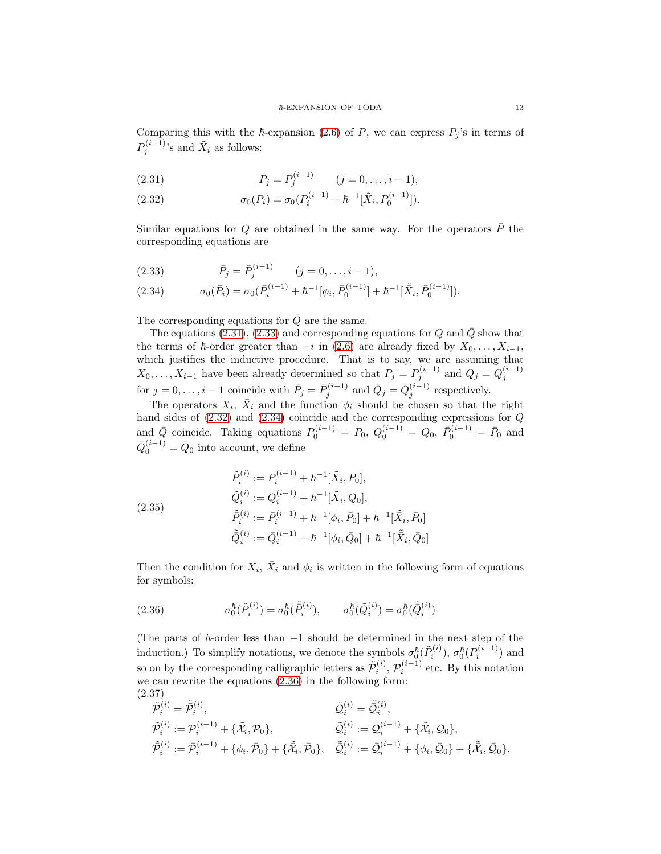Comparing this with the  $\hbar$ -expansion [\(2.6\)](#page-8-4) of P, we can express  $P_j$ 's in terms of  $P_j^{(i-1)}$ 's and  $\tilde{X}_i$  as follows:

<span id="page-12-0"></span>(2.31) 
$$
P_j = P_j^{(i-1)} \qquad (j = 0, \ldots, i-1),
$$

<span id="page-12-2"></span>(2.32)  $\sigma_0(P_i) = \sigma_0(P_i^{(i-1)} + \hbar^{-1}[\tilde{X}_i, P_0^{(i-1)}]).$ 

Similar equations for Q are obtained in the same way. For the operators  $\overline{P}$  the corresponding equations are

<span id="page-12-1"></span>(2.33) 
$$
\bar{P}_j = \bar{P}_j^{(i-1)} \qquad (j = 0, \dots, i-1),
$$

<span id="page-12-3"></span>(2.34) 
$$
\sigma_0(\bar{P}_i) = \sigma_0(\bar{P}_i^{(i-1)} + \hbar^{-1}[\phi_i, \bar{P}_0^{(i-1)}] + \hbar^{-1}[\tilde{X}_i, \bar{P}_0^{(i-1)}]).
$$

The corresponding equations for  $\overline{Q}$  are the same.

The equations [\(2.31\)](#page-12-0), [\(2.33\)](#page-12-1) and corresponding equations for  $Q$  and  $\overline{Q}$  show that the terms of  $\hbar$ -order greater than  $-i$  in [\(2.6\)](#page-8-4) are already fixed by  $X_0, \ldots, X_{i-1}$ , which justifies the inductive procedure. That is to say, we are assuming that  $X_0, \ldots, X_{i-1}$  have been already determined so that  $P_j = P_j^{(i-1)}$  and  $Q_j = Q_j^{(i-1)}$  for  $j = 0, \ldots, i-1$  coincide with  $\bar{P}_j = \bar{P}_j^{(i-1)}$  and  $\bar{Q}_j = \bar{Q}_j^{(i-1)}$  respectively.

The operators  $X_i$ ,  $\bar{X}_i$  and the function  $\phi_i$  should be chosen so that the right hand sides of [\(2.32\)](#page-12-2) and [\(2.34\)](#page-12-3) coincide and the corresponding expressions for Q and  $\bar{Q}$  coincide. Taking equations  $P_0^{(i-1)} = P_0$ ,  $Q_0^{(i-1)} = Q_0$ ,  $\bar{P}_0^{(i-1)} = \bar{P}_0$  and  $\bar{Q}_0^{(i-1)} = \bar{Q}_0$  into account, we define

(2.35)  
\n
$$
\tilde{P}_i^{(i)} := P_i^{(i-1)} + \hbar^{-1} [\tilde{X}_i, P_0],
$$
\n
$$
\tilde{Q}_i^{(i)} := Q_i^{(i-1)} + \hbar^{-1} [\tilde{X}_i, Q_0],
$$
\n
$$
\tilde{P}_i^{(i)} := \bar{P}_i^{(i-1)} + \hbar^{-1} [\phi_i, \bar{P}_0] + \hbar^{-1} [\tilde{X}_i, \bar{P}_0]
$$
\n
$$
\tilde{Q}_i^{(i)} := \bar{Q}_i^{(i-1)} + \hbar^{-1} [\phi_i, \bar{Q}_0] + \hbar^{-1} [\tilde{X}_i, \bar{Q}_0]
$$

Then the condition for  $X_i$ ,  $\bar{X}_i$  and  $\phi_i$  is written in the following form of equations for symbols:

<span id="page-12-4"></span>(2.36) 
$$
\sigma_0^{\hbar}(\tilde{P}_i^{(i)}) = \sigma_0^{\hbar}(\tilde{P}_i^{(i)}), \qquad \sigma_0^{\hbar}(\tilde{Q}_i^{(i)}) = \sigma_0^{\hbar}(\tilde{\tilde{Q}}_i^{(i)})
$$

(The parts of  $\hbar$ -order less than  $-1$  should be determined in the next step of the induction.) To simplify notations, we denote the symbols  $\sigma_0^\hbar(\tilde{P}_i^{(i)}$  $\sigma_0^{\hbar(i)}$ ),  $\sigma_0^{\hbar}(P_i^{(i-1)})$  $\binom{i^{(i-1)}}{i}$  and so on by the corresponding calligraphic letters as  $\tilde{\mathcal{P}}_i^{(i)}$  $\mathcal{P}_i^{(i)},\, \mathcal{P}_i^{(i-1)}$  $i^{(i-1)}$  etc. By this notation we can rewrite the equations [\(2.36\)](#page-12-4) in the following form: (2.37)

$$
\begin{aligned}\n\tilde{\mathcal{P}}_i^{(i)} &= \tilde{\mathcal{P}}_i^{(i)}, & \tilde{\mathcal{Q}}_i^{(i)} &= \tilde{\mathcal{Q}}_i^{(i)}, \\
\tilde{\mathcal{P}}_i^{(i)} &:= \mathcal{P}_i^{(i-1)} + \{\tilde{\mathcal{X}}_i, \mathcal{P}_0\}, & \tilde{\mathcal{Q}}_i^{(i)} &:= \mathcal{Q}_i^{(i-1)} + \{\tilde{\mathcal{X}}_i, \mathcal{Q}_0\}, \\
\tilde{\mathcal{P}}_i^{(i)} &:= \bar{\mathcal{P}}_i^{(i-1)} + \{\phi_i, \bar{\mathcal{P}}_0\} + \{\tilde{\mathcal{X}}_i, \bar{\mathcal{P}}_0\}, & \tilde{\mathcal{Q}}_i^{(i)} &:= \mathcal{Q}_i^{(i-1)} + \{\phi_i, \bar{\mathcal{Q}}_0\} + \{\tilde{\mathcal{X}}_i, \bar{\mathcal{Q}}_0\}.\n\end{aligned}
$$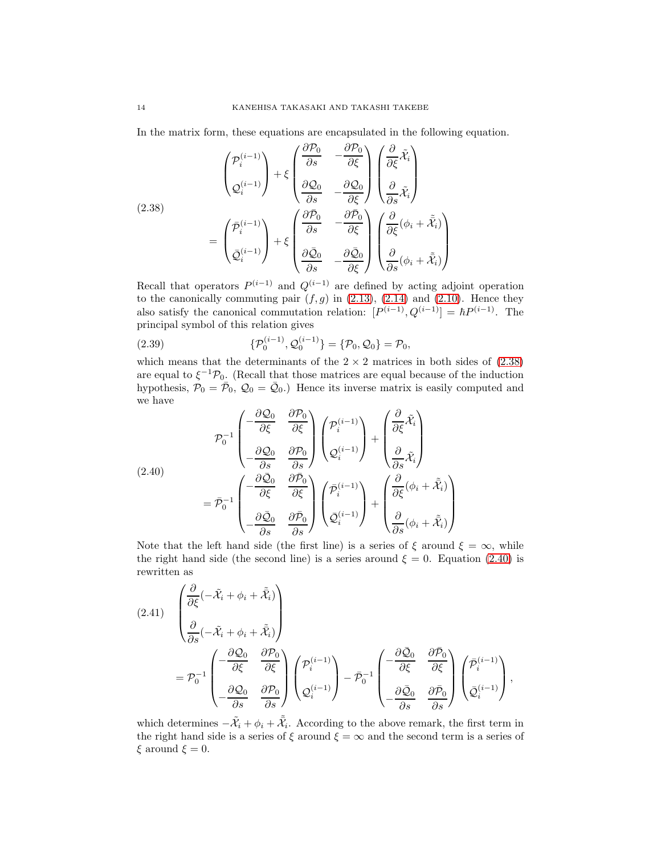In the matrix form, these equations are encapsulated in the following equation.

<span id="page-13-0"></span>(2.38)  
\n
$$
\begin{pmatrix}\n\mathcal{P}_i^{(i-1)} \\
\mathcal{Q}_i^{(i-1)}\n\end{pmatrix} + \xi \begin{pmatrix}\n\frac{\partial \mathcal{P}_0}{\partial s} & -\frac{\partial \mathcal{P}_0}{\partial \xi} \\
\frac{\partial \mathcal{Q}_0}{\partial s} & -\frac{\partial \mathcal{Q}_0}{\partial \xi}\n\end{pmatrix} \begin{pmatrix}\n\frac{\partial}{\partial s}\tilde{x}_i \\
\frac{\partial}{\partial s}\tilde{x}_i\n\end{pmatrix}
$$
\n
$$
= \begin{pmatrix}\n\bar{p}_i^{(i-1)} \\
\bar{q}_i^{(i-1)}\n\end{pmatrix} + \xi \begin{pmatrix}\n\frac{\partial \bar{\mathcal{P}}_0}{\partial s} & -\frac{\partial \bar{\mathcal{P}}_0}{\partial \xi} \\
\frac{\partial \bar{\mathcal{Q}}_0}{\partial s} & -\frac{\partial \bar{\mathcal{Q}}_0}{\partial \xi}\n\end{pmatrix} \begin{pmatrix}\n\frac{\partial}{\partial s}(\phi_i + \tilde{x}_i) \\
\frac{\partial}{\partial s}(\phi_i + \tilde{x}_i)\n\end{pmatrix}
$$

Recall that operators  $P^{(i-1)}$  and  $Q^{(i-1)}$  are defined by acting adjoint operation to the canonically commuting pair  $(f, g)$  in [\(2.13\)](#page-9-1), [\(2.14\)](#page-9-2) and [\(2.10\)](#page-8-5). Hence they also satisfy the canonical commutation relation:  $[P^{(i-1)}, Q^{(i-1)}] = \hbar P^{(i-1)}$ . The principal symbol of this relation gives

<span id="page-13-3"></span>(2.39) 
$$
\{P_0^{(i-1)}, Q_0^{(i-1)}\} = \{P_0, Q_0\} = P_0,
$$

which means that the determinants of the  $2 \times 2$  matrices in both sides of  $(2.38)$ are equal to  $\xi^{-1} \mathcal{P}_0$ . (Recall that those matrices are equal because of the induction hypothesis,  $\mathcal{P}_0 = \bar{\mathcal{P}}_0$ ,  $\mathcal{Q}_0 = \bar{\mathcal{Q}}_0$ . Hence its inverse matrix is easily computed and we have

<span id="page-13-1"></span>(2.40)  
\n
$$
\mathcal{P}_0^{-1} \begin{pmatrix}\n-\frac{\partial \mathcal{Q}_0}{\partial \xi} & \frac{\partial \mathcal{P}_0}{\partial \xi} \\
-\frac{\partial \mathcal{Q}_0}{\partial s} & \frac{\partial \mathcal{P}_0}{\partial s}\n\end{pmatrix}\n\begin{pmatrix}\n\mathcal{P}_i^{(i-1)} \\
\mathcal{Q}_i^{(i-1)}\n\end{pmatrix} + \begin{pmatrix}\n\frac{\partial}{\partial \xi}\tilde{\mathcal{X}}_i \\
\frac{\partial}{\partial s}\tilde{\mathcal{X}}_i\n\end{pmatrix}
$$
\n
$$
= \bar{\mathcal{P}}_0^{-1} \begin{pmatrix}\n-\frac{\partial \bar{\mathcal{Q}}_0}{\partial \xi} & \frac{\partial \bar{\mathcal{P}}_0}{\partial \xi} \\
-\frac{\partial \bar{\mathcal{Q}}_0}{\partial s} & \frac{\partial \bar{\mathcal{P}}_0}{\partial s}\n\end{pmatrix}\n\begin{pmatrix}\n\bar{\mathcal{P}}_i^{(i-1)} \\
\bar{\mathcal{Q}}_i^{(i-1)}\n\end{pmatrix} + \begin{pmatrix}\n\frac{\partial}{\partial \xi}(\phi_i + \tilde{\mathcal{X}}_i) \\
\frac{\partial}{\partial s}(\phi_i + \tilde{\mathcal{X}}_i)\n\end{pmatrix}
$$

Note that the left hand side (the first line) is a series of  $\xi$  around  $\xi = \infty$ , while the right hand side (the second line) is a series around  $\xi = 0$ . Equation [\(2.40\)](#page-13-1) is rewritten as

<span id="page-13-2"></span>
$$
(2.41) \quad \begin{pmatrix} \frac{\partial}{\partial \xi} (-\tilde{\mathcal{X}}_i + \phi_i + \tilde{\tilde{\mathcal{X}}}_i) \\ \frac{\partial}{\partial s} (-\tilde{\mathcal{X}}_i + \phi_i + \tilde{\tilde{\mathcal{X}}}_i) \end{pmatrix} \\ = \mathcal{P}_0^{-1} \begin{pmatrix} -\frac{\partial \mathcal{Q}_0}{\partial \xi} & \frac{\partial \mathcal{P}_0}{\partial \xi} \\ -\frac{\partial \mathcal{Q}_0}{\partial s} & \frac{\partial \mathcal{P}_0}{\partial s} \end{pmatrix} \begin{pmatrix} \mathcal{P}_i^{(i-1)} \\ \mathcal{Q}_i^{(i-1)} \end{pmatrix} - \bar{\mathcal{P}}_0^{-1} \begin{pmatrix} -\frac{\partial \bar{\mathcal{Q}}_0}{\partial \xi} & \frac{\partial \bar{\mathcal{P}}_0}{\partial \xi} \\ -\frac{\partial \bar{\mathcal{Q}}_0}{\partial s} & \frac{\partial \bar{\mathcal{P}}_0}{\partial s} \end{pmatrix} \begin{pmatrix} \bar{\mathcal{P}}_i^{(i-1)} \\ \bar{\mathcal{Q}}_i^{(i-1)} \end{pmatrix},
$$

which determines  $-\tilde{\mathcal{X}}_i + \phi_i + \tilde{\mathcal{X}}_i$ . According to the above remark, the first term in the right hand side is a series of  $\xi$  around  $\xi = \infty$  and the second term is a series of  $\xi$  around  $\xi = 0$ .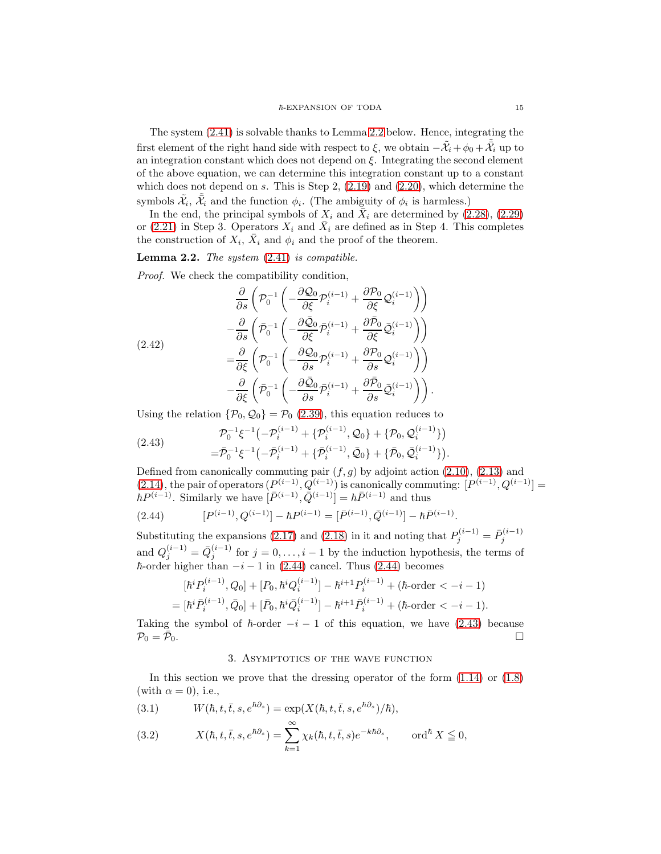The system [\(2.41\)](#page-13-2) is solvable thanks to Lemma [2.2](#page-14-1) below. Hence, integrating the first element of the right hand side with respect to  $\xi$ , we obtain  $-\tilde{\mathcal{X}}_i + \phi_0 + \tilde{\mathcal{X}}_i$  up to an integration constant which does not depend on  $\xi$ . Integrating the second element of the above equation, we can determine this integration constant up to a constant which does not depend on s. This is Step 2,  $(2.19)$  and  $(2.20)$ , which determine the symbols  $\tilde{\mathcal{X}}_i$ ,  $\tilde{\bar{\mathcal{X}}}_i$  and the function  $\phi_i$ . (The ambiguity of  $\phi_i$  is harmless.)

In the end, the principal symbols of  $X_i$  and  $\overline{X}_i$  are determined by [\(2.28\)](#page-11-3), [\(2.29\)](#page-11-5) or [\(2.21\)](#page-10-4) in Step 3. Operators  $X_i$  and  $\bar{X}_i$  are defined as in Step 4. This completes the construction of  $X_i$ ,  $\bar{X}_i$  and  $\phi_i$  and the proof of the theorem.

## <span id="page-14-1"></span>**Lemma 2.2.** The system  $(2.41)$  is compatible.

Proof. We check the compatibility condition,

$$
\frac{\partial}{\partial s} \left( \mathcal{P}_0^{-1} \left( -\frac{\partial \mathcal{Q}_0}{\partial \xi} \mathcal{P}_i^{(i-1)} + \frac{\partial \mathcal{P}_0}{\partial \xi} \mathcal{Q}_i^{(i-1)} \right) \right) \n- \frac{\partial}{\partial s} \left( \bar{\mathcal{P}}_0^{-1} \left( -\frac{\partial \bar{\mathcal{Q}}_0}{\partial \xi} \bar{\mathcal{P}}_i^{(i-1)} + \frac{\partial \bar{\mathcal{P}}_0}{\partial \xi} \bar{\mathcal{Q}}_i^{(i-1)} \right) \right) \n= \frac{\partial}{\partial \xi} \left( \mathcal{P}_0^{-1} \left( -\frac{\partial \mathcal{Q}_0}{\partial s} \mathcal{P}_i^{(i-1)} + \frac{\partial \mathcal{P}_0}{\partial s} \mathcal{Q}_i^{(i-1)} \right) \right) \n- \frac{\partial}{\partial \xi} \left( \bar{\mathcal{P}}_0^{-1} \left( -\frac{\partial \bar{\mathcal{Q}}_0}{\partial s} \bar{\mathcal{P}}_i^{(i-1)} + \frac{\partial \bar{\mathcal{P}}_0}{\partial s} \bar{\mathcal{Q}}_i^{(i-1)} \right) \right).
$$

Using the relation  $\{\mathcal{P}_0, \mathcal{Q}_0\} = \mathcal{P}_0$  [\(2.39\)](#page-13-3), this equation reduces to

<span id="page-14-3"></span>(2.43) 
$$
\mathcal{P}_0^{-1} \xi^{-1} \left( -\mathcal{P}_i^{(i-1)} + \{ \mathcal{P}_i^{(i-1)}, \mathcal{Q}_0 \} + \{ \mathcal{P}_0, \mathcal{Q}_i^{(i-1)} \} \right) \n= \bar{\mathcal{P}}_0^{-1} \xi^{-1} \left( -\bar{\mathcal{P}}_i^{(i-1)} + \{ \bar{\mathcal{P}}_i^{(i-1)}, \bar{\mathcal{Q}}_0 \} + \{ \bar{\mathcal{P}}_0, \bar{\mathcal{Q}}_i^{(i-1)} \} \right).
$$

Defined from canonically commuting pair  $(f, g)$  by adjoint action  $(2.10)$ ,  $(2.13)$  and [\(2.14\)](#page-9-2), the pair of operators  $(P^{(i-1)}, Q^{(i-1)})$  is canonically commuting:  $[P^{(i-1)}, Q^{(i-1)}] =$  $\hbar P^{(i-1)}$ . Similarly we have  $[\bar{P}^{(i-1)}, \bar{Q}^{(i-1)}] = \hbar \bar{P}^{(i-1)}$  and thus

<span id="page-14-2"></span>(2.44) 
$$
[P^{(i-1)}, Q^{(i-1)}] - \hbar P^{(i-1)} = [\bar{P}^{(i-1)}, \bar{Q}^{(i-1)}] - \hbar \bar{P}^{(i-1)}.
$$

Substituting the expansions [\(2.17\)](#page-9-3) and [\(2.18\)](#page-9-4) in it and noting that  $P_j^{(i-1)} = \bar{P}_j^{(i-1)}$ and  $Q_j^{(i-1)} = \bar{Q}_j^{(i-1)}$  for  $j = 0, \ldots, i-1$  by the induction hypothesis, the terms of  $\hbar$ -order higher than  $-i-1$  in [\(2.44\)](#page-14-2) cancel. Thus (2.44) becomes

$$
[\hbar^i P_i^{(i-1)}, Q_0] + [P_0, \hbar^i Q_i^{(i-1)}] - \hbar^{i+1} P_i^{(i-1)} + (\hbar \text{-order} < -i - 1)
$$
  
= [\hbar^i \bar{P}\_i^{(i-1)}, \bar{Q}\_0] + [\bar{P}\_0, \hbar^i \bar{Q}\_i^{(i-1)}] - \hbar^{i+1} \bar{P}\_i^{(i-1)} + (\hbar \text{-order} < -i - 1).

<span id="page-14-0"></span>Taking the symbol of  $\hbar$ -order  $-i-1$  of this equation, we have [\(2.43\)](#page-14-3) because  $\mathcal{P}_0 = \bar{\mathcal{P}}_0$ .  $\Box$ 

## 3. Asymptotics of the wave function

In this section we prove that the dressing operator of the form  $(1.14)$  or  $(1.8)$ (with  $\alpha = 0$ ), i.e.,

(3.1) 
$$
W(\hbar, t, \bar{t}, s, e^{\hbar \partial_s}) = \exp(X(\hbar, t, \bar{t}, s, e^{\hbar \partial_s})/\hbar),
$$

<span id="page-14-4"></span>(3.2) 
$$
X(\hbar, t, \bar{t}, s, e^{\hbar \partial_s}) = \sum_{k=1}^{\infty} \chi_k(\hbar, t, \bar{t}, s) e^{-k \hbar \partial_s}, \quad \text{ord}^{\hbar} X \leq 0,
$$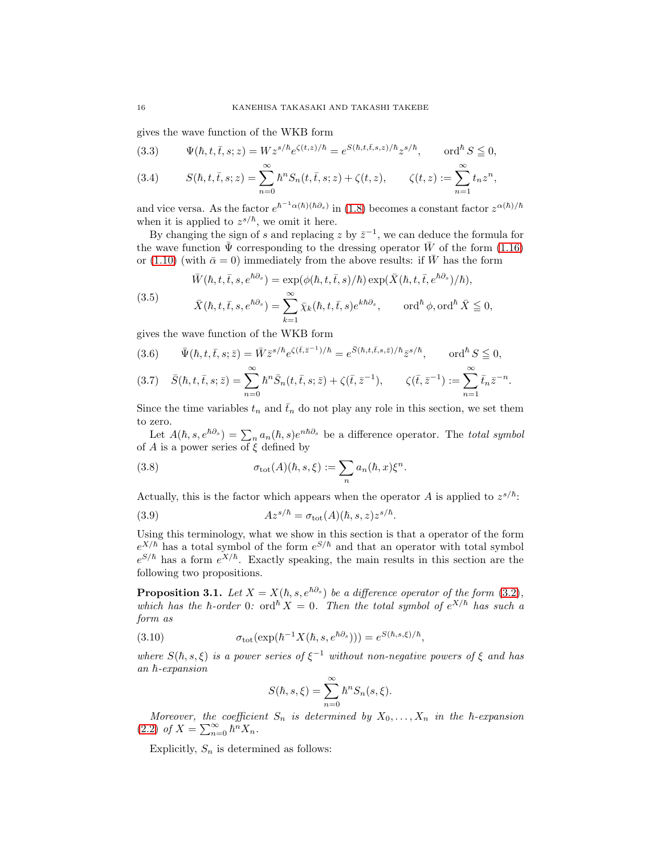gives the wave function of the WKB form

<span id="page-15-0"></span>(3.3) 
$$
\Psi(\hbar, t, \bar{t}, s; z) = W z^{s/\hbar} e^{\zeta(t,z)/\hbar} = e^{S(\hbar, t, \bar{t}, s, z)/\hbar} z^{s/\hbar}, \quad \text{ord}^{\hbar} S \leq 0,
$$

<span id="page-15-3"></span>(3.4) 
$$
S(\hbar, t, \bar{t}, s; z) = \sum_{n=0}^{\infty} \hbar^n S_n(t, \bar{t}, s; z) + \zeta(t, z), \qquad \zeta(t, z) := \sum_{n=1}^{\infty} t_n z^n,
$$

and vice versa. As the factor  $e^{\hbar^{-1}\alpha(\hbar)(\hbar\partial_s)}$  in [\(1.8\)](#page-3-3) becomes a constant factor  $z^{\alpha(\hbar)/\hbar}$ when it is applied to  $z^{s/\hbar}$ , we omit it here.

By changing the sign of s and replacing z by  $\bar{z}^{-1}$ , we can deduce the formula for the wave function  $\bar{\Psi}$  corresponding to the dressing operator  $\bar{W}$  of the form [\(1.16\)](#page-4-1) or [\(1.10\)](#page-3-4) (with  $\bar{\alpha} = 0$ ) immediately from the above results: if W has the form

(3.5)  
\n
$$
\bar{W}(\hbar, t, \bar{t}, s, e^{\hbar \partial_s}) = \exp(\phi(\hbar, t, \bar{t}, s)/\hbar) \exp(\bar{X}(\hbar, t, \bar{t}, e^{\hbar \partial_s})/\hbar),
$$
\n
$$
\bar{X}(\hbar, t, \bar{t}, s, e^{\hbar \partial_s}) = \sum_{k=1}^{\infty} \bar{\chi}_k(\hbar, t, \bar{t}, s) e^{k\hbar \partial_s}, \qquad \text{ord}^{\hbar} \phi, \text{ord}^{\hbar} \bar{X} \leq 0,
$$

gives the wave function of the WKB form

$$
(3.6) \qquad \bar{\Psi}(\hbar, t, \bar{t}, s; \bar{z}) = \bar{W}\bar{z}^{s/\hbar}e^{\zeta(\bar{t}, \bar{z}^{-1})/\hbar} = e^{\bar{S}(\hbar, t, \bar{t}, s, \bar{z})/\hbar}\bar{z}^{s/\hbar}, \qquad \text{ord}^{\hbar}S \leq 0,
$$

<span id="page-15-1"></span>
$$
(3.7) \quad \bar{S}(\hbar, t, \bar{t}, s; \bar{z}) = \sum_{n=0}^{\infty} \hbar^n \bar{S}_n(t, \bar{t}, s; \bar{z}) + \zeta(\bar{t}, \bar{z}^{-1}), \qquad \zeta(\bar{t}, \bar{z}^{-1}) := \sum_{n=1}^{\infty} \bar{t}_n \bar{z}^{-n}.
$$

Since the time variables  $t_n$  and  $\bar{t}_n$  do not play any role in this section, we set them to zero.

Let  $A(\hbar, s, e^{\hbar \partial_s}) = \sum_n a_n(\hbar, s) e^{n \hbar \partial_s}$  be a difference operator. The total symbol of A is a power series of  $\xi$  defined by

(3.8) 
$$
\sigma_{\text{tot}}(A)(\hbar, s, \xi) := \sum_{n} a_n(\hbar, x) \xi^n.
$$

Actually, this is the factor which appears when the operator A is applied to  $z^{s/\hbar}$ .

(3.9) 
$$
Az^{s/\hbar} = \sigma_{\text{tot}}(A)(\hbar, s, z)z^{s/\hbar}.
$$

Using this terminology, what we show in this section is that a operator of the form  $e^{X/\hbar}$  has a total symbol of the form  $e^{S/\hbar}$  and that an operator with total symbol  $e^{S/\hbar}$  has a form  $e^{X/\hbar}$ . Exactly speaking, the main results in this section are the following two propositions.

<span id="page-15-2"></span>**Proposition 3.1.** Let  $X = X(h, s, e^{\hbar \partial s})$  be a difference operator of the form [\(3.2\)](#page-14-4), which has the  $\hbar$ -order 0: ord $^{\hbar}X = 0$ . Then the total symbol of  $e^{X/\hbar}$  has such a form as

(3.10) 
$$
\sigma_{\text{tot}}(\exp(\hbar^{-1}X(\hbar,s,e^{\hbar\partial_s}))) = e^{S(\hbar,s,\xi)/\hbar},
$$

where  $S(\hbar, s, \xi)$  is a power series of  $\xi^{-1}$  without non-negative powers of  $\xi$  and has  $an \hbar$ -expansion

$$
S(\hbar, s, \xi) = \sum_{n=0}^{\infty} \hbar^n S_n(s, \xi).
$$

Moreover, the coefficient  $S_n$  is determined by  $X_0, \ldots, X_n$  in the  $\hbar$ -expansion [\(2.2\)](#page-8-1) of  $X = \sum_{n=0}^{\infty} \hbar^n X_n$ .

Explicitly,  $S_n$  is determined as follows: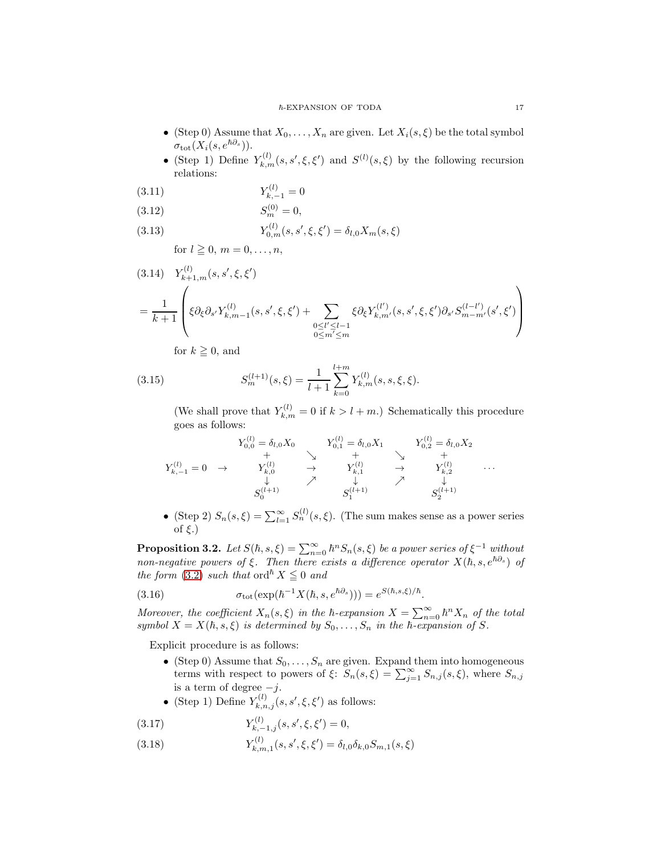- (Step 0) Assume that  $X_0, \ldots, X_n$  are given. Let  $X_i(s, \xi)$  be the total symbol  $\sigma_{\rm tot}(X_i(s, e^{\hbar \partial_s})).$
- (Step 1) Define  $Y_{k,m}^{(l)}(s, s', \xi, \xi')$  and  $S^{(l)}(s, \xi)$  by the following recursion relations:

$$
(3.11)\t\t Y_{k,-1}^{(l)} = 0
$$

$$
(3.12) \t S_m^{(0)} = 0,
$$

(3.13) 
$$
Y_{0,m}^{(l)}(s,s',\xi,\xi') = \delta_{l,0} X_m(s,\xi)
$$

for 
$$
l \geq 0, m = 0, \ldots, n
$$
,

$$
(3.14) \quad Y_{k+1,m}^{(l)}(s,s',\xi,\xi')
$$
  
= 
$$
\frac{1}{k+1} \left( \xi \partial_{\xi} \partial_{s'} Y_{k,m-1}^{(l)}(s,s',\xi,\xi') + \sum_{\substack{0 \le l' \le l-1 \\ 0 \le m' \le m}} \xi \partial_{\xi} Y_{k,m'}^{(l')}(s,s',\xi,\xi') \partial_{s'} S_{m-m'}^{(l-l')}(s',\xi') \right)
$$

for 
$$
k \geq 0
$$
, and

 $\langle \rangle$ 

(3.15) 
$$
S_m^{(l+1)}(s,\xi) = \frac{1}{l+1} \sum_{k=0}^{l+m} Y_{k,m}^{(l)}(s,s,\xi,\xi).
$$

(We shall prove that  $Y_{k,m}^{(l)} = 0$  if  $k > l + m$ .) Schematically this procedure goes as follows:

$$
Y_{0,0}^{(l)} = \delta_{l,0} X_0 \qquad Y_{0,1}^{(l)} = \delta_{l,0} X_1 \qquad Y_{0,2}^{(l)} = \delta_{l,0} X_2
$$
  
\n
$$
Y_{k,-1}^{(l)} = 0 \rightarrow Y_{k,0}^{(l)} \rightarrow Y_{k,1}^{(l)} \rightarrow Y_{k,2}^{(l)} \qquad \cdots
$$
  
\n
$$
S_0^{(l+1)} \qquad S_1^{(l+1)} \qquad S_2^{(l+1)} \qquad S_2^{(l+1)}
$$

• (Step 2)  $S_n(s,\xi) = \sum_{l=1}^{\infty} S_n^{(l)}(s,\xi)$ . (The sum makes sense as a power series of  $\xi$ .)

<span id="page-16-0"></span>**Proposition 3.2.** Let  $S(h, s, \xi) = \sum_{n=0}^{\infty} h^n S_n(s, \xi)$  be a power series of  $\xi^{-1}$  without non-negative powers of  $\xi$ . Then there exists a difference operator  $X(\hbar, s, e^{\hbar \partial_s})$  of the form [\(3.2\)](#page-14-4) such that ord<sup> $\hbar X \leq 0$  and</sup>

(3.16) 
$$
\sigma_{\text{tot}}(\exp(\hbar^{-1}X(\hbar,s,e^{\hbar\partial_s}))) = e^{S(\hbar,s,\xi)/\hbar}.
$$

Moreover, the coefficient  $X_n(s,\xi)$  in the  $\hbar$ -expansion  $X = \sum_{n=0}^{\infty} \hbar^n X_n$  of the total symbol  $X = X(h, s, \xi)$  is determined by  $S_0, \ldots, S_n$  in the  $\overline{h}$ -expansion of S.

Explicit procedure is as follows:

- (Step 0) Assume that  $S_0, \ldots, S_n$  are given. Expand them into homogeneous terms with respect to powers of  $\xi$ :  $S_n(s,\xi) = \sum_{j=1}^{\infty} S_{n,j}(s,\xi)$ , where  $S_{n,j}$ is a term of degree  $-j$ .
- (Step 1) Define  $Y_{k,n,j}^{(l)}(s, s', \xi, \xi')$  as follows:

(3.17) 
$$
Y_{k,-1,j}^{(l)}(s,s',\xi,\xi')=0,
$$

 $Y_{k,n}^{(l)}$ (3.18)  $Y_{k,m,1}^{(l)}(s, s', \xi, \xi') = \delta_{l,0} \delta_{k,0} S_{m,1}(s, \xi)$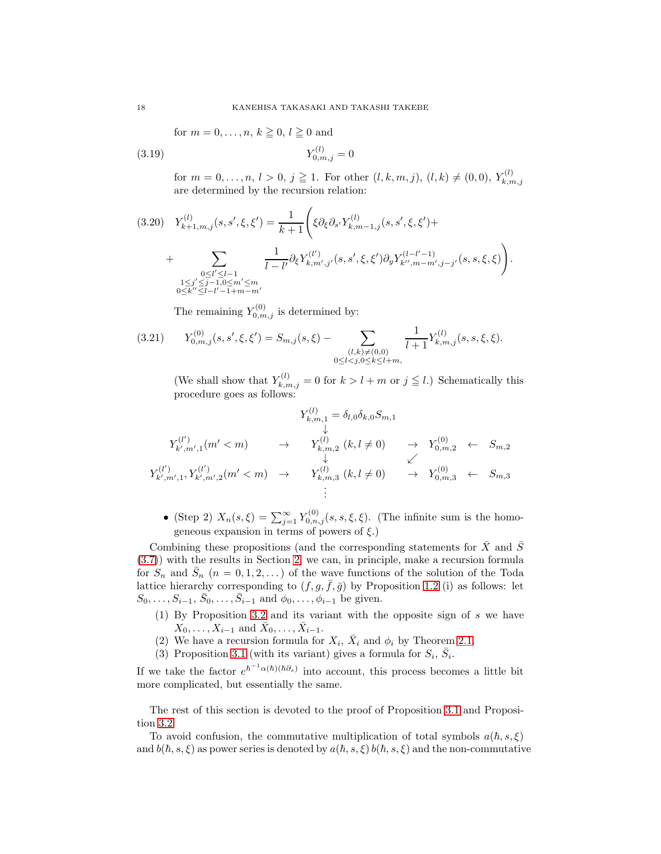for 
$$
m = 0, \ldots, n, k \geq 0, l \geq 0
$$
 and

$$
Y_{0,m,j}^{(l)} = 0
$$

for  $m = 0, \ldots, n, l > 0, j \geq 1$ . For other  $(l, k, m, j), (l, k) \neq (0, 0), Y_{k, n}^{(l)}$  $_{k,m,j}$ are determined by the recursion relation:

$$
(3.20) \quad Y_{k+1,m,j}^{(l)}(s,s',\xi,\xi') = \frac{1}{k+1} \Bigg( \xi \partial_{\xi} \partial_{s'} Y_{k,m-1,j}^{(l)}(s,s',\xi,\xi') + \\ + \sum_{\substack{0 \le l' \le l-1 \\ 1 \le j' \le j-1, 0 \le m' \le m}} \frac{1}{l-l'} \partial_{\xi} Y_{k,m',j'}^{(l')}(s,s',\xi,\xi') \partial_{y} Y_{k'',m-m',j-j'}^{(l-l'-1)}(s,s,\xi,\xi) \Bigg).
$$

The remaining  $Y_{0,m,j}^{(0)}$  is determined by:

$$
(3.21) \t Y_{0,m,j}^{(0)}(s,s',\xi,\xi') = S_{m,j}(s,\xi) - \sum_{\substack{(l,k)\neq(0,0)\\0\leq l
$$

(We shall show that  $Y_{k,m,j}^{(l)} = 0$  for  $k > l + m$  or  $j \leq l$ .) Schematically this procedure goes as follows:

$$
Y_{k,m,1}^{(l)} = \delta_{l,0}\delta_{k,0}S_{m,1}
$$
  
\n
$$
Y_{k',m',1}^{(l')}(m' < m) \rightarrow Y_{k,m,2}^{(l)}(k, l \neq 0) \rightarrow Y_{0,m,2}^{(0)} \leftarrow S_{m,2}
$$
  
\n
$$
Y_{k',m',1}^{(l')}, Y_{k',m',2}^{(l')}(m' < m) \rightarrow Y_{k,m,3}^{(l)}(k, l \neq 0) \rightarrow Y_{0,m,3}^{(0)} \leftarrow S_{m,3}
$$
  
\n
$$
\vdots
$$

• (Step 2)  $X_n(s,\xi) = \sum_{j=1}^{\infty} Y_{0,n,j}^{(0)}(s,s,\xi,\xi)$ . (The infinite sum is the homogeneous expansion in terms of powers of  $\xi$ .)

Combining these propositions (and the corresponding statements for  $\bar{X}$  and  $\bar{S}$ [\(3.7\)](#page-15-1)) with the results in Section [2,](#page-7-0) we can, in principle, make a recursion formula for  $S_n$  and  $\bar{S}_n$   $(n = 0, 1, 2, ...)$  of the wave functions of the solution of the Toda lattice hierarchy corresponding to  $(f, g, \bar{f}, \bar{g})$  by Proposition [1.2](#page-5-3) (i) as follows: let  $S_0, \ldots, S_{i-1}, \bar{S}_0, \ldots, \bar{S}_{i-1}$  and  $\phi_0, \ldots, \phi_{i-1}$  be given.

- (1) By Proposition [3.2](#page-16-0) and its variant with the opposite sign of s we have  $X_0, \ldots, X_{i-1}$  and  $\bar{X}_0, \ldots, \bar{X}_{i-1}$ .
- (2) We have a recursion formula for  $X_i$ ,  $\bar{X}_i$  and  $\phi_i$  by Theorem [2.1.](#page-10-0)
- (3) Proposition [3.1](#page-15-2) (with its variant) gives a formula for  $S_i$ ,  $\bar{S}_i$ .

If we take the factor  $e^{\hbar^{-1} \alpha(\hbar)(\hbar \partial s)}$  into account, this process becomes a little bit more complicated, but essentially the same.

The rest of this section is devoted to the proof of Proposition [3.1](#page-15-2) and Proposition [3.2.](#page-16-0)

To avoid confusion, the commutative multiplication of total symbols  $a(h, s, \xi)$ and  $b(h, s, \xi)$  as power series is denoted by  $a(h, s, \xi) b(h, s, \xi)$  and the non-commutative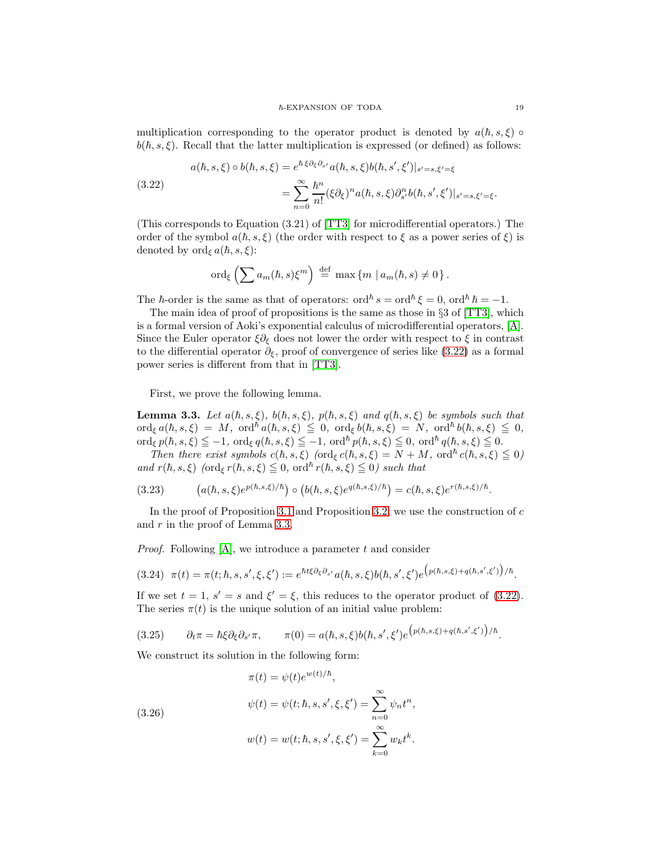multiplication corresponding to the operator product is denoted by  $a(h, s, \xi)$  $b(\hbar, s, \xi)$ . Recall that the latter multiplication is expressed (or defined) as follows:

<span id="page-18-0"></span>(3.22)  
\n
$$
a(\hbar, s, \xi) \circ b(\hbar, s, \xi) = e^{\hbar \xi \partial_{\xi} \partial_{s'} a(\hbar, s, \xi) b(\hbar, s', \xi')|_{s'=s, \xi'= \xi}}
$$
\n
$$
= \sum_{n=0}^{\infty} \frac{\hbar^n}{n!} (\xi \partial_{\xi})^n a(\hbar, s, \xi) \partial_{s'}^n b(\hbar, s', \xi')|_{s'=s, \xi'= \xi}.
$$

(This corresponds to Equation (3.21) of [\[TT3\]](#page-36-0) for microdifferential operators.) The order of the symbol  $a(h, s, \xi)$  (the order with respect to  $\xi$  as a power series of  $\xi$ ) is denoted by ord<sub> $\epsilon$ </sub>  $a(\hbar, s, \xi)$ :

$$
\mathrm{ord}_{\xi}\left(\sum a_m(\hbar,s)\xi^m\right) \stackrel{\mathrm{def}}{=} \max\left\{m \mid a_m(\hbar,s)\neq 0\right\}.
$$

The  $\hbar$ -order is the same as that of operators: ord $\hbar s = \text{ord}^{\hbar} \xi = 0$ , ord $\hbar \hbar = -1$ .

The main idea of proof of propositions is the same as those in §3 of [\[TT3\]](#page-36-0), which is a formal version of Aoki's exponential calculus of microdifferential operators, [\[A\]](#page-35-0). Since the Euler operator  $\xi \partial_{\xi}$  does not lower the order with respect to  $\xi$  in contrast to the differential operator  $\partial_{\xi}$ , proof of convergence of series like [\(3.22\)](#page-18-0) as a formal power series is different from that in [\[TT3\]](#page-36-0).

First, we prove the following lemma.

<span id="page-18-1"></span>**Lemma 3.3.** Let  $a(h, s, \xi)$ ,  $b(h, s, \xi)$ ,  $p(h, s, \xi)$  and  $q(h, s, \xi)$  be symbols such that  $\operatorname{ord}_{\xi} a(\hbar, s, \xi) \;=\; M, \; \operatorname{ord}^{\hbar} a(\hbar, s, \xi) \; \leqq \; 0, \; \operatorname{ord}_{\xi} b(\hbar, s, \xi) \;=\; N, \; \operatorname{ord}^{\hbar} b(\hbar, s, \xi) \; \leqq \; 0,$  $\operatorname{ord}_{\xi} p(\hbar, s, \xi) \leq -1, \, \operatorname{ord}_{\xi} q(\hbar, s, \xi) \leq -1, \, \operatorname{ord}^{\hbar} p(\hbar, s, \xi) \leq 0, \, \operatorname{ord}^{\hbar} q(\hbar, s, \xi) \leq 0.$ 

Then there exist symbols  $c(h, s, \xi)$  (ord<sub> $\xi$ </sub>  $c(h, s, \xi) = N + M$ , ord<sup> $h$ </sup>  $c(h, s, \xi) \leq 0$ ) and  $r(h, s, \xi)$  (ord<sub> $\xi$ </sub>  $r(h, s, \xi) \leq 0$ , ord<sup>h</sup>  $r(h, s, \xi) \leq 0$ ) such that

(3.23) 
$$
(a(\hbar, s, \xi)e^{p(\hbar, s, \xi)/\hbar}) \circ (b(\hbar, s, \xi)e^{q(\hbar, s, \xi)/\hbar}) = c(\hbar, s, \xi)e^{r(\hbar, s, \xi)/\hbar}.
$$

In the proof of Proposition [3.1](#page-15-2) and Proposition [3.2,](#page-16-0) we use the construction of  $c$ and r in the proof of Lemma [3.3.](#page-18-1)

*Proof.* Following  $[A]$ , we introduce a parameter t and consider

$$
(3.24) \ \ \pi(t) = \pi(t; \hbar, s, s', \xi, \xi') := e^{\hbar t \xi \partial_{\xi} \partial_{s'} a(\hbar, s, \xi) b(\hbar, s', \xi') e^{\left(p(\hbar, s, \xi) + q(\hbar, s', \xi')\right)/\hbar}}.
$$

If we set  $t = 1$ ,  $s' = s$  and  $\xi' = \xi$ , this reduces to the operator product of [\(3.22\)](#page-18-0). The series  $\pi(t)$  is the unique solution of an initial value problem:

<span id="page-18-2"></span>
$$
(3.25) \qquad \partial_t \pi = \hbar \xi \partial_{\xi} \partial_{s'} \pi, \qquad \pi(0) = a(\hbar, s, \xi) b(\hbar, s', \xi') e^{\left(p(\hbar, s, \xi) + q(\hbar, s', \xi')\right)/\hbar}.
$$

We construct its solution in the following form:

(3.26)  
\n
$$
\pi(t) = \psi(t)e^{w(t)/\hbar},
$$
\n
$$
\psi(t) = \psi(t; \hbar, s, s', \xi, \xi') = \sum_{n=0}^{\infty} \psi_n t^n,
$$
\n
$$
w(t) = w(t; \hbar, s, s', \xi, \xi') = \sum_{k=0}^{\infty} w_k t^k.
$$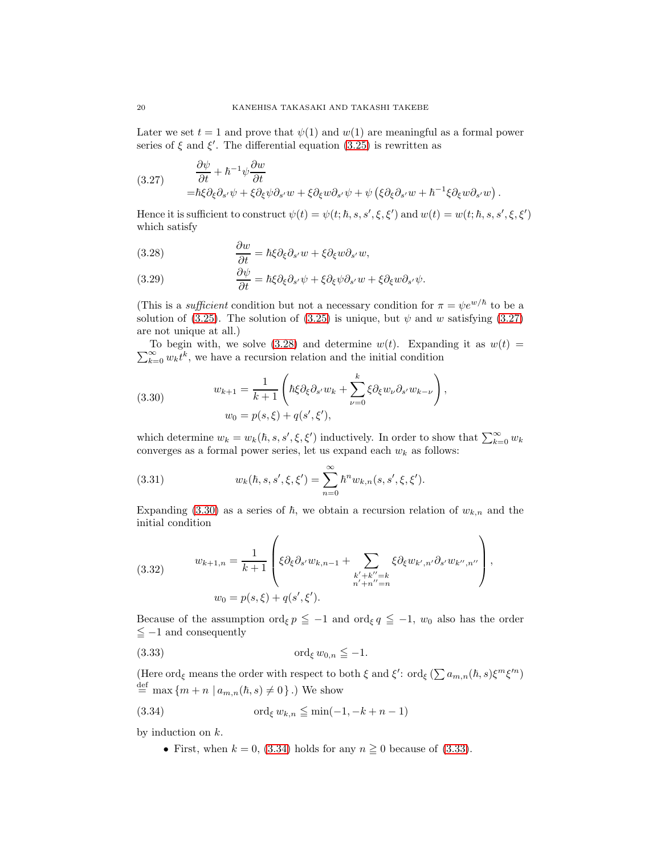Later we set  $t = 1$  and prove that  $\psi(1)$  and  $\psi(1)$  are meaningful as a formal power series of  $\xi$  and  $\xi'$ . The differential equation [\(3.25\)](#page-18-2) is rewritten as

<span id="page-19-0"></span>(3.27) 
$$
\begin{aligned}\n\frac{\partial \psi}{\partial t} + \hbar^{-1} \psi \frac{\partial w}{\partial t} \\
= \hbar \xi \partial_{\xi} \partial_{s'} \psi + \xi \partial_{\xi} \psi \partial_{s'} w + \xi \partial_{\xi} w \partial_{s'} \psi + \psi \left( \xi \partial_{\xi} \partial_{s'} w + \hbar^{-1} \xi \partial_{\xi} w \partial_{s'} w \right)\n\end{aligned}
$$

Hence it is sufficient to construct  $\psi(t) = \psi(t; \hbar, s, s', \xi, \xi')$  and  $w(t) = w(t; \hbar, s, s', \xi, \xi')$ which satisfy

.

<span id="page-19-1"></span>(3.28) 
$$
\frac{\partial w}{\partial t} = \hbar \xi \partial_{\xi} \partial_{s'} w + \xi \partial_{\xi} w \partial_{s'} w,
$$

<span id="page-19-6"></span>(3.29) 
$$
\frac{\partial \psi}{\partial t} = \hbar \xi \partial_{\xi} \partial_{s'} \psi + \xi \partial_{\xi} \psi \partial_{s'} w + \xi \partial_{\xi} w \partial_{s'} \psi.
$$

(This is a *sufficient* condition but not a necessary condition for  $\pi = \psi e^{w/\hbar}$  to be a solution of [\(3.25\)](#page-18-2). The solution of (3.25) is unique, but  $\psi$  and w satisfying [\(3.27\)](#page-19-0) are not unique at all.)

 $\sum_{k=0}^{\infty} w_k \tilde{t}^k$ , we have a recursion relation and the initial condition To begin with, we solve [\(3.28\)](#page-19-1) and determine  $w(t)$ . Expanding it as  $w(t)$  =

<span id="page-19-2"></span>(3.30) 
$$
w_{k+1} = \frac{1}{k+1} \left( \hbar \xi \partial_{\xi} \partial_{s'} w_k + \sum_{\nu=0}^k \xi \partial_{\xi} w_{\nu} \partial_{s'} w_{k-\nu} \right),
$$

$$
w_0 = p(s, \xi) + q(s', \xi'),
$$

which determine  $w_k = w_k(\hbar, s, s', \xi, \xi')$  inductively. In order to show that  $\sum_{k=0}^{\infty} w_k$ converges as a formal power series, let us expand each  $w_k$  as follows:

(3.31) 
$$
w_k(\hbar, s, s', \xi, \xi') = \sum_{n=0}^{\infty} \hbar^n w_{k,n}(s, s', \xi, \xi').
$$

Expanding [\(3.30\)](#page-19-2) as a series of  $\hbar$ , we obtain a recursion relation of  $w_{k,n}$  and the initial condition

<span id="page-19-5"></span>(3.32) 
$$
w_{k+1,n} = \frac{1}{k+1} \left( \xi \partial_{\xi} \partial_{s'} w_{k,n-1} + \sum_{\substack{k'+k''=k \ n'+n''=n}} \xi \partial_{\xi} w_{k',n'} \partial_{s'} w_{k'',n''} \right),
$$

$$
w_0 = p(s,\xi) + q(s',\xi').
$$

Because of the assumption  $\text{ord}_{\xi} p \leq -1$  and  $\text{ord}_{\xi} q \leq -1$ ,  $w_0$  also has the order  $\leqq -1$  and consequently

<span id="page-19-4"></span>(3.33) ord<sup>ξ</sup> w0,n ≦ −1.

(Here ord<sub>ξ</sub> means the order with respect to both  $\xi$  and  $\xi'$ : ord<sub>ξ</sub> ( $\sum a_{m,n}(\hbar,s)\xi^m\xi'^n$ )  $\stackrel{\text{def}}{=} \max\left\{m + n \mid a_{m,n}(\hbar, s) \neq 0\right\}$ .) We show

$$
(3.34) \quad \text{ord}_{\xi} w_{k,n} \leq \min(-1, -k+n-1)
$$

by induction on  $k$ .

<span id="page-19-3"></span>• First, when  $k = 0$ , [\(3.34\)](#page-19-3) holds for any  $n \ge 0$  because of [\(3.33\)](#page-19-4).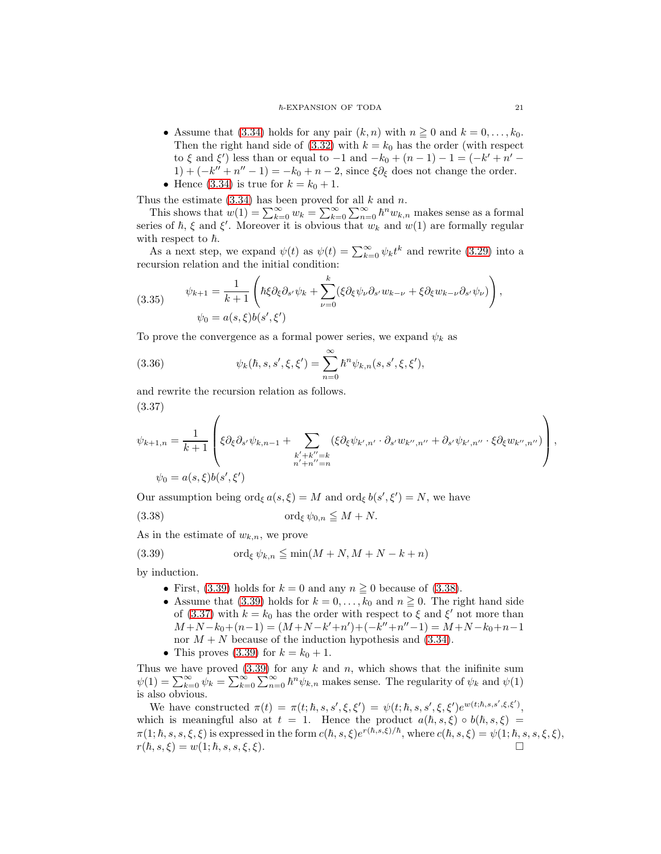#### ~-EXPANSION OF TODA 21

- Assume that [\(3.34\)](#page-19-3) holds for any pair  $(k, n)$  with  $n \geq 0$  and  $k = 0, \ldots, k_0$ . Then the right hand side of  $(3.32)$  with  $k = k_0$  has the order (with respect to  $\xi$  and  $\xi'$ ) less than or equal to -1 and  $-k_0 + (n - 1) - 1 = (-k' + n' 1 + (-k'' + n'' - 1) = -k_0 + n - 2$ , since  $\xi \partial_{\xi}$  does not change the order.
- Hence [\(3.34\)](#page-19-3) is true for  $k = k_0 + 1$ .

Thus the estimate  $(3.34)$  has been proved for all k and n.

This shows that  $w(1) = \sum_{k=0}^{\infty} w_k = \sum_{k=0}^{\infty} \sum_{n=0}^{\infty} h^n w_{k,n}$  makes sense as a formal series of  $\hbar$ ,  $\xi$  and  $\xi'$ . Moreover it is obvious that  $w_k$  and  $w(1)$  are formally regular with respect to  $\hbar$ .

As a next step, we expand  $\psi(t)$  as  $\psi(t) = \sum_{k=0}^{\infty} \psi_k t^k$  and rewrite [\(3.29\)](#page-19-6) into a recursion relation and the initial condition:

(3.35) 
$$
\psi_{k+1} = \frac{1}{k+1} \left( \hbar \xi \partial_{\xi} \partial_{s'} \psi_k + \sum_{\nu=0}^k (\xi \partial_{\xi} \psi_{\nu} \partial_{s'} w_{k-\nu} + \xi \partial_{\xi} w_{k-\nu} \partial_{s'} \psi_{\nu}) \right),
$$

$$
\psi_0 = a(s, \xi) b(s', \xi')
$$

To prove the convergence as a formal power series, we expand  $\psi_k$  as

(3.36) 
$$
\psi_k(\hbar, s, s', \xi, \xi') = \sum_{n=0}^{\infty} \hbar^n \psi_{k,n}(s, s', \xi, \xi'),
$$

and rewrite the recursion relation as follows. (3.37)

<span id="page-20-2"></span>
$$
\psi_{k+1,n} = \frac{1}{k+1} \left( \xi \partial_{\xi} \partial_{s'} \psi_{k,n-1} + \sum_{\substack{k'+k''=k \\ n'+n''=n}} (\xi \partial_{\xi} \psi_{k',n'} \cdot \partial_{s'} w_{k'',n''} + \partial_{s'} \psi_{k',n''} \cdot \xi \partial_{\xi} w_{k'',n''}) \right),
$$
  

$$
\psi_0 = a(s,\xi)b(s',\xi')
$$

Our assumption being  $\text{ord}_{\xi} a(s,\xi) = M$  and  $\text{ord}_{\xi} b(s',\xi') = N$ , we have

$$
(3.38) \t\t \operatorname{ord}_{\xi} \psi_{0,n} \leqq M+N.
$$

As in the estimate of  $w_{k,n}$ , we prove

(3.39) 
$$
\operatorname{ord}_{\xi} \psi_{k,n} \leqq \min(M+N, M+N-k+n)
$$

by induction.

- <span id="page-20-1"></span><span id="page-20-0"></span>• First, [\(3.39\)](#page-20-0) holds for  $k = 0$  and any  $n \ge 0$  because of [\(3.38\)](#page-20-1).
- Assume that [\(3.39\)](#page-20-0) holds for  $k = 0, \ldots, k_0$  and  $n \ge 0$ . The right hand side of [\(3.37\)](#page-20-2) with  $k = k_0$  has the order with respect to  $\xi$  and  $\xi'$  not more than  $M+N-k_0+(n-1)=(M+N-k'+n')+(-k''+n''-1)=M+N-k_0+n-1$ nor  $M + N$  because of the induction hypothesis and [\(3.34\)](#page-19-3).
- This proves [\(3.39\)](#page-20-0) for  $k = k_0 + 1$ .

Thus we have proved  $(3.39)$  for any k and n, which shows that the inifinite sum  $\psi(1) = \sum_{k=0}^{\infty} \psi_k = \sum_{k=0}^{\infty} \sum_{n=0}^{\infty} \hbar^n \psi_{k,n}$  makes sense. The regularity of  $\psi_k$  and  $\psi(1)$ is also obvious.

We have constructed  $\pi(t) = \pi(t; \hbar, s, s', \xi, \xi') = \psi(t; \hbar, s, s', \xi, \xi')e^{w(t; \hbar, s, s', \xi, \xi')},$ which is meaningful also at  $t = 1$ . Hence the product  $a(h, s, \xi) \circ b(h, s, \xi) =$  $\pi(1; \hbar, s, s, \xi, \xi)$  is expressed in the form  $c(\hbar, s, \xi)e^{r(\hbar, s, \xi)/\hbar}$ , where  $c(\hbar, s, \xi) = \psi(1; \hbar, s, s, \xi, \xi)$ ,  $r(h, s, \xi) = w(1; h, s, s, \xi, \xi).$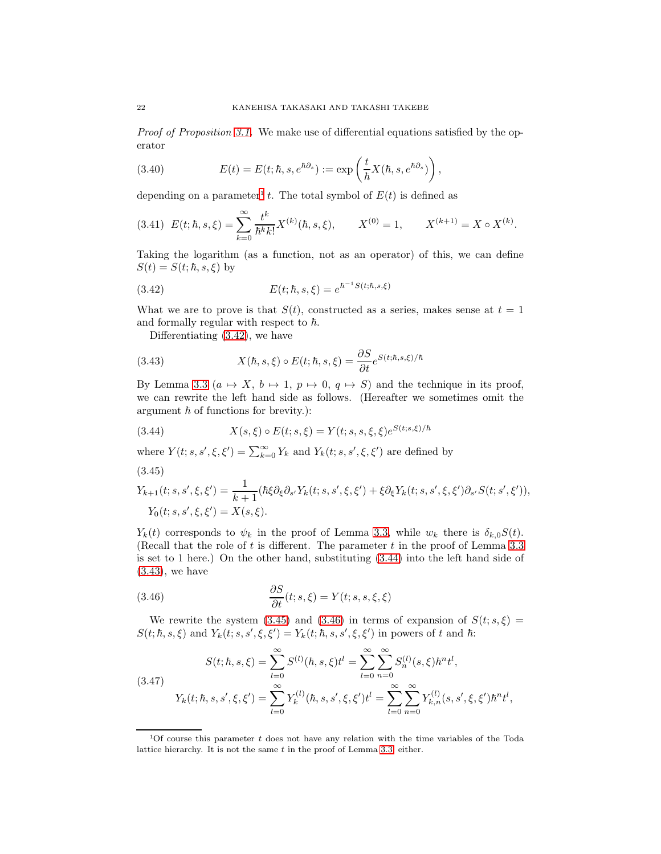Proof of Proposition [3.1.](#page-15-2) We make use of differential equations satisfied by the operator

<span id="page-21-6"></span>(3.40) 
$$
E(t) = E(t; \hbar, s, e^{\hbar \partial_s}) := \exp\left(\frac{t}{\hbar} X(\hbar, s, e^{\hbar \partial_s})\right),
$$

depending on a parameter<sup>[1](#page-21-0)</sup> t. The total symbol of  $E(t)$  is defined as

$$
(3.41)\ \ E(t; \hbar, s, \xi) = \sum_{k=0}^{\infty} \frac{t^k}{\hbar^k k!} X^{(k)}(\hbar, s, \xi), \qquad X^{(0)} = 1, \qquad X^{(k+1)} = X \circ X^{(k)}.
$$

Taking the logarithm (as a function, not as an operator) of this, we can define  $S(t) = S(t; \hbar, s, \xi)$  by

(3.42) 
$$
E(t; \hbar, s, \xi) = e^{\hbar^{-1}S(t; \hbar, s, \xi)}
$$

What we are to prove is that  $S(t)$ , constructed as a series, makes sense at  $t = 1$ and formally regular with respect to  $\hbar$ .

<span id="page-21-3"></span><span id="page-21-1"></span>Differentiating [\(3.42\)](#page-21-1), we have

(3.43) 
$$
X(\hbar, s, \xi) \circ E(t; \hbar, s, \xi) = \frac{\partial S}{\partial t} e^{S(t; \hbar, s, \xi)/\hbar}
$$

By Lemma [3.3](#page-18-1)  $(a \mapsto X, b \mapsto 1, p \mapsto 0, q \mapsto S)$  and the technique in its proof, we can rewrite the left hand side as follows. (Hereafter we sometimes omit the argument  $\hbar$  of functions for brevity.):

<span id="page-21-2"></span>(3.44) 
$$
X(s,\xi) \circ E(t;s,\xi) = Y(t;s,s,\xi,\xi)e^{S(t;s,\xi)/\hbar}
$$

where  $Y(t; s, s', \xi, \xi') = \sum_{k=0}^{\infty} Y_k$  and  $Y_k(t; s, s', \xi, \xi')$  are defined by

$$
(3.45)
$$

<span id="page-21-4"></span>
$$
Y_{k+1}(t;s,s',\xi,\xi') = \frac{1}{k+1}(\hbar\xi\partial_{\xi}\partial_{s'}Y_k(t;s,s',\xi,\xi') + \xi\partial_{\xi}Y_k(t;s,s',\xi,\xi')\partial_{s'}S(t;s',\xi')),
$$
  
\n
$$
Y_0(t;s,s',\xi,\xi') = X(s,\xi).
$$

 $Y_k(t)$  corresponds to  $\psi_k$  in the proof of Lemma [3.3,](#page-18-1) while  $w_k$  there is  $\delta_{k,0}S(t)$ . (Recall that the role of  $t$  is different. The parameter  $t$  in the proof of Lemma [3.3](#page-18-1) is set to 1 here.) On the other hand, substituting [\(3.44\)](#page-21-2) into the left hand side of  $(3.43)$ , we have

<span id="page-21-5"></span>(3.46) 
$$
\frac{\partial S}{\partial t}(t;s,\xi) = Y(t;s,s,\xi,\xi)
$$

We rewrite the system [\(3.45\)](#page-21-4) and [\(3.46\)](#page-21-5) in terms of expansion of  $S(t; s, \xi)$  =  $S(t; \hbar, s, \xi)$  and  $Y_k(t; s, s', \xi, \xi') = Y_k(t; \hbar, s, s', \xi, \xi')$  in powers of t and  $\hbar$ :

(3.47)  
\n
$$
S(t; \hbar, s, \xi) = \sum_{l=0}^{\infty} S^{(l)}(\hbar, s, \xi) t^{l} = \sum_{l=0}^{\infty} \sum_{n=0}^{\infty} S_{n}^{(l)}(s, \xi) \hbar^{n} t^{l},
$$
\n
$$
Y_{k}(t; \hbar, s, s', \xi, \xi') = \sum_{l=0}^{\infty} Y_{k}^{(l)}(\hbar, s, s', \xi, \xi') t^{l} = \sum_{l=0}^{\infty} \sum_{n=0}^{\infty} Y_{k,n}^{(l)}(s, s', \xi, \xi') \hbar^{n} t^{l},
$$

<span id="page-21-0"></span><sup>&</sup>lt;sup>1</sup>Of course this parameter t does not have any relation with the time variables of the Toda lattice hierarchy. It is not the same  $t$  in the proof of Lemma [3.3,](#page-18-1) either.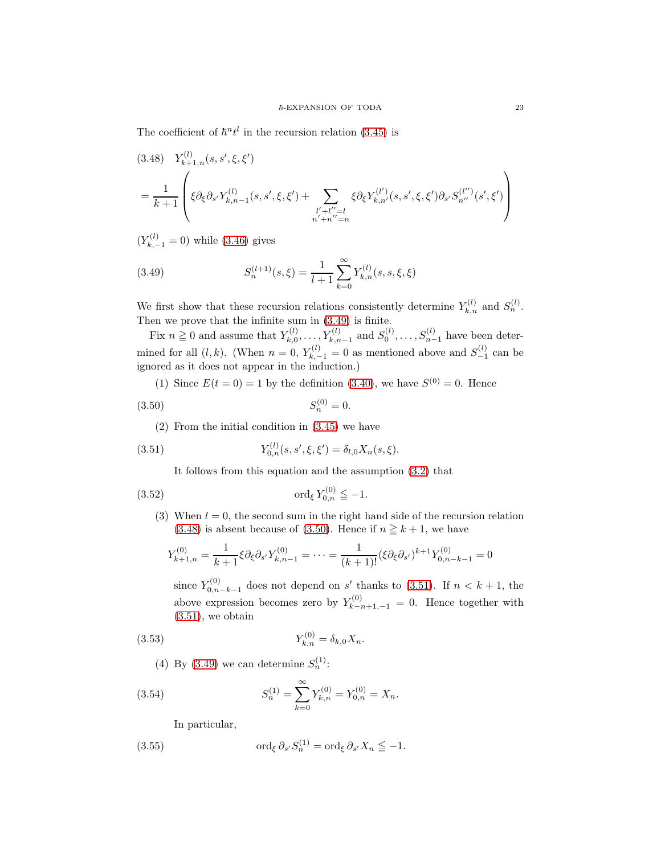The coefficient of  $\hbar^{n} t^{l}$  in the recursion relation [\(3.45\)](#page-21-4) is

<span id="page-22-1"></span>
$$
(3.48) \quad Y_{k+1,n}^{(l)}(s,s',\xi,\xi')
$$
  
= 
$$
\frac{1}{k+1} \left( \xi \partial_{\xi} \partial_{s'} Y_{k,n-1}^{(l)}(s,s',\xi,\xi') + \sum_{\substack{l'+l''=l \ n'+n''=n}} \xi \partial_{\xi} Y_{k,n'}^{(l')}(s,s',\xi,\xi') \partial_{s'} S_{n''}^{(l'')}(s',\xi') \right)
$$

 $(Y_{k,-1}^{(l)} = 0)$  while [\(3.46\)](#page-21-5) gives

<span id="page-22-0"></span>(3.49) 
$$
S_n^{(l+1)}(s,\xi) = \frac{1}{l+1} \sum_{k=0}^{\infty} Y_{k,n}^{(l)}(s,s,\xi,\xi)
$$

We first show that these recursion relations consistently determine  $Y_{k,n}^{(l)}$  and  $S_n^{(l)}$ . Then we prove that the infinite sum in [\(3.49\)](#page-22-0) is finite.

Fix  $n \geq 0$  and assume that  $Y_{k,0}^{(l)}$  $X_{k,0}^{(l)}, \ldots, Y_{k,n-1}^{(l)}$  and  $S_0^{(l)}, \ldots, S_{n-1}^{(l)}$  have been determined for all  $(l, k)$ . (When  $n = 0$ ,  $Y_{k, -1}^{(l)} = 0$  as mentioned above and  $S_{-1}^{(l)}$  can be ignored as it does not appear in the induction.)

(1) Since  $E(t = 0) = 1$  by the definition [\(3.40\)](#page-21-6), we have  $S^{(0)} = 0$ . Hence

$$
(3.50) \t\t S_n^{(0)} = 0.
$$

(2) From the initial condition in [\(3.45\)](#page-21-4) we have

(3.51) 
$$
Y_{0,n}^{(l)}(s,s',\xi,\xi') = \delta_{l,0} X_n(s,\xi).
$$

<span id="page-22-5"></span><span id="page-22-3"></span><span id="page-22-2"></span>It follows from this equation and the assumption [\(3.2\)](#page-14-4) that

(3.52) 
$$
\qquad \text{ord}_{\xi} Y_{0,n}^{(0)} \leqq -1.
$$

(3) When  $l = 0$ , the second sum in the right hand side of the recursion relation [\(3.48\)](#page-22-1) is absent because of [\(3.50\)](#page-22-2). Hence if  $n \geq k+1$ , we have

$$
Y_{k+1,n}^{(0)} = \frac{1}{k+1} \xi \partial_{\xi} \partial_{s'} Y_{k,n-1}^{(0)} = \dots = \frac{1}{(k+1)!} (\xi \partial_{\xi} \partial_{s'})^{k+1} Y_{0,n-k-1}^{(0)} = 0
$$

<span id="page-22-4"></span>since  $Y_{0,n}^{(0)}$  $\zeta_{0,n-k-1}^{(0)}$  does not depend on s' thanks to [\(3.51\)](#page-22-3). If  $n < k+1$ , the above expression becomes zero by  $Y_{k-n+1,-1}^{(0)} = 0$ . Hence together with  $(3.51)$ , we obtain

(3.53) 
$$
Y_{k,n}^{(0)} = \delta_{k,0} X_n.
$$

(4) By [\(3.49\)](#page-22-0) we can determine  $S_n^{(1)}$ :

(3.54) 
$$
S_n^{(1)} = \sum_{k=0}^{\infty} Y_{k,n}^{(0)} = Y_{0,n}^{(0)} = X_n.
$$

In particular,

(3.55) 
$$
\operatorname{ord}_{\xi} \partial_{s'} S_n^{(1)} = \operatorname{ord}_{\xi} \partial_{s'} X_n \leq -1.
$$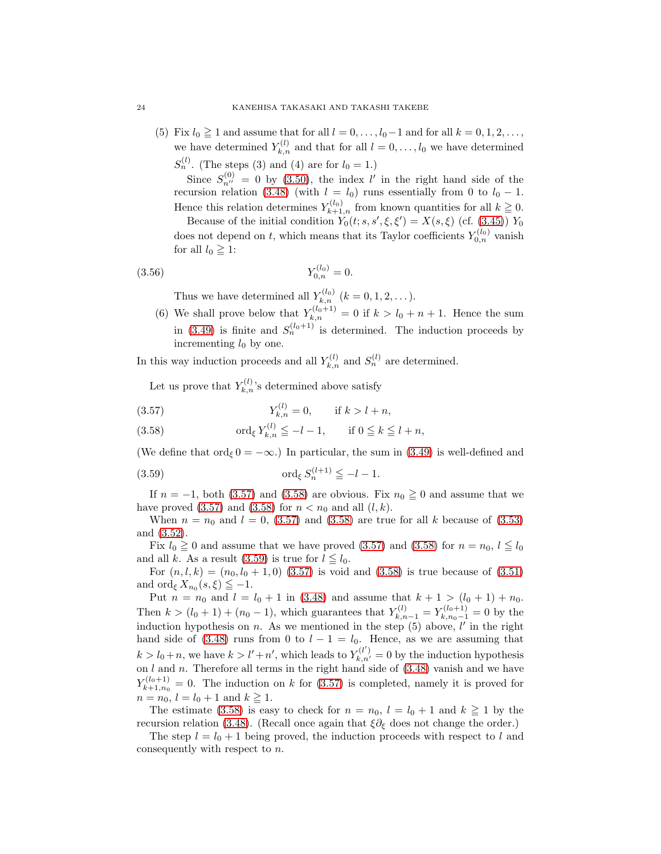(5) Fix  $l_0 \ge 1$  and assume that for all  $l = 0, \ldots, l_0 - 1$  and for all  $k = 0, 1, 2, \ldots$ , we have determined  $Y_{k,n}^{(l)}$  and that for all  $l = 0, \ldots, l_0$  we have determined  $S_n^{(l)}$ . (The steps (3) and (4) are for  $l_0 = 1$ .)

Since  $S_{n'}^{(0)} = 0$  by [\(3.50\)](#page-22-2), the index l' in the right hand side of the recursion relation [\(3.48\)](#page-22-1) (with  $l = l_0$ ) runs essentially from 0 to  $l_0 - 1$ . Hence this relation determines  $Y_{k+1,n}^{(l_0)}$  from known quantities for all  $k \geq 0$ .

Because of the initial condition  $Y_0(t; s, s', \xi, \xi') = X(s, \xi)$  (cf. [\(3.45\)](#page-21-4))  $Y_0$ does not depend on t, which means that its Taylor coefficients  $Y_{0,n}^{(l_0)}$  vanish for all  $l_0 \geq 1$ :

$$
(3.56) \t Y_{0,n}^{(l_0)} = 0.
$$

Thus we have determined all  $Y_{k,n}^{(l_0)}$   $(k = 0, 1, 2, \dots).$ 

(6) We shall prove below that  $Y_{k,n}^{(l_0+1)} = 0$  if  $k > l_0 + n + 1$ . Hence the sum in [\(3.49\)](#page-22-0) is finite and  $S_n^{(l_0+1)}$  is determined. The induction proceeds by incrementing  $l_0$  by one.

In this way induction proceeds and all  $Y_{k,n}^{(l)}$  and  $S_n^{(l)}$  are determined.

Let us prove that  $Y_{k,n}^{(l)}$ 's determined above satisfy

<span id="page-23-0"></span>(3.57) 
$$
Y_{k,n}^{(l)} = 0, \quad \text{if } k > l + n,
$$

<span id="page-23-1"></span>(3.58) 
$$
\operatorname{ord}_{\xi} Y_{k,n}^{(l)} \leq -l-1, \quad \text{if } 0 \leq k \leq l+n,
$$

(We define that ord $\epsilon$  0 =  $-\infty$ .) In particular, the sum in [\(3.49\)](#page-22-0) is well-defined and

<span id="page-23-2"></span>
$$
(3.59) \quad \text{ord}_{\xi} S_n^{(l+1)} \leq -l - 1.
$$

If  $n = -1$ , both [\(3.57\)](#page-23-0) and [\(3.58\)](#page-23-1) are obvious. Fix  $n_0 \ge 0$  and assume that we have proved  $(3.57)$  and  $(3.58)$  for  $n < n_0$  and all  $(l, k)$ .

When  $n = n_0$  and  $l = 0$ , [\(3.57\)](#page-23-0) and [\(3.58\)](#page-23-1) are true for all k because of [\(3.53\)](#page-22-4) and [\(3.52\)](#page-22-5).

Fix  $l_0 \ge 0$  and assume that we have proved [\(3.57\)](#page-23-0) and [\(3.58\)](#page-23-1) for  $n = n_0, l \le l_0$ and all k. As a result [\(3.59\)](#page-23-2) is true for  $l \leq l_0$ .

For  $(n, l, k) = (n_0, l_0 + 1, 0)$  [\(3.57\)](#page-23-0) is void and [\(3.58\)](#page-23-1) is true because of [\(3.51\)](#page-22-3) and ord<sub> $\xi X_{n_0}(s,\xi) \leq -1$ .</sub>

Put  $n = n_0$  and  $l = l_0 + 1$  in [\(3.48\)](#page-22-1) and assume that  $k + 1 > (l_0 + 1) + n_0$ . Then  $k > (l_0 + 1) + (n_0 - 1)$ , which guarantees that  $Y_{k,n-1}^{(l)} = Y_{k,n_0-1}^{(l_0+1)} = 0$  by the induction hypothesis on  $n$ . As we mentioned in the step  $(5)$  above,  $l'$  in the right hand side of [\(3.48\)](#page-22-1) runs from 0 to  $l - 1 = l_0$ . Hence, as we are assuming that  $k > l_0 + n$ , we have  $k > l' + n'$ , which leads to  $Y_{k,n'}^{(l')} = 0$  by the induction hypothesis on  $l$  and  $n$ . Therefore all terms in the right hand side of  $(3.48)$  vanish and we have  $Y_{k+1,n_0}^{(l_0+1)}$  $k_{k+1,n_0}^{(0,0+1)} = 0$ . The induction on k for  $(3.57)$  is completed, namely it is proved for  $n = n_0, l = l_0 + 1 \text{ and } k \geq 1.$ 

The estimate [\(3.58\)](#page-23-1) is easy to check for  $n = n_0$ ,  $l = l_0 + 1$  and  $k \geq 1$  by the recursion relation [\(3.48\)](#page-22-1). (Recall once again that  $\xi \partial_{\xi}$  does not change the order.)

The step  $l = l_0 + 1$  being proved, the induction proceeds with respect to l and consequently with respect to n.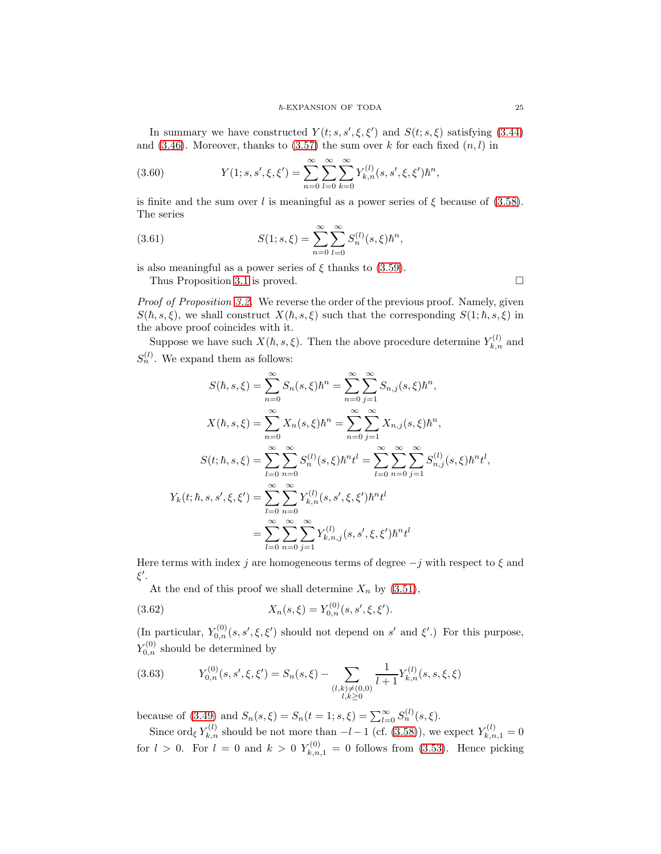In summary we have constructed  $Y(t; s, s', \xi, \xi')$  and  $S(t; s, \xi)$  satisfying [\(3.44\)](#page-21-2) and  $(3.46)$ . Moreover, thanks to  $(3.57)$  the sum over k for each fixed  $(n, l)$  in

(3.60) 
$$
Y(1;s,s',\xi,\xi') = \sum_{n=0}^{\infty} \sum_{l=0}^{\infty} \sum_{k=0}^{\infty} Y_{k,n}^{(l)}(s,s',\xi,\xi') \hbar^n,
$$

is finite and the sum over l is meaningful as a power series of  $\xi$  because of [\(3.58\)](#page-23-1). The series

(3.61) 
$$
S(1;s,\xi) = \sum_{n=0}^{\infty} \sum_{l=0}^{\infty} S_n^{(l)}(s,\xi) \hbar^n,
$$

is also meaningful as a power series of  $\xi$  thanks to [\(3.59\)](#page-23-2).

Thus Proposition [3.1](#page-15-2) is proved.

Proof of Proposition [3.2.](#page-16-0) We reverse the order of the previous proof. Namely, given  $S(h, s, \xi)$ , we shall construct  $X(h, s, \xi)$  such that the corresponding  $S(1; h, s, \xi)$  in the above proof coincides with it.

Suppose we have such  $X(\hbar, s, \xi)$ . Then the above procedure determine  $Y_{k,n}^{(l)}$  and  $S_n^{(l)}$ . We expand them as follows:

$$
S(\hbar, s, \xi) = \sum_{n=0}^{\infty} S_n(s, \xi) \hbar^n = \sum_{n=0}^{\infty} \sum_{j=1}^{\infty} S_{n,j}(s, \xi) \hbar^n,
$$
  

$$
X(\hbar, s, \xi) = \sum_{n=0}^{\infty} X_n(s, \xi) \hbar^n = \sum_{n=0}^{\infty} \sum_{j=1}^{\infty} X_{n,j}(s, \xi) \hbar^n,
$$
  

$$
S(t; \hbar, s, \xi) = \sum_{l=0}^{\infty} \sum_{n=0}^{\infty} S_n^{(l)}(s, \xi) \hbar^n t^l = \sum_{l=0}^{\infty} \sum_{n=0}^{\infty} \sum_{j=1}^{\infty} S_{n,j}^{(l)}(s, \xi) \hbar^n t^l,
$$
  

$$
Y_k(t; \hbar, s, s', \xi, \xi') = \sum_{l=0}^{\infty} \sum_{n=0}^{\infty} Y_{k,n}^{(l)}(s, s', \xi, \xi') \hbar^n t^l
$$
  

$$
= \sum_{l=0}^{\infty} \sum_{n=0}^{\infty} \sum_{j=1}^{\infty} Y_{k,n,j}^{(l)}(s, s', \xi, \xi') \hbar^n t^l
$$

Here terms with index j are homogeneous terms of degree  $-j$  with respect to  $\xi$  and ξ ′ .

<span id="page-24-1"></span>At the end of this proof we shall determine  $X_n$  by  $(3.51)$ ,

(3.62) 
$$
X_n(s,\xi) = Y_{0,n}^{(0)}(s,s',\xi,\xi').
$$

(In particular,  $Y_{0,n}^{(0)}(s, s', \xi, \xi')$  should not depend on s' and  $\xi'$ .) For this purpose,  $Y_{0,n}^{(0)}$  should be determined by

<span id="page-24-0"></span>(3.63) 
$$
Y_{0,n}^{(0)}(s,s',\xi,\xi') = S_n(s,\xi) - \sum_{\substack{(l,k)\neq(0,0)\\l,k\geq 0}} \frac{1}{l+1} Y_{k,n}^{(l)}(s,s,\xi,\xi)
$$

because of [\(3.49\)](#page-22-0) and  $S_n(s,\xi) = S_n(t=1;s,\xi) = \sum_{l=0}^{\infty} S_n^{(l)}(s,\xi)$ .

Since ord<sub> $\xi$ </sub>  $Y_{k,n}^{(l)}$  should be not more than  $-l-1$  (cf. [\(3.58\)](#page-23-1)), we expect  $Y_{k,n,1}^{(l)}=0$ for  $l > 0$ . For  $l = 0$  and  $k > 0$   $Y_{k,n,1}^{(0)} = 0$  follows from [\(3.53\)](#page-22-4). Hence picking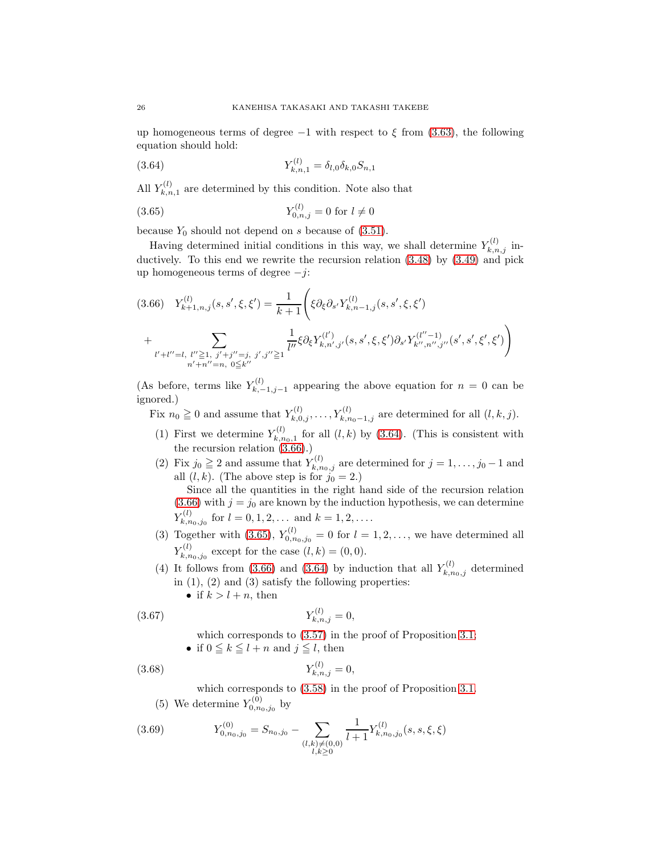up homogeneous terms of degree  $-1$  with respect to  $\xi$  from [\(3.63\)](#page-24-0), the following equation should hold:

<span id="page-25-0"></span>(3.64) 
$$
Y_{k,n,1}^{(l)} = \delta_{l,0} \delta_{k,0} S_{n,1}
$$

All  $Y_{k,n}^{(l)}$  $\zeta_{k,n,1}^{(t)}$  are determined by this condition. Note also that

<span id="page-25-2"></span>(3.65) 
$$
Y_{0,n,j}^{(l)} = 0 \text{ for } l \neq 0
$$

because  $Y_0$  should not depend on s because of  $(3.51)$ .

Having determined initial conditions in this way, we shall determine  $Y_{k,n,j}^{(l)}$  inductively. To this end we rewrite the recursion relation [\(3.48\)](#page-22-1) by [\(3.49\)](#page-22-0) and pick up homogeneous terms of degree  $-j$ :

<span id="page-25-1"></span>
$$
(3.66) \quad Y_{k+1,n,j}^{(l)}(s,s',\xi,\xi') = \frac{1}{k+1} \Bigg( \xi \partial_{\xi} \partial_{s'} Y_{k,n-1,j}^{(l)}(s,s',\xi,\xi') + \sum_{l'+l''=l,\ l'' \ge 1,\ j'+j''=j,\ j',j'' \ge 1} \frac{1}{l''} \xi \partial_{\xi} Y_{k,n',j'}^{(l')}(s,s',\xi,\xi') \partial_{s'} Y_{k'',n'',j''}^{(l''-1)}(s',s',\xi',\xi') \Bigg)
$$

(As before, terms like  $Y_k^{(l)}$  $k_{k,-1,j-1}^{(i)}$  appearing the above equation for  $n = 0$  can be ignored.)

Fix  $n_0 \ge 0$  and assume that  $Y_{k,0,j}^{(l)}, \ldots, Y_{k,n_0-1,j}^{(l)}$  are determined for all  $(l, k, j)$ .

- (1) First we determine  $Y_{k,n}^{(l)}$  $\zeta_{k,n_0,1}^{(l)}$  for all  $(l,k)$  by [\(3.64\)](#page-25-0). (This is consistent with the recursion relation  $(3.66)$ .)
- (2) Fix  $j_0 \ge 2$  and assume that  $Y_{k,n_0,j}^{(l)}$  are determined for  $j = 1, \ldots, j_0 1$  and all  $(l, k)$ . (The above step is for  $j_0 = 2$ .)

Since all the quantities in the right hand side of the recursion relation [\(3.66\)](#page-25-1) with  $j = j_0$  are known by the induction hypothesis, we can determine  $Y_{k,n}^{(l)}$  $f_{k,n_0,j_0}^{(l)}$  for  $l=0,1,2,...$  and  $k=1,2,...$ .

- (3) Together with [\(3.65\)](#page-25-2),  $Y_{0,n_0,j_0}^{(l)} = 0$  for  $l = 1,2,...$ , we have determined all  $Y_{k,n}^{(l)}$  $k_{k,n_0,j_0}^{(l)}$  except for the case  $(l,k) = (0,0)$ .
- (4) It follows from [\(3.66\)](#page-25-1) and [\(3.64\)](#page-25-0) by induction that all  $Y_{k,n_0,j}^{(l)}$  determined in  $(1)$ ,  $(2)$  and  $(3)$  satisfy the following properties:
	- if  $k > l + n$ , then

(3.67) 
$$
Y_{k,n,j}^{(l)} = 0,
$$

<span id="page-25-3"></span>which corresponds to [\(3.57\)](#page-23-0) in the proof of Proposition [3.1;](#page-15-2)

• if  $0 \leq k \leq l + n$  and  $j \leq l$ , then

(3.68) 
$$
Y_{k,n,j}^{(l)} = 0,
$$

<span id="page-25-4"></span>which corresponds to  $(3.58)$  in the proof of Proposition [3.1.](#page-15-2)

(5) We determine  $Y_{0,n_0,j_0}^{(0)}$  by

(3.69) 
$$
Y_{0,n_0,j_0}^{(0)} = S_{n_0,j_0} - \sum_{\substack{(l,k)\neq(0,0)\\l,k\geq 0}} \frac{1}{l+1} Y_{k,n_0,j_0}^{(l)}(s,s,\xi,\xi)
$$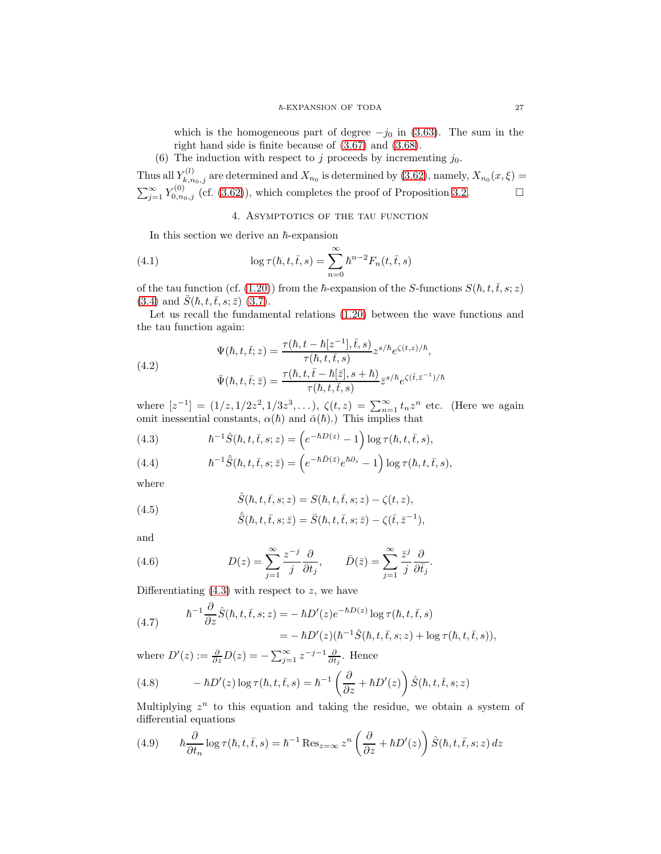which is the homogeneous part of degree  $-j_0$  in [\(3.63\)](#page-24-0). The sum in the right hand side is finite because of [\(3.67\)](#page-25-3) and [\(3.68\)](#page-25-4).

(6) The induction with respect to j proceeds by incrementing  $j_0$ .

<span id="page-26-0"></span>Thus all  $Y_{k,n_0,j}^{(l)}$  are determined and  $X_{n_0}$  is determined by [\(3.62\)](#page-24-1), namely,  $X_{n_0}(x,\xi)$  =  $\sum_{j=1}^{\infty} Y_{0,n_0,j}^{(0)}$  (cf. [\(3.62\)](#page-24-1)), which completes the proof of Proposition [3.2.](#page-16-0)

## <span id="page-26-5"></span>4. Asymptotics of the tau function

In this section we derive an  $h$ -expansion

(4.1) 
$$
\log \tau(\hbar, t, \bar{t}, s) = \sum_{n=0}^{\infty} \hbar^{n-2} F_n(t, \bar{t}, s)
$$

of the tau function (cf. [\(1.20\)](#page-4-4)) from the  $\hbar$ -expansion of the S-functions  $S(\hbar, t, \bar{t}, s; z)$ [\(3.4\)](#page-15-3) and  $\bar{S}(\hbar, t, \bar{t}, s; \bar{z})$  [\(3.7\)](#page-15-1).

Let us recall the fundamental relations [\(1.20\)](#page-4-4) between the wave functions and the tau function again:

(4.2)  
\n
$$
\Psi(\hbar, t, \bar{t}; z) = \frac{\tau(\hbar, t - \hbar[z^{-1}], \bar{t}, s)}{\tau(\hbar, t, \bar{t}, s)} z^{s/\hbar} e^{\zeta(t, z)/\hbar},
$$
\n
$$
\bar{\Psi}(\hbar, t, \bar{t}; \bar{z}) = \frac{\tau(\hbar, t, \bar{t} - \hbar[\bar{z}], s + \hbar)}{\tau(\hbar, t, \bar{t}, s)} \bar{z}^{s/\hbar} e^{\zeta(\bar{t}, \bar{z}^{-1})/\hbar}
$$

where  $[z^{-1}] = (1/z, 1/2z^2, 1/3z^3, \ldots), \zeta(t, z) = \sum_{n=1}^{\infty} t_n z^n$  etc. (Here we again omit inessential constants,  $\alpha(\hbar)$  and  $\bar{\alpha}(\hbar)$ .) This implies that

<span id="page-26-1"></span>(4.3) 
$$
\hbar^{-1}\hat{S}(\hbar, t, \bar{t}, s; z) = \left(e^{-\hbar D(z)} - 1\right) \log \tau(\hbar, t, \bar{t}, s),
$$

<span id="page-26-2"></span>(4.4) 
$$
\hbar^{-1}\hat{S}(\hbar, t, \bar{t}, s; \bar{z}) = \left(e^{-\hbar \bar{D}(\bar{z})}e^{\hbar \partial_s} - 1\right) \log \tau(\hbar, t, \bar{t}, s),
$$

where

(4.5) 
$$
\hat{S}(\hbar, t, \bar{t}, s; z) = S(\hbar, t, \bar{t}, s; z) - \zeta(t, z),
$$

$$
\hat{\bar{S}}(\hbar,t,\bar{t},s;\bar{z})=\bar{S}(\hbar,t,\bar{t},s;\bar{z})-\zeta(\bar{t},\bar{z}^{-1}),
$$

and

(4.6) 
$$
D(z) = \sum_{j=1}^{\infty} \frac{z^{-j}}{j} \frac{\partial}{\partial t_j}, \qquad \bar{D}(\bar{z}) = \sum_{j=1}^{\infty} \frac{\bar{z}^j}{j} \frac{\partial}{\partial \bar{t_j}}.
$$

Differentiating  $(4.3)$  with respect to z, we have

(4.7) 
$$
\begin{aligned} \hbar^{-1} \frac{\partial}{\partial z} \hat{S}(\hbar, t, \bar{t}, s; z) &= -\hbar D'(z) e^{-\hbar D(z)} \log \tau(\hbar, t, \bar{t}, s) \\ &= -\hbar D'(z) (\hbar^{-1} \hat{S}(\hbar, t, \bar{t}, s; z) + \log \tau(\hbar, t, \bar{t}, s)), \end{aligned}
$$

where  $D'(z) := \frac{\partial}{\partial z} D(z) = -\sum_{j=1}^{\infty} z^{-j-1} \frac{\partial}{\partial t_j}$ . Hence

<span id="page-26-4"></span>(4.8) 
$$
-\hbar D'(z) \log \tau(\hbar, t, \bar{t}, s) = \hbar^{-1} \left( \frac{\partial}{\partial z} + \hbar D'(z) \right) \hat{S}(\hbar, t, \bar{t}, s; z)
$$

Multiplying  $z^n$  to this equation and taking the residue, we obtain a system of differential equations

<span id="page-26-3"></span>(4.9) 
$$
\hbar \frac{\partial}{\partial t_n} \log \tau(\hbar, t, \bar{t}, s) = \hbar^{-1} \operatorname{Res}_{z=\infty} z^n \left( \frac{\partial}{\partial z} + \hbar D'(z) \right) \hat{S}(\hbar, t, \bar{t}, s; z) dz
$$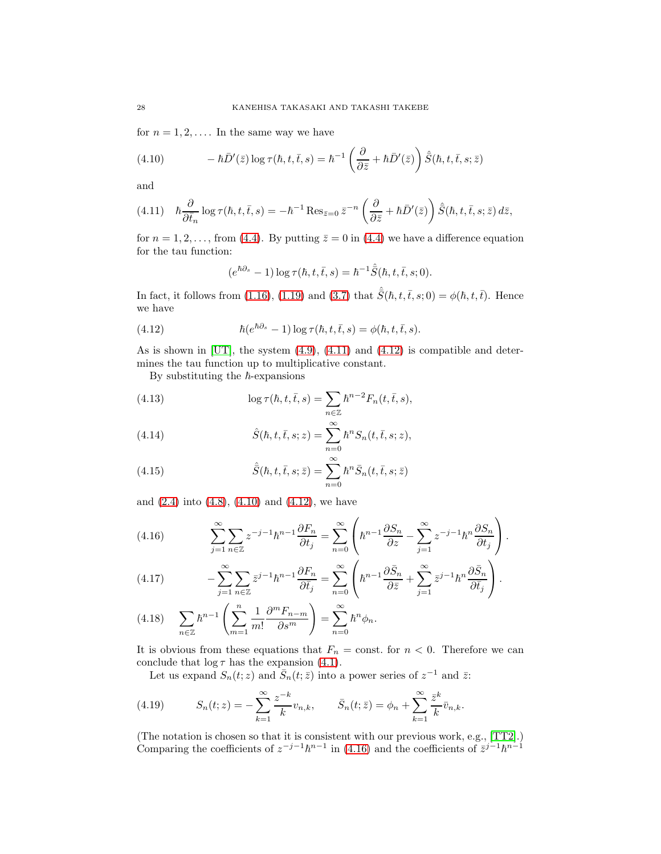for  $n = 1, 2, \ldots$  In the same way we have

<span id="page-27-2"></span>(4.10) 
$$
-\hbar \bar{D}'(\bar{z}) \log \tau(\hbar, t, \bar{t}, s) = \hbar^{-1} \left( \frac{\partial}{\partial \bar{z}} + \hbar \bar{D}'(\bar{z}) \right) \hat{\bar{S}}(\hbar, t, \bar{t}, s; \bar{z})
$$

and

<span id="page-27-0"></span>
$$
(4.11)\quad \hbar \frac{\partial}{\partial \bar{t}_n} \log \tau(\hbar, t, \bar{t}, s) = -\hbar^{-1} \operatorname{Res}_{\bar{z}=0} \bar{z}^{-n} \left( \frac{\partial}{\partial \bar{z}} + \hbar \bar{D}'(\bar{z}) \right) \hat{S}(\hbar, t, \bar{t}, s; \bar{z}) d\bar{z},
$$

for  $n = 1, 2, \ldots$ , from [\(4.4\)](#page-26-2). By putting  $\overline{z} = 0$  in (4.4) we have a difference equation for the tau function:

<span id="page-27-1"></span>
$$
(e^{\hbar \partial_s} - 1) \log \tau(\hbar, t, \bar{t}, s) = \hbar^{-1} \hat{S}(\hbar, t, \bar{t}, s; 0).
$$

In fact, it follows from [\(1.16\)](#page-4-1), [\(1.19\)](#page-4-5) and [\(3.7\)](#page-15-1) that  $\hat{S}(\hbar, t, \bar{t}, s; 0) = \phi(\hbar, t, \bar{t})$ . Hence we have

(4.12) 
$$
\hbar(e^{\hbar\partial_s}-1)\log\tau(\hbar,t,\bar{t},s)=\phi(\hbar,t,\bar{t},s).
$$

As is shown in [\[UT\]](#page-36-5), the system [\(4.9\)](#page-26-3), [\(4.11\)](#page-27-0) and [\(4.12\)](#page-27-1) is compatible and determines the tau function up to multiplicative constant.

By substituting the  $\hbar$ -expansions

(4.13) 
$$
\log \tau(\hbar, t, \bar{t}, s) = \sum_{n \in \mathbb{Z}} \hbar^{n-2} F_n(t, \bar{t}, s),
$$

(4.14) 
$$
\hat{S}(\hbar, t, \bar{t}, s; z) = \sum_{n=0}^{\infty} \hbar^n S_n(t, \bar{t}, s; z),
$$

(4.15) 
$$
\hat{\bar{S}}(\hbar, t, \bar{t}, s; \bar{z}) = \sum_{n=0}^{\infty} \hbar^n \bar{S}_n(t, \bar{t}, s; \bar{z})
$$

and [\(2.4\)](#page-8-3) into [\(4.8\)](#page-26-4), [\(4.10\)](#page-27-2) and [\(4.12\)](#page-27-1), we have

<span id="page-27-3"></span>(4.16) 
$$
\sum_{j=1}^{\infty} \sum_{n \in \mathbb{Z}} z^{-j-1} \hbar^{n-1} \frac{\partial F_n}{\partial t_j} = \sum_{n=0}^{\infty} \left( \hbar^{n-1} \frac{\partial S_n}{\partial z} - \sum_{j=1}^{\infty} z^{-j-1} \hbar^{n} \frac{\partial S_n}{\partial t_j} \right).
$$

<span id="page-27-4"></span>(4.17) 
$$
-\sum_{j=1}^{\infty}\sum_{n\in\mathbb{Z}}\bar{z}^{j-1}\hbar^{n-1}\frac{\partial F_n}{\partial\bar{t}_j}=\sum_{n=0}^{\infty}\left(\hbar^{n-1}\frac{\partial\bar{S}_n}{\partial\bar{z}}+\sum_{j=1}^{\infty}\bar{z}^{j-1}\hbar^n\frac{\partial\bar{S}_n}{\partial\bar{t}_j}\right).
$$

<span id="page-27-5"></span>
$$
(4.18)\qquad \sum_{n\in\mathbb{Z}}\hbar^{n-1}\left(\sum_{m=1}^n\frac{1}{m!}\frac{\partial^mF_{n-m}}{\partial s^m}\right)=\sum_{n=0}^\infty\hbar^n\phi_n.
$$

It is obvious from these equations that  $F_n = \text{const.}$  for  $n < 0$ . Therefore we can conclude that  $\log \tau$  has the expansion [\(4.1\)](#page-26-5).

Let us expand  $S_n(t; z)$  and  $\overline{S}_n(t; \overline{z})$  into a power series of  $z^{-1}$  and  $\overline{z}$ :

(4.19) 
$$
S_n(t; z) = -\sum_{k=1}^{\infty} \frac{z^{-k}}{k} v_{n,k}, \qquad \bar{S}_n(t; \bar{z}) = \phi_n + \sum_{k=1}^{\infty} \frac{\bar{z}^k}{k} \bar{v}_{n,k}.
$$

(The notation is chosen so that it is consistent with our previous work, e.g.,  $[TT2]$ .) Comparing the coefficients of  $z^{-j-1}\hbar^{n-1}$  in [\(4.16\)](#page-27-3) and the coefficients of  $\bar{z}^{j-1}\hbar^{n-1}$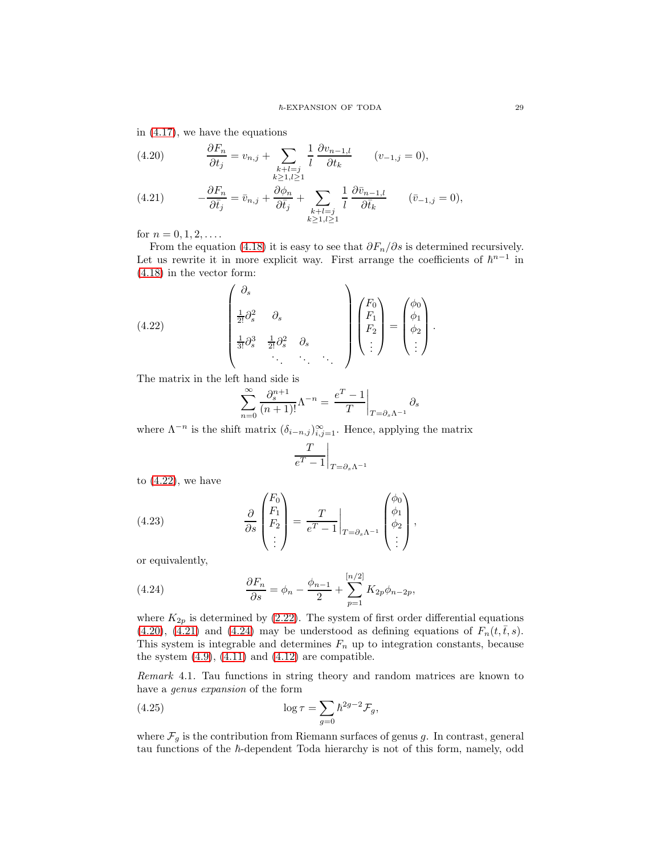in [\(4.17\)](#page-27-4), we have the equations

<span id="page-28-1"></span>(4.20) 
$$
\frac{\partial F_n}{\partial t_j} = v_{n,j} + \sum_{\substack{k+l=j\\k \ge 1, l \ge 1}} \frac{1}{l} \frac{\partial v_{n-1,l}}{\partial t_k} \qquad (v_{-1,j} = 0),
$$

<span id="page-28-2"></span>(4.21) 
$$
-\frac{\partial F_n}{\partial \bar{t}_j} = \bar{v}_{n,j} + \frac{\partial \phi_n}{\partial \bar{t}_j} + \sum_{\substack{k+l=j \\ k \ge 1, l \ge 1}} \frac{1}{l} \frac{\partial \bar{v}_{n-1,l}}{\partial \bar{t}_k} \qquad (\bar{v}_{-1,j} = 0),
$$

for  $n = 0, 1, 2, \ldots$ .

From the equation [\(4.18\)](#page-27-5) it is easy to see that  $\partial F_n/\partial s$  is determined recursively. Let us rewrite it in more explicit way. First arrange the coefficients of  $\hbar^{n-1}$  in [\(4.18\)](#page-27-5) in the vector form:

(4.22) 
$$
\begin{pmatrix} \partial_s \\ \frac{1}{2!} \partial_s^2 & \partial_s \\ \frac{1}{3!} \partial_s^3 & \frac{1}{2!} \partial_s^2 & \partial_s \\ \vdots & \vdots & \ddots & \vdots \end{pmatrix} \begin{pmatrix} F_0 \\ F_1 \\ F_2 \\ \vdots \end{pmatrix} = \begin{pmatrix} \phi_0 \\ \phi_1 \\ \phi_2 \\ \vdots \end{pmatrix}.
$$

The matrix in the left hand side is

<span id="page-28-0"></span>
$$
\sum_{n=0}^{\infty} \frac{\partial_s^{n+1}}{(n+1)!} \Lambda^{-n} = \left. \frac{e^T - 1}{T} \right|_{T = \partial_s \Lambda^{-1}} \partial_s
$$

where  $\Lambda^{-n}$  is the shift matrix  $(\delta_{i-n,j})_{i,j=1}^{\infty}$ . Hence, applying the matrix

$$
\left. \frac{T}{e^T - 1} \right|_{T = \partial_s \Lambda^{-1}}
$$

to  $(4.22)$ , we have

(4.23) 
$$
\frac{\partial}{\partial s} \begin{pmatrix} F_0 \\ F_1 \\ F_2 \\ \vdots \end{pmatrix} = \frac{T}{e^T - 1} \bigg|_{T = \partial_s \Lambda^{-1}} \begin{pmatrix} \phi_0 \\ \phi_1 \\ \phi_2 \\ \vdots \end{pmatrix},
$$

or equivalently,

<span id="page-28-3"></span>(4.24) 
$$
\frac{\partial F_n}{\partial s} = \phi_n - \frac{\phi_{n-1}}{2} + \sum_{p=1}^{[n/2]} K_{2p}\phi_{n-2p},
$$

where  $K_{2p}$  is determined by [\(2.22\)](#page-10-3). The system of first order differential equations  $(4.20), (4.21)$  $(4.20), (4.21)$  $(4.20), (4.21)$  and  $(4.24)$  may be understood as defining equations of  $F_n(t, \bar{t}, s)$ . This system is integrable and determines  $F_n$  up to integration constants, because the system  $(4.9)$ ,  $(4.11)$  and  $(4.12)$  are compatible.

Remark 4.1. Tau functions in string theory and random matrices are known to have a genus expansion of the form

(4.25) 
$$
\log \tau = \sum_{g=0} \hbar^{2g-2} \mathcal{F}_g,
$$

where  $\mathcal{F}_g$  is the contribution from Riemann surfaces of genus g. In contrast, general tau functions of the  $\hbar$ -dependent Toda hierarchy is not of this form, namely, odd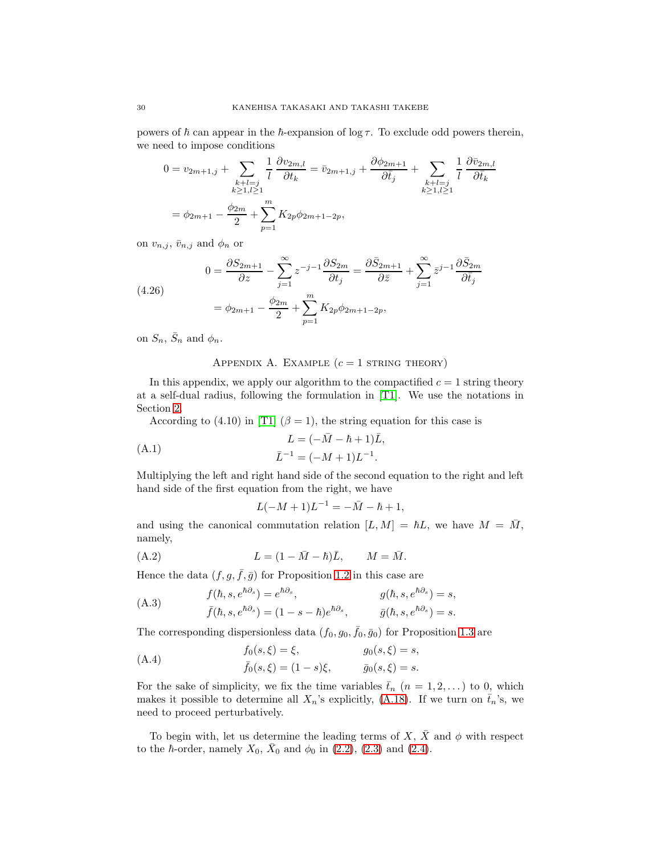powers of  $\hbar$  can appear in the  $\hbar$ -expansion of log  $\tau$ . To exclude odd powers therein, we need to impose conditions

$$
0 = v_{2m+1,j} + \sum_{\substack{k+l=j\\k \ge 1, l \ge 1}} \frac{1}{l} \frac{\partial v_{2m,l}}{\partial t_k} = \bar{v}_{2m+1,j} + \frac{\partial \phi_{2m+1}}{\partial \bar{t}_j} + \sum_{\substack{k+l=j\\k \ge 1, l \ge 1}} \frac{1}{l} \frac{\partial \bar{v}_{2m,l}}{\partial \bar{t}_k}
$$

$$
= \phi_{2m+1} - \frac{\phi_{2m}}{2} + \sum_{p=1}^m K_{2p} \phi_{2m+1-2p},
$$

on  $v_{n,j}$ ,  $\bar{v}_{n,j}$  and  $\phi_n$  or

(4.26)  
\n
$$
0 = \frac{\partial S_{2m+1}}{\partial z} - \sum_{j=1}^{\infty} z^{-j-1} \frac{\partial S_{2m}}{\partial t_j} = \frac{\partial \bar{S}_{2m+1}}{\partial \bar{z}} + \sum_{j=1}^{\infty} \bar{z}^{j-1} \frac{\partial \bar{S}_{2m}}{\partial \bar{t}_j}
$$
\n
$$
= \phi_{2m+1} - \frac{\phi_{2m}}{2} + \sum_{p=1}^{m} K_{2p} \phi_{2m+1-2p},
$$

on  $S_n$ ,  $\bar{S}_n$  and  $\phi_n$ .

## APPENDIX A. EXAMPLE  $(c = 1 \text{ STRING THEORY})$

In this appendix, we apply our algorithm to the compactified  $c = 1$  string theory at a self-dual radius, following the formulation in [\[T1\]](#page-36-12). We use the notations in Section [2.](#page-7-0)

According to (4.10) in [\[T1\]](#page-36-12) ( $\beta = 1$ ), the string equation for this case is

(A.1) 
$$
L = (-\bar{M} - \hbar + 1)\bar{L},
$$

$$
\bar{L}^{-1} = (-M + 1)L^{-1}.
$$

Multiplying the left and right hand side of the second equation to the right and left hand side of the first equation from the right, we have

$$
L(-M+1)L^{-1} = -\bar{M} - \hbar + 1,
$$

and using the canonical commutation relation  $[L, M] = \hbar L$ , we have  $M = \overline{M}$ , namely,

(A.2) 
$$
L = (1 - \bar{M} - \hbar)\bar{L}, \qquad M = \bar{M}.
$$

Hence the data  $(f, g, \bar{f}, \bar{g})$  for Proposition [1.2](#page-5-3) in this case are

(A.3) 
$$
f(\hbar, s, e^{\hbar \partial_s}) = e^{\hbar \partial_s}, \qquad g(\hbar, s, e^{\hbar \partial_s}) = s,
$$

$$
\bar{f}(\hbar, s, e^{\hbar \partial_s}) = (1 - s - \hbar)e^{\hbar \partial_s}, \qquad \bar{g}(\hbar, s, e^{\hbar \partial_s}) = s.
$$

The corresponding dispersionless data  $(f_0, g_0, \bar{f}_0, \bar{g}_0)$  for Proposition [1.3](#page-7-1) are

(A.4) 
$$
f_0(s,\xi) = \xi, \qquad g_0(s,\xi) = s,\bar{f}_0(s,\xi) = (1-s)\xi, \qquad \bar{g}_0(s,\xi) = s.
$$

For the sake of simplicity, we fix the time variables  $\bar{t}_n$   $(n = 1, 2, ...)$  to 0, which makes it possible to determine all  $X_n$ 's explicitly, [\(A.18\)](#page-32-0). If we turn on  $\bar{t}_n$ 's, we need to proceed perturbatively.

To begin with, let us determine the leading terms of X,  $\bar{X}$  and  $\phi$  with respect to the  $\hbar$ -order, namely  $X_0$ ,  $\bar{X}_0$  and  $\phi_0$  in [\(2.2\)](#page-8-1), [\(2.3\)](#page-8-2) and [\(2.4\)](#page-8-3).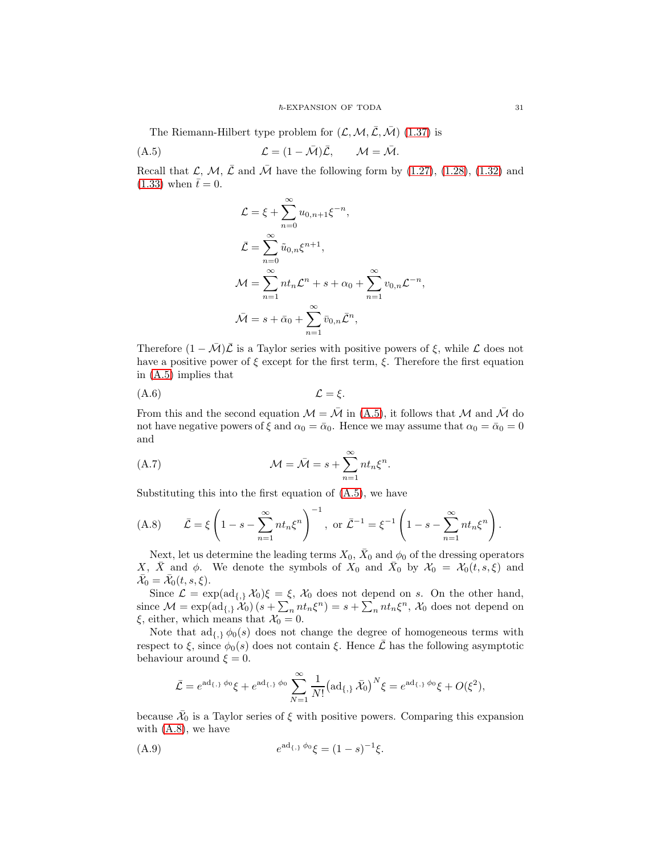The Riemann-Hilbert type problem for  $(\mathcal{L}, \mathcal{M}, \bar{\mathcal{L}}, \bar{\mathcal{M}})$  [\(1.37\)](#page-7-3) is

$$
(A.5) \t\t\t\t\mathcal{L} = (1 - \bar{\mathcal{M}})\bar{\mathcal{L}}, \t\t\t\t\mathcal{M} = \bar{\mathcal{M}}.
$$

Recall that  $\mathcal{L}, \mathcal{M}, \bar{\mathcal{L}}$  and  $\bar{\mathcal{M}}$  have the following form by [\(1.27\)](#page-6-0), [\(1.28\)](#page-6-1), [\(1.32\)](#page-6-2) and  $(1.33)$  when  $\bar{t}=0$ .

<span id="page-30-0"></span>
$$
\mathcal{L} = \xi + \sum_{n=0}^{\infty} u_{0,n+1} \xi^{-n},
$$
  

$$
\bar{\mathcal{L}} = \sum_{n=0}^{\infty} \tilde{u}_{0,n} \xi^{n+1},
$$
  

$$
\mathcal{M} = \sum_{n=1}^{\infty} n t_n \mathcal{L}^n + s + \alpha_0 + \sum_{n=1}^{\infty} v_{0,n} \mathcal{L}^{-n},
$$
  

$$
\bar{\mathcal{M}} = s + \bar{\alpha}_0 + \sum_{n=1}^{\infty} \bar{v}_{0,n} \bar{\mathcal{L}}^n,
$$

Therefore  $(1 - \overline{\mathcal{M}})\overline{\mathcal{L}}$  is a Taylor series with positive powers of  $\xi$ , while  $\mathcal{L}$  does not have a positive power of  $\xi$  except for the first term,  $\xi$ . Therefore the first equation in [\(A.5\)](#page-30-0) implies that

$$
(A.6) \t\t \t\t \mathcal{L} = \xi.
$$

From this and the second equation  $\mathcal{M} = \overline{\mathcal{M}}$  in [\(A.5\)](#page-30-0), it follows that  $\mathcal M$  and  $\overline{\mathcal{M}}$  do not have negative powers of  $\xi$  and  $\alpha_0 = \bar{\alpha}_0$ . Hence we may assume that  $\alpha_0 = \bar{\alpha}_0 = 0$ and

<span id="page-30-2"></span>(A.7) 
$$
\mathcal{M} = \bar{\mathcal{M}} = s + \sum_{n=1}^{\infty} n t_n \xi^n.
$$

Substituting this into the first equation of [\(A.5\)](#page-30-0), we have

<span id="page-30-1"></span>(A.8) 
$$
\bar{\mathcal{L}} = \xi \left( 1 - s - \sum_{n=1}^{\infty} n t_n \xi^n \right)^{-1}, \text{ or } \bar{\mathcal{L}}^{-1} = \xi^{-1} \left( 1 - s - \sum_{n=1}^{\infty} n t_n \xi^n \right).
$$

Next, let us determine the leading terms  $X_0$ ,  $\bar{X}_0$  and  $\phi_0$  of the dressing operators X,  $\bar{X}$  and  $\phi$ . We denote the symbols of  $X_0$  and  $\bar{X}_0$  by  $\mathcal{X}_0 = \mathcal{X}_0(t, s, \xi)$  and  $\bar{\mathcal{X}}_0 = \bar{\mathcal{X}}_0(t, s, \xi).$ 

Since  $\mathcal{L} = \exp(\mathrm{ad}_{\{.\}}, \mathcal{X}_0)\xi = \xi$ ,  $\mathcal{X}_0$  does not depend on s. On the other hand, since  $\mathcal{M} = \exp(\mathrm{ad}_{\{,\}} \widetilde{\mathcal{X}}_0) \left( s + \sum_n n t_n \xi^n \right) = s + \sum_n n t_n \xi^n$ ,  $\mathcal{X}_0$  does not depend on  $\xi$ , either, which means that  $\mathcal{X}_0 = 0$ .

Note that  $\text{ad}_{\{\cdot\}} \phi_0(s)$  does not change the degree of homogeneous terms with respect to  $\xi$ , since  $\phi_0(s)$  does not contain  $\xi$ . Hence  $\overline{\mathcal{L}}$  has the following asymptotic behaviour around  $\xi = 0$ .

<span id="page-30-3"></span>
$$
\bar{\mathcal{L}} = e^{\mathrm{ad}_{\{\,\}} \phi_0} \xi + e^{\mathrm{ad}_{\{\,\}} \phi_0} \sum_{N=1}^{\infty} \frac{1}{N!} \big( \mathrm{ad}_{\{\,\}} \bar{\mathcal{X}}_0 \big)^N \xi = e^{\mathrm{ad}_{\{\,\}} \phi_0} \xi + O(\xi^2),
$$

because  $\bar{X}_0$  is a Taylor series of  $\xi$  with positive powers. Comparing this expansion with [\(A.8\)](#page-30-1), we have

(A.9) 
$$
e^{\mathrm{ad}_{\{\,\}}\phi_0}\xi = (1-s)^{-1}\xi.
$$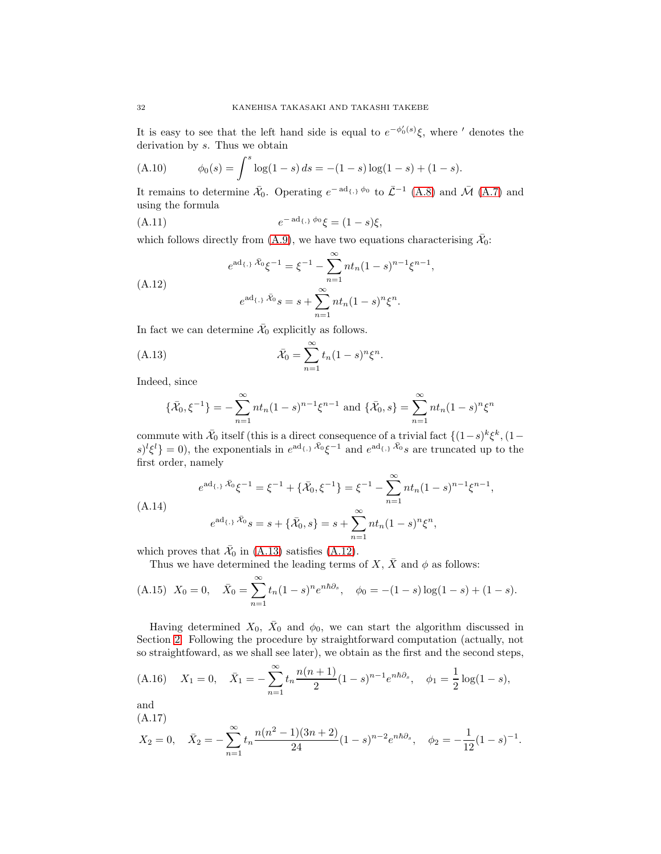It is easy to see that the left hand side is equal to  $e^{-\phi_0'(s)}\xi$ , where ' denotes the derivation by s. Thus we obtain

(A.10) 
$$
\phi_0(s) = \int^s \log(1-s) \, ds = -(1-s)\log(1-s) + (1-s).
$$

It remains to determine  $\bar{X}_0$ . Operating  $e^{- \operatorname{ad}_{\{\,\,\}} \phi_0}$  to  $\bar{\mathcal{L}}^{-1}$  [\(A.8\)](#page-30-1) and  $\bar{\mathcal{M}}$  [\(A.7\)](#page-30-2) and using the formula

(A.11) 
$$
e^{-\mathrm{ad}_{\{\,\}}\phi_0}\xi = (1-s)\xi,
$$

which follows directly from [\(A.9\)](#page-30-3), we have two equations characterising  $\bar{X}_0$ :

<span id="page-31-1"></span>
$$
e^{ad_{\{\,,\}} \bar{\mathcal{X}}_0} \xi^{-1} = \xi^{-1} - \sum_{n=1}^{\infty} n t_n (1-s)^{n-1} \xi^{n-1},
$$
  
\n
$$
e^{ad_{\{\,,\}} \bar{\mathcal{X}}_0} s = s + \sum_{n=1}^{\infty} n t_n (1-s)^n \xi^n.
$$

In fact we can determine  $\bar{X}_0$  explicitly as follows.

(A.13) 
$$
\bar{\mathcal{X}}_0 = \sum_{n=1}^{\infty} t_n (1-s)^n \xi^n.
$$

Indeed, since

<span id="page-31-0"></span>
$$
\{\bar{\mathcal{X}}_0, \xi^{-1}\} = -\sum_{n=1}^{\infty} nt_n (1-s)^{n-1} \xi^{n-1} \text{ and } \{\bar{\mathcal{X}}_0, s\} = \sum_{n=1}^{\infty} nt_n (1-s)^n \xi^n
$$

commute with  $\bar{\mathcal{X}}_0$  itself (this is a direct consequence of a trivial fact  $\{(1-s)^k \xi^k, (1-s)^{k-1}\xi^k,$  $\{s\}^l \xi^l\} = 0$ , the exponentials in  $e^{ad_{\{\,\!\!\boldsymbol{\cdot}\}}\bar{\mathcal{X}}_0} \xi^{-1}$  and  $e^{ad_{\{\,\!\!\boldsymbol{\cdot}\}}\bar{\mathcal{X}}_0} s$  are truncated up to the first order, namely

$$
e^{ad_{\{\,\}}\bar{\mathcal{X}}_0}\xi^{-1} = \xi^{-1} + \{\bar{\mathcal{X}}_0, \xi^{-1}\} = \xi^{-1} - \sum_{n=1}^{\infty} nt_n (1-s)^{n-1} \xi^{n-1},
$$
  
(A.14)  

$$
e^{ad_{\{\,\}}\bar{\mathcal{X}}_0}s = s + \{\bar{\mathcal{X}}_0, s\} = s + \sum_{n=1}^{\infty} nt_n (1-s)^n \xi^n,
$$

which proves that  $\bar{X}_0$  in [\(A.13\)](#page-31-0) satisfies [\(A.12\)](#page-31-1).

Thus we have determined the leading terms of  $X, \overline{X}$  and  $\phi$  as follows:

<span id="page-31-2"></span>(A.15) 
$$
X_0 = 0
$$
,  $\bar{X}_0 = \sum_{n=1}^{\infty} t_n (1-s)^n e^{n\hbar \partial_s}$ ,  $\phi_0 = -(1-s) \log(1-s) + (1-s)$ .

Having determined  $X_0$ ,  $\bar{X}_0$  and  $\phi_0$ , we can start the algorithm discussed in Section [2.](#page-7-0) Following the procedure by straightforward computation (actually, not so straightfoward, as we shall see later), we obtain as the first and the second steps,

<span id="page-31-3"></span>(A.16) 
$$
X_1 = 0
$$
,  $\bar{X}_1 = -\sum_{n=1}^{\infty} t_n \frac{n(n+1)}{2} (1-s)^{n-1} e^{n\hbar \partial s}$ ,  $\phi_1 = \frac{1}{2} \log(1-s)$ ,

and (A.17)

$$
X_2 = 0
$$
,  $\bar{X}_2 = -\sum_{n=1}^{\infty} t_n \frac{n(n^2 - 1)(3n + 2)}{24} (1 - s)^{n-2} e^{n\hbar \partial_s}$ ,  $\phi_2 = -\frac{1}{12} (1 - s)^{-1}$ .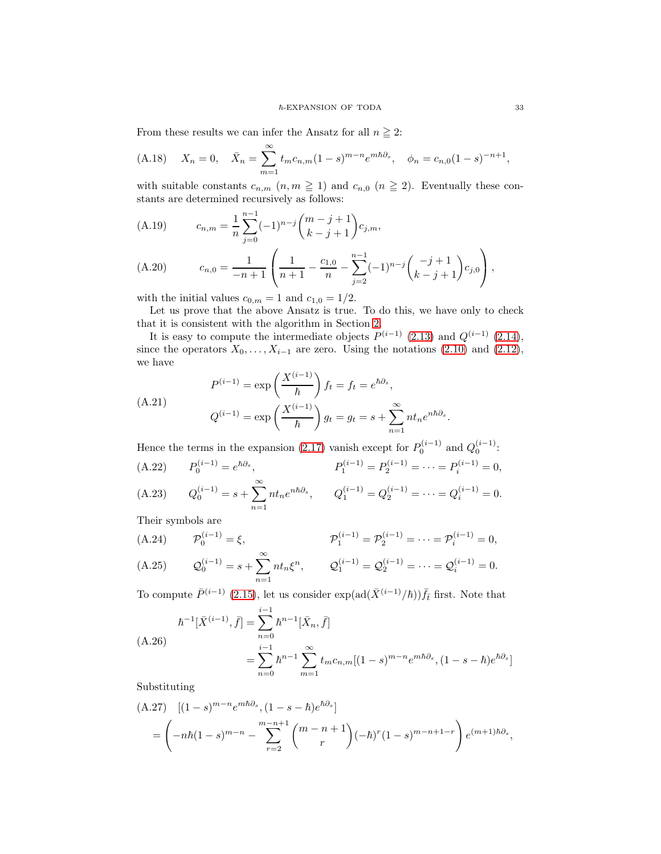From these results we can infer the Ansatz for all  $n \geq 2$ :

<span id="page-32-0"></span>(A.18) 
$$
X_n = 0
$$
,  $\bar{X}_n = \sum_{m=1}^{\infty} t_m c_{n,m} (1-s)^{m-n} e^{m\hbar \partial s}$ ,  $\phi_n = c_{n,0} (1-s)^{-n+1}$ ,

with suitable constants  $c_{n,m}$   $(n, m \ge 1)$  and  $c_{n,0}$   $(n \ge 2)$ . Eventually these constants are determined recursively as follows:

<span id="page-32-1"></span>(A.19) 
$$
c_{n,m} = \frac{1}{n} \sum_{j=0}^{n-1} (-1)^{n-j} {m-j+1 \choose k-j+1} c_{j,m},
$$

<span id="page-32-2"></span>(A.20) 
$$
c_{n,0} = \frac{1}{-n+1} \left( \frac{1}{n+1} - \frac{c_{1,0}}{n} - \sum_{j=2}^{n-1} (-1)^{n-j} \binom{-j+1}{k-j+1} c_{j,0} \right),
$$

with the initial values  $c_{0,m} = 1$  and  $c_{1,0} = 1/2$ .

Let us prove that the above Ansatz is true. To do this, we have only to check that it is consistent with the algorithm in Section [2.](#page-7-0)

It is easy to compute the intermediate objects  $P^{(i-1)}$  [\(2.13\)](#page-9-1) and  $Q^{(i-1)}$  [\(2.14\)](#page-9-2), since the operators  $X_0, \ldots, X_{i-1}$  are zero. Using the notations [\(2.10\)](#page-8-5) and [\(2.12\)](#page-9-0), we have

$$
(A.21)
$$
\n
$$
P^{(i-1)} = \exp\left(\frac{X^{(i-1)}}{\hbar}\right) f_t = f_t = e^{\hbar \partial_s},
$$
\n
$$
Q^{(i-1)} = \exp\left(\frac{X^{(i-1)}}{\hbar}\right) g_t = g_t = s + \sum_{n=1}^{\infty} n t_n e^{n\hbar \partial_s}
$$

<span id="page-32-3"></span>Hence the terms in the expansion [\(2.17\)](#page-9-3) vanish except for  $P_0^{(i-1)}$  and  $Q_0^{(i-1)}$ :  $P_0^{(i-1)} = e^{\hbar \partial_s}$ (A.22)  $P_0^{(i-1)} = e^{\hbar \partial_s},$   $P_1^{(i-1)} = P_2^{(i-1)} = \cdots = P_i^{(i-1)} = 0,$  $Q_0^{(i-1)} = s + \sum_{i=1}^{\infty}$  $n=1$ (A.23)  $Q_0^{(i-1)} = s + \sum nt_n e^{n\hbar\partial_s}, \qquad Q_1^{(i-1)} = Q_2^{(i-1)} = \cdots = Q_i^{(i-1)} = 0.$ 

Their symbols are

<span id="page-32-5"></span><span id="page-32-4"></span>(A.24) 
$$
\mathcal{P}_0^{(i-1)} = \xi
$$
,  $\mathcal{P}_1^{(i-1)} = \mathcal{P}_2^{(i-1)} = \cdots = \mathcal{P}_i^{(i-1)} = 0$ ,  
\n(A.25)  $\mathcal{Q}_0^{(i-1)} = s + \sum_{n=1}^{\infty} nt_n \xi^n$ ,  $\mathcal{Q}_1^{(i-1)} = \mathcal{Q}_2^{(i-1)} = \cdots = \mathcal{Q}_i^{(i-1)} = 0$ .

To compute  $\bar{P}^{(i-1)}$  [\(2.15\)](#page-9-5), let us consider exp(ad( $\bar{X}^{(i-1)}/\hbar$ )) $\bar{f}_{\bar{t}}$  first. Note that

$$
\hbar^{-1}[\bar{X}^{(i-1)}, \bar{f}] = \sum_{n=0}^{i-1} \hbar^{n-1}[\bar{X}_n, \bar{f}]
$$
\n
$$
= \sum_{n=0}^{i-1} \hbar^{n-1} \sum_{m=1}^{\infty} t_m c_{n,m} [(1-s)^{m-n} e^{m\hbar \partial_s}, (1-s-\hbar) e^{\hbar \partial_s}]
$$

Substituting

$$
(A.27) \quad [(1-s)^{m-n}e^{m\hbar\partial_s}, (1-s-\hbar)e^{\hbar\partial_s}]
$$
  
=  $\left(-n\hbar(1-s)^{m-n} - \sum_{r=2}^{m-n+1} {m-n+1 \choose r} (-\hbar)^r (1-s)^{m-n+1-r}\right) e^{(m+1)\hbar\partial_s},$ 

.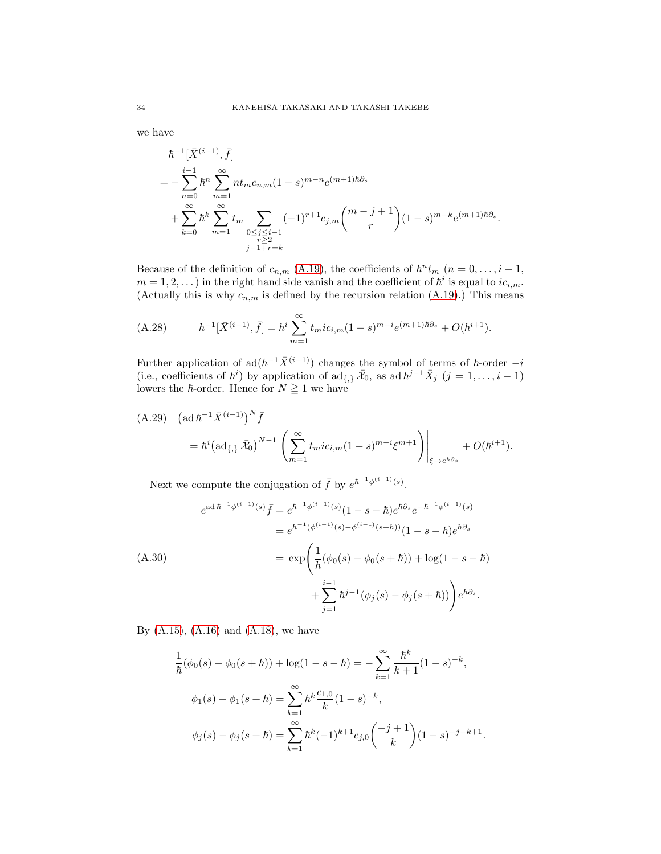we have

$$
\begin{split} &\hbar^{-1}[\bar{X}^{(i-1)}, \bar{f}] \\ &=-\sum_{n=0}^{i-1} \hbar^{n} \sum_{m=1}^{\infty} n t_{m} c_{n,m} (1-s)^{m-n} e^{(m+1)\hbar \partial_{s}} \\ &+\sum_{k=0}^{\infty} \hbar^{k} \sum_{m=1}^{\infty} t_{m} \sum_{\substack{0 \le j \le i-1 \\ r \ge 2}} (-1)^{r+1} c_{j,m} {m-j+1 \choose r} (1-s)^{m-k} e^{(m+1)\hbar \partial_{s}}. \end{split}
$$

Because of the definition of  $c_{n,m}$  [\(A.19\)](#page-32-1), the coefficients of  $\hbar^n t_m$  ( $n = 0, \ldots, i - 1$ ,  $m = 1, 2, ...$ ) in the right hand side vanish and the coefficient of  $\hbar^i$  is equal to  $ic_{i,m}$ . (Actually this is why  $c_{n,m}$  is defined by the recursion relation [\(A.19\)](#page-32-1).) This means

(A.28) 
$$
\hbar^{-1}[\bar{X}^{(i-1)}, \bar{f}] = \hbar^i \sum_{m=1}^{\infty} t_m i c_{i,m} (1-s)^{m-i} e^{(m+1)\hbar \partial_s} + O(\hbar^{i+1}).
$$

Further application of  $ad(h^{-1}\bar{X}^{(i-1)})$  changes the symbol of terms of  $\hbar$ -order  $-i$ (i.e., coefficients of  $\hbar^{i}$ ) by application of  $\text{ad}_{\{,\}} \bar{X}_0$ , as  $\text{ad } \hbar^{j-1} \bar{X}_j$   $(j = 1, \ldots, i-1)$ lowers the  $\hbar$ -order. Hence for  $N \geq 1$  we have

<span id="page-33-0"></span>(A.29) 
$$
(\text{ad } \hbar^{-1} \bar{X}^{(i-1)})^N \bar{f}
$$
  
=  $\hbar^i (\text{ad}_{\{,\}} \bar{X}_0)^{N-1} \left( \sum_{m=1}^{\infty} t_m i c_{i,m} (1-s)^{m-i} \xi^{m+1} \right) \Big|_{\xi \to e^{\hbar \partial s}} + O(\hbar^{i+1}).$ 

Next we compute the conjugation of  $\bar{f}$  by  $e^{\hbar^{-1}\phi^{(i-1)}(s)}$ .

$$
e^{\mathrm{ad}\,\hbar^{-1}\phi^{(i-1)}(s)}\bar{f} = e^{\hbar^{-1}\phi^{(i-1)}(s)}(1-s-\hbar)e^{\hbar\partial_s}e^{-\hbar^{-1}\phi^{(i-1)}(s)}
$$
  
\n
$$
= e^{\hbar^{-1}(\phi^{(i-1)}(s)-\phi^{(i-1)}(s+\hbar))}(1-s-\hbar)e^{\hbar\partial_s}
$$
  
\n(A.30)  
\n
$$
= \exp\left(\frac{1}{\hbar}(\phi_0(s)-\phi_0(s+\hbar)) + \log(1-s-\hbar)\right)
$$
  
\n
$$
+ \sum_{j=1}^{i-1}\hbar^{j-1}(\phi_j(s)-\phi_j(s+\hbar))\bigg)e^{\hbar\partial_s}.
$$

By  $(A.15)$ ,  $(A.16)$  and  $(A.18)$ , we have

$$
\frac{1}{\hbar}(\phi_0(s) - \phi_0(s + \hbar)) + \log(1 - s - \hbar) = -\sum_{k=1}^{\infty} \frac{\hbar^k}{k+1} (1 - s)^{-k},
$$
  

$$
\phi_1(s) - \phi_1(s + \hbar) = \sum_{k=1}^{\infty} \hbar^k \frac{c_{1,0}}{k} (1 - s)^{-k},
$$
  

$$
\phi_j(s) - \phi_j(s + \hbar) = \sum_{k=1}^{\infty} \hbar^k (-1)^{k+1} c_{j,0} \binom{-j+1}{k} (1 - s)^{-j-k+1}.
$$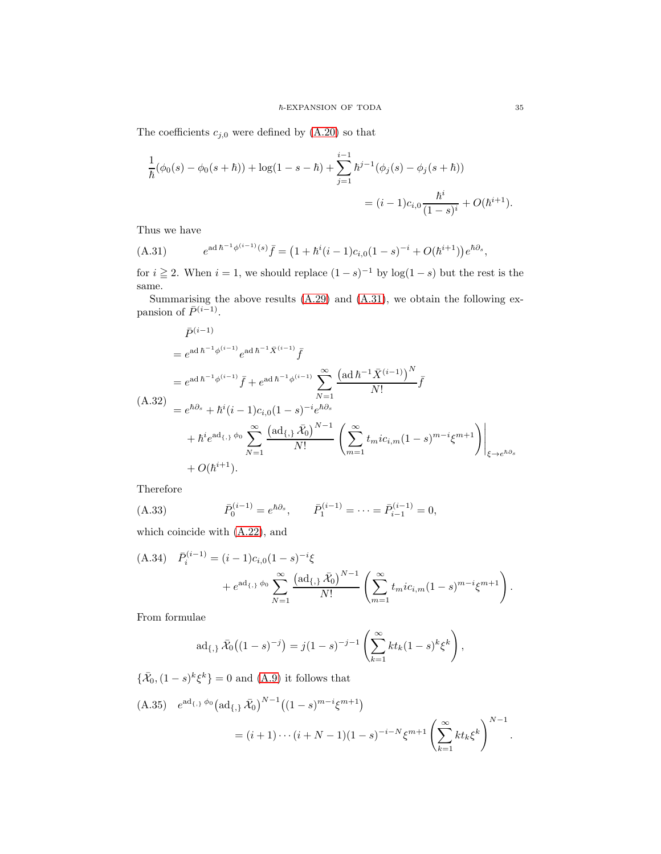The coefficients  $c_{j,0}$  were defined by  $(A.20)$  so that

$$
\frac{1}{\hbar}(\phi_0(s) - \phi_0(s+\hbar)) + \log(1-s-\hbar) + \sum_{j=1}^{i-1} \hbar^{j-1}(\phi_j(s) - \phi_j(s+\hbar))
$$
  
=  $(i-1)c_{i,0} \frac{\hbar^i}{(1-s)^i} + O(\hbar^{i+1}).$ 

Thus we have

<span id="page-34-0"></span>(A.31) 
$$
e^{\mathrm{ad}\,\hbar^{-1}\phi^{(i-1)}(s)}\bar{f} = (1+\hbar^i(i-1)c_{i,0}(1-s)^{-i} + O(\hbar^{i+1}))e^{\hbar\partial_s},
$$

for  $i \geq 2$ . When  $i = 1$ , we should replace  $(1 - s)^{-1}$  by  $\log(1 - s)$  but the rest is the same.

Summarising the above results [\(A.29\)](#page-33-0) and [\(A.31\)](#page-34-0), we obtain the following expansion of  $\bar{P}^{(i-1)}$ .

$$
\bar{P}^{(i-1)} = e^{\mathrm{ad}\,\hbar^{-1}\phi^{(i-1)}} e^{\mathrm{ad}\,\hbar^{-1}\bar{X}^{(i-1)}} \bar{f}
$$
\n
$$
= e^{\mathrm{ad}\,\hbar^{-1}\phi^{(i-1)}} \bar{f} + e^{\mathrm{ad}\,\hbar^{-1}\phi^{(i-1)}} \sum_{N=1}^{\infty} \frac{\left(\mathrm{ad}\,\hbar^{-1}\bar{X}^{(i-1)}\right)^N}{N!} \bar{f}
$$
\n(A.32)\n
$$
= e^{\hbar\partial_s} + \hbar^i (i-1)c_{i,0}(1-s)^{-i} e^{\hbar\partial_s}
$$
\n
$$
+ \hbar^i e^{\mathrm{ad}_{\{1\}}} \phi_0 \sum_{N=1}^{\infty} \frac{\left(\mathrm{ad}_{\{1\}}\,\bar{\mathcal{X}}_0\right)^{N-1}}{N!} \left(\sum_{m=1}^{\infty} t_m i c_{i,m}(1-s)^{m-i} \xi^{m+1}\right)\Big|_{\xi \to e^{\hbar\partial_s}}
$$
\n
$$
+ O(\hbar^{i+1}).
$$

Therefore

(A.33) 
$$
\bar{P}_0^{(i-1)} = e^{\hbar \partial_s}, \qquad \bar{P}_1^{(i-1)} = \cdots = \bar{P}_{i-1}^{(i-1)} = 0,
$$

which coincide with [\(A.22\)](#page-32-3), and

<span id="page-34-1"></span>(A.34) 
$$
\bar{P}_i^{(i-1)} = (i-1)c_{i,0}(1-s)^{-i}\xi
$$

$$
+ e^{ad_{\{\,,\}}\phi_0} \sum_{N=1}^{\infty} \frac{\left(ad_{\{\,,\}}\bar{\mathcal{X}}_0\right)^{N-1}}{N!} \left(\sum_{m=1}^{\infty} t_m i c_{i,m}(1-s)^{m-i}\xi^{m+1}\right).
$$

From formulae

$$
\mathrm{ad}_{\{,\}}\,\bar{\mathcal{X}}_0\big((1-s)^{-j}\big)=j(1-s)^{-j-1}\left(\sum_{k=1}^{\infty}kt_k(1-s)^k\xi^k\right),\,
$$

 $\{\bar{\mathcal{X}}_0,(1-s)^k\xi^k\}=0$  and  $(A.9)$  it follows that

<span id="page-34-2"></span>(A.35) 
$$
e^{ad_{\{\,\}}\phi_0} \left( ad_{\{\,\}} \bar{X}_0 \right)^{N-1} \left( (1-s)^{m-i} \xi^{m+1} \right)
$$
  
=  $(i+1)\cdots(i+N-1)(1-s)^{-i-N} \xi^{m+1} \left( \sum_{k=1}^{\infty} k t_k \xi^k \right)^{N-1}.$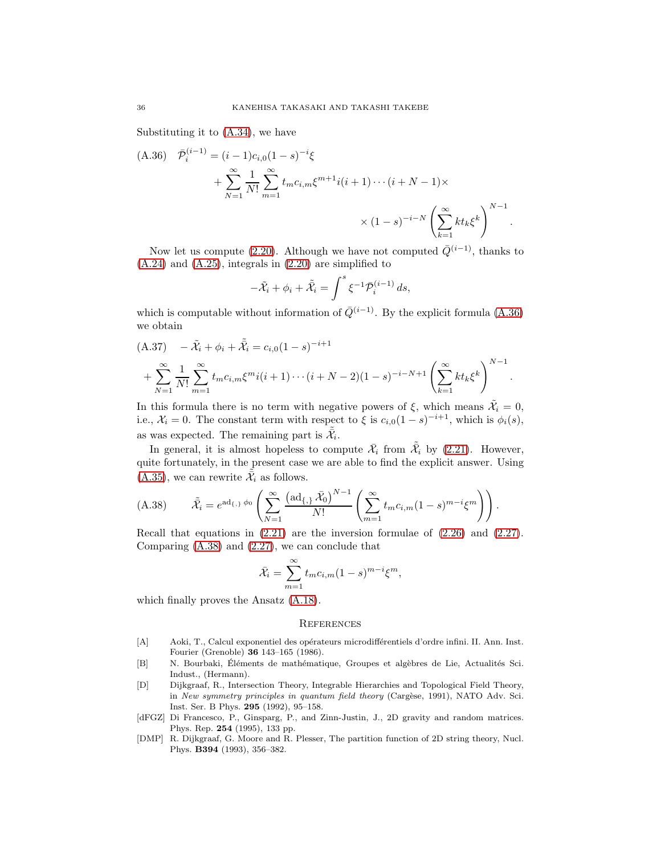Substituting it to [\(A.34\)](#page-34-1), we have

<span id="page-35-4"></span>
$$
(A.36) \quad \bar{\mathcal{P}}_i^{(i-1)} = (i-1)c_{i,0}(1-s)^{-i}\xi
$$
\n
$$
+ \sum_{N=1}^{\infty} \frac{1}{N!} \sum_{m=1}^{\infty} t_m c_{i,m} \xi^{m+1} i(i+1) \cdots (i+N-1) \times
$$
\n
$$
\times (1-s)^{-i-N} \left( \sum_{k=1}^{\infty} k t_k \xi^k \right)^{N-1}
$$

Now let us compute [\(2.20\)](#page-10-2). Although we have not computed  $\overline{Q}^{(i-1)}$ , thanks to [\(A.24\)](#page-32-4) and [\(A.25\)](#page-32-5), integrals in [\(2.20\)](#page-10-2) are simplified to

.

.

$$
-\tilde{\mathcal{X}}_i + \phi_i + \tilde{\tilde{\mathcal{X}}}_i = \int^s \xi^{-1} \bar{\mathcal{P}}_i^{(i-1)} ds,
$$

which is computable without information of  $\overline{Q}^{(i-1)}$ . By the explicit formula [\(A.36\)](#page-35-4) we obtain

$$
(A.37) \quad -\tilde{\mathcal{X}}_i + \phi_i + \tilde{\tilde{\mathcal{X}}}_i = c_{i,0}(1-s)^{-i+1} + \sum_{N=1}^{\infty} \frac{1}{N!} \sum_{m=1}^{\infty} t_m c_{i,m} \xi^m i(i+1) \cdots (i+N-2)(1-s)^{-i-N+1} \left( \sum_{k=1}^{\infty} k t_k \xi^k \right)^{N-1}
$$

In this formula there is no term with negative powers of  $\xi$ , which means  $\tilde{\mathcal{X}}_i = 0$ , i.e.,  $\mathcal{X}_i = 0$ . The constant term with respect to  $\xi$  is  $c_{i,0}(1-s)^{-i+1}$ , which is  $\phi_i(s)$ , as was expected. The remaining part is  $\tilde{\tilde{\mathcal{X}}}_i$ .

In general, it is almost hopeless to compute  $\mathcal{X}_i$  from  $\mathcal{X}_i$  by [\(2.21\)](#page-10-4). However, quite fortunately, in the present case we are able to find the explicit answer. Using [\(A.35\)](#page-34-2), we can rewrite  $\tilde{\tilde{\mathcal{X}}}_i$  as follows.

<span id="page-35-5"></span>(A.38) 
$$
\tilde{\bar{\mathcal{X}}}_i = e^{\mathrm{ad}_{\{\cdot\}} \phi_0} \left( \sum_{N=1}^{\infty} \frac{\left( \mathrm{ad}_{\{\cdot\}} \bar{\mathcal{X}}_0 \right)^{N-1}}{N!} \left( \sum_{m=1}^{\infty} t_m c_{i,m} (1-s)^{m-i} \zeta^m \right) \right).
$$

Recall that equations in  $(2.21)$  are the inversion formulae of  $(2.26)$  and  $(2.27)$ . Comparing [\(A.38\)](#page-35-5) and [\(2.27\)](#page-11-1), we can conclude that

$$
\bar{\mathcal{X}}_i = \sum_{m=1}^{\infty} t_m c_{i,m} (1-s)^{m-i} \xi^m,
$$

which finally proves the Ansatz [\(A.18\)](#page-32-0).

 $\approx$ 

#### **REFERENCES**

- <span id="page-35-0"></span>[A] Aoki, T., Calcul exponentiel des opérateurs microdifférentiels d'ordre infini. II. Ann. Inst. Fourier (Grenoble) 36 143–165 (1986).
- [B] N. Bourbaki, Éléments de mathématique, Groupes et algèbres de Lie, Actualités Sci. Indust., (Hermann).
- <span id="page-35-1"></span>[D] Dijkgraaf, R., Intersection Theory, Integrable Hierarchies and Topological Field Theory, in New symmetry principles in quantum field theory (Cargèse, 1991), NATO Adv. Sci. Inst. Ser. B Phys. 295 (1992), 95–158.
- <span id="page-35-2"></span>[dFGZ] Di Francesco, P., Ginsparg, P., and Zinn-Justin, J., 2D gravity and random matrices. Phys. Rep. 254 (1995), 133 pp.
- <span id="page-35-3"></span>[DMP] R. Dijkgraaf, G. Moore and R. Plesser, The partition function of 2D string theory, Nucl. Phys. B394 (1993), 356–382.